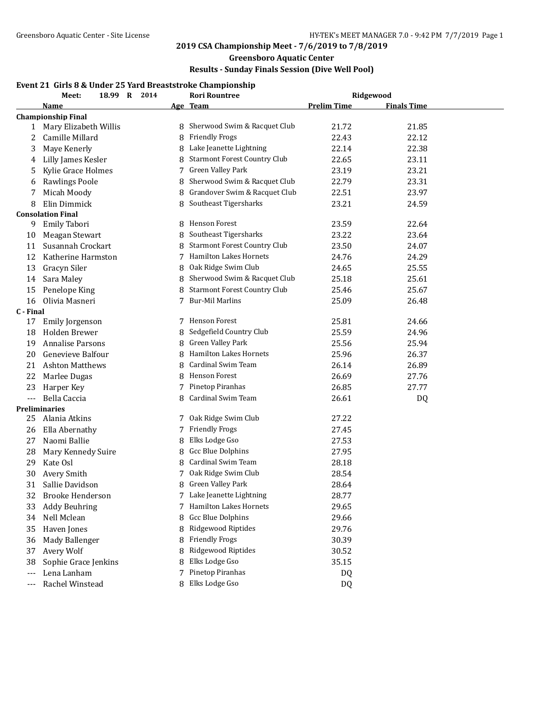## **Greensboro Aquatic Center**

## **Results - Sunday Finals Session (Dive Well Pool)**

## **Event 21 Girls 8 & Under 25 Yard Breaststroke Championship**

|           | 18.99 R 2014<br>Meet:     |  |   | <b>Rori Rountree</b>                | Ridgewood          |                    |  |
|-----------|---------------------------|--|---|-------------------------------------|--------------------|--------------------|--|
|           | <b>Name</b>               |  |   | Age Team                            | <b>Prelim Time</b> | <b>Finals Time</b> |  |
|           | <b>Championship Final</b> |  |   |                                     |                    |                    |  |
| 1         | Mary Elizabeth Willis     |  |   | 8 Sherwood Swim & Racquet Club      | 21.72              | 21.85              |  |
| 2         | Camille Millard           |  | 8 | Friendly Frogs                      | 22.43              | 22.12              |  |
| 3         | Maye Kenerly              |  |   | 8 Lake Jeanette Lightning           | 22.14              | 22.38              |  |
| 4         | Lilly James Kesler        |  |   | <b>Starmont Forest Country Club</b> | 22.65              | 23.11              |  |
| 5         | Kylie Grace Holmes        |  | 7 | Green Valley Park                   | 23.19              | 23.21              |  |
| 6         | Rawlings Poole            |  | 8 | Sherwood Swim & Racquet Club        | 22.79              | 23.31              |  |
| 7         | Micah Moody               |  | 8 | Grandover Swim & Racquet Club       | 22.51              | 23.97              |  |
| 8         | Elin Dimmick              |  | 8 | Southeast Tigersharks               | 23.21              | 24.59              |  |
|           | <b>Consolation Final</b>  |  |   |                                     |                    |                    |  |
| 9         | Emily Tabori              |  |   | 8 Henson Forest                     | 23.59              | 22.64              |  |
| 10        | Meagan Stewart            |  | 8 | Southeast Tigersharks               | 23.22              | 23.64              |  |
| 11        | Susannah Crockart         |  | 8 | <b>Starmont Forest Country Club</b> | 23.50              | 24.07              |  |
| 12        | Katherine Harmston        |  | 7 | Hamilton Lakes Hornets              | 24.76              | 24.29              |  |
| 13        | Gracyn Siler              |  |   | 8 Oak Ridge Swim Club               | 24.65              | 25.55              |  |
| 14        | Sara Maley                |  |   | 8 Sherwood Swim & Racquet Club      | 25.18              | 25.61              |  |
| 15        | Penelope King             |  |   | 8 Starmont Forest Country Club      | 25.46              | 25.67              |  |
| 16        | Olivia Masneri            |  | 7 | <b>Bur-Mil Marlins</b>              | 25.09              | 26.48              |  |
| C - Final |                           |  |   |                                     |                    |                    |  |
| 17        | Emily Jorgenson           |  |   | 7 Henson Forest                     | 25.81              | 24.66              |  |
| 18        | Holden Brewer             |  | 8 | Sedgefield Country Club             | 25.59              | 24.96              |  |
| 19        | <b>Annalise Parsons</b>   |  | 8 | <b>Green Valley Park</b>            | 25.56              | 25.94              |  |
| 20        | Genevieve Balfour         |  | 8 | <b>Hamilton Lakes Hornets</b>       | 25.96              | 26.37              |  |
| 21        | <b>Ashton Matthews</b>    |  | 8 | Cardinal Swim Team                  | 26.14              | 26.89              |  |
| 22        | Marlee Dugas              |  |   | 8 Henson Forest                     | 26.69              | 27.76              |  |
| 23        | Harper Key                |  | 7 | Pinetop Piranhas                    | 26.85              | 27.77              |  |
| $---$     | Bella Caccia              |  |   | Cardinal Swim Team                  | 26.61              | DQ                 |  |
|           | Preliminaries             |  |   |                                     |                    |                    |  |
| 25        | Alania Atkins             |  | 7 | Oak Ridge Swim Club                 | 27.22              |                    |  |
| 26        | Ella Abernathy            |  | 7 | <b>Friendly Frogs</b>               | 27.45              |                    |  |
| 27        | Naomi Ballie              |  | 8 | Elks Lodge Gso                      | 27.53              |                    |  |
| 28        | Mary Kennedy Suire        |  | 8 | <b>Gcc Blue Dolphins</b>            | 27.95              |                    |  |
| 29        | Kate Osl                  |  | 8 | Cardinal Swim Team                  | 28.18              |                    |  |
| 30        | Avery Smith               |  | 7 | Oak Ridge Swim Club                 | 28.54              |                    |  |
| 31        | Sallie Davidson           |  |   | 8 Green Valley Park                 | 28.64              |                    |  |
|           | 32 Brooke Henderson       |  |   | 7 Lake Jeanette Lightning           | 28.77              |                    |  |
| 33        | <b>Addy Beuhring</b>      |  | 7 | <b>Hamilton Lakes Hornets</b>       | 29.65              |                    |  |
| 34        | Nell Mclean               |  |   | Gcc Blue Dolphins                   | 29.66              |                    |  |
| 35        | Haven Jones               |  | 8 | Ridgewood Riptides                  | 29.76              |                    |  |
| 36        | Mady Ballenger            |  | 8 | <b>Friendly Frogs</b>               | 30.39              |                    |  |
| 37        | Avery Wolf                |  | 8 | Ridgewood Riptides                  | 30.52              |                    |  |
| 38        | Sophie Grace Jenkins      |  | 8 | Elks Lodge Gso                      | 35.15              |                    |  |
| $---$     | Lena Lanham               |  | 7 | Pinetop Piranhas                    | DQ                 |                    |  |
| $--$      | Rachel Winstead           |  |   | 8 Elks Lodge Gso                    | DQ                 |                    |  |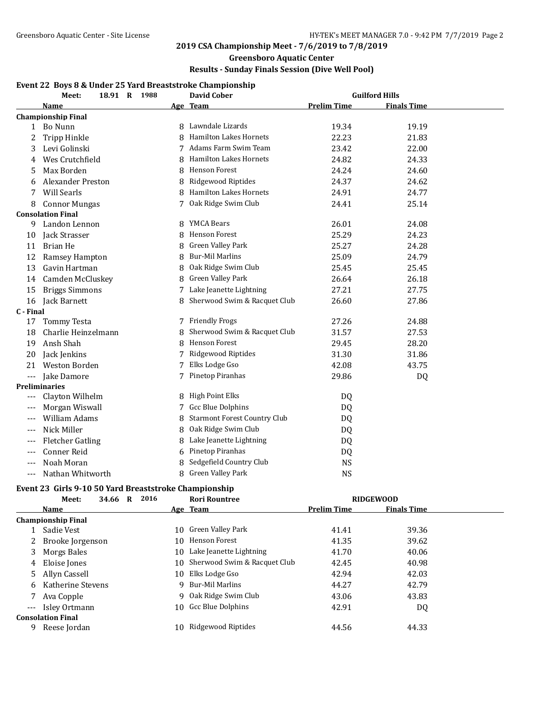## **Greensboro Aquatic Center**

## **Results - Sunday Finals Session (Dive Well Pool)**

### **Event 22 Boys 8 & Under 25 Yard Breaststroke Championship**

|           | 18.91 R 1988<br>Meet:     |    | <b>David Cober</b>                  |                    | <b>Guilford Hills</b> |  |
|-----------|---------------------------|----|-------------------------------------|--------------------|-----------------------|--|
|           | Name                      |    | Age Team                            | <b>Prelim Time</b> | <b>Finals Time</b>    |  |
|           | <b>Championship Final</b> |    |                                     |                    |                       |  |
|           | 1 Bo Nunn                 |    | 8 Lawndale Lizards                  | 19.34              | 19.19                 |  |
| 2         | <b>Tripp Hinkle</b>       | Զ  | <b>Hamilton Lakes Hornets</b>       | 22.23              | 21.83                 |  |
| 3         | Levi Golinski             |    | Adams Farm Swim Team                | 23.42              | 22.00                 |  |
| 4         | Wes Crutchfield           |    | <b>Hamilton Lakes Hornets</b>       | 24.82              | 24.33                 |  |
| 5         | Max Borden                | 8  | <b>Henson Forest</b>                | 24.24              | 24.60                 |  |
| 6         | <b>Alexander Preston</b>  | 8  | Ridgewood Riptides                  | 24.37              | 24.62                 |  |
| 7         | Will Searls               | 8  | Hamilton Lakes Hornets              | 24.91              | 24.77                 |  |
| 8         | <b>Connor Mungas</b>      | 7  | Oak Ridge Swim Club                 | 24.41              | 25.14                 |  |
|           | <b>Consolation Final</b>  |    |                                     |                    |                       |  |
| 9         | Landon Lennon             | 8  | <b>YMCA Bears</b>                   | 26.01              | 24.08                 |  |
| 10        | Jack Strasser             | 8  | <b>Henson Forest</b>                | 25.29              | 24.23                 |  |
| 11        | Brian He                  | 8  | Green Valley Park                   | 25.27              | 24.28                 |  |
| 12        | Ramsey Hampton            | 8  | <b>Bur-Mil Marlins</b>              | 25.09              | 24.79                 |  |
| 13        | Gavin Hartman             | 8  | Oak Ridge Swim Club                 | 25.45              | 25.45                 |  |
| 14        | Camden McCluskey          | 8  | Green Valley Park                   | 26.64              | 26.18                 |  |
| 15        | <b>Briggs Simmons</b>     | 7. | Lake Jeanette Lightning             | 27.21              | 27.75                 |  |
| 16        | Jack Barnett              | 8  | Sherwood Swim & Racquet Club        | 26.60              | 27.86                 |  |
| C - Final |                           |    |                                     |                    |                       |  |
| 17        | <b>Tommy Testa</b>        |    | 7 Friendly Frogs                    | 27.26              | 24.88                 |  |
| 18        | Charlie Heinzelmann       | 8  | Sherwood Swim & Racquet Club        | 31.57              | 27.53                 |  |
| 19        | Ansh Shah                 | 8  | <b>Henson Forest</b>                | 29.45              | 28.20                 |  |
| 20        | Jack Jenkins              |    | Ridgewood Riptides                  | 31.30              | 31.86                 |  |
| 21        | <b>Weston Borden</b>      | 7  | Elks Lodge Gso                      | 42.08              | 43.75                 |  |
| $---$     | Jake Damore               |    | Pinetop Piranhas                    | 29.86              | DQ                    |  |
|           | <b>Preliminaries</b>      |    |                                     |                    |                       |  |
| $---$     | Clayton Wilhelm           | 8  | <b>High Point Elks</b>              | DQ                 |                       |  |
| $---$     | Morgan Wiswall            | 7. | Gcc Blue Dolphins                   | DQ.                |                       |  |
| $---$     | William Adams             | 8  | <b>Starmont Forest Country Club</b> | DQ                 |                       |  |
| $---$     | Nick Miller               | 8  | Oak Ridge Swim Club                 | DQ                 |                       |  |
| $---$     | <b>Fletcher Gatling</b>   | 8  | Lake Jeanette Lightning             | DQ                 |                       |  |
| $---$     | <b>Conner Reid</b>        | 6  | Pinetop Piranhas                    | DQ                 |                       |  |
| $---$     | Noah Moran                |    | Sedgefield Country Club             | <b>NS</b>          |                       |  |
| $---$     | Nathan Whitworth          | 8  | Green Valley Park                   | <b>NS</b>          |                       |  |

### **Event 23 Girls 9-10 50 Yard Breaststroke Championship**

|       | Meet:                     | R<br>34.66 | 2016 | <b>Rori Rountree</b>            |                    | <b>RIDGEWOOD</b>   |  |
|-------|---------------------------|------------|------|---------------------------------|--------------------|--------------------|--|
|       | <b>Name</b>               |            |      | Age Team                        | <b>Prelim Time</b> | <b>Finals Time</b> |  |
|       | <b>Championship Final</b> |            |      |                                 |                    |                    |  |
|       | Sadie Vest                |            |      | 10 Green Valley Park            | 41.41              | 39.36              |  |
| 2     | Brooke Jorgenson          |            |      | 10 Henson Forest                | 41.35              | 39.62              |  |
| 3     | Morgs Bales               |            |      | 10 Lake Jeanette Lightning      | 41.70              | 40.06              |  |
| 4     | Eloise Jones              |            |      | 10 Sherwood Swim & Racquet Club | 42.45              | 40.98              |  |
| 5     | Allyn Cassell             |            | 10   | Elks Lodge Gso                  | 42.94              | 42.03              |  |
| 6     | Katherine Stevens         |            | 9    | Bur-Mil Marlins                 | 44.27              | 42.79              |  |
|       | Ava Copple                |            |      | 9 Oak Ridge Swim Club           | 43.06              | 43.83              |  |
| $---$ | Isley Ortmann             |            |      | 10 Gcc Blue Dolphins            | 42.91              | DQ                 |  |
|       | <b>Consolation Final</b>  |            |      |                                 |                    |                    |  |
| 9     | Reese Jordan              |            | 10.  | Ridgewood Riptides              | 44.56              | 44.33              |  |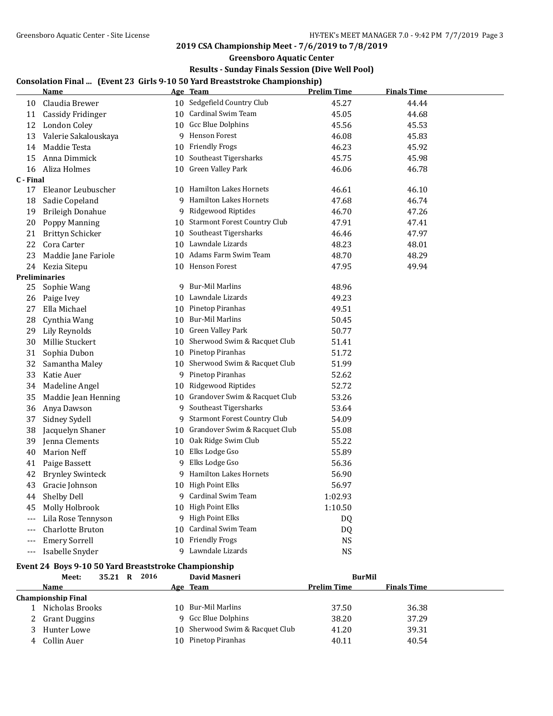**Greensboro Aquatic Center**

## **Results - Sunday Finals Session (Dive Well Pool)**

## **Consolation Final ... (Event 23 Girls 9-10 50 Yard Breaststroke Championship)**

|           | <b>Name</b>             |    | Age Team                            | <b>Prelim Time</b> | <b>Finals Time</b> |  |
|-----------|-------------------------|----|-------------------------------------|--------------------|--------------------|--|
| 10        | Claudia Brewer          |    | 10 Sedgefield Country Club          | 45.27              | 44.44              |  |
| 11        | Cassidy Fridinger       |    | 10 Cardinal Swim Team               | 45.05              | 44.68              |  |
| 12        | London Coley            |    | 10 Gcc Blue Dolphins                | 45.56              | 45.53              |  |
| 13        | Valerie Sakalouskaya    |    | 9 Henson Forest                     | 46.08              | 45.83              |  |
| 14        | Maddie Testa            |    | 10 Friendly Frogs                   | 46.23              | 45.92              |  |
| 15        | Anna Dimmick            |    | 10 Southeast Tigersharks            | 45.75              | 45.98              |  |
| 16        | Aliza Holmes            |    | 10 Green Valley Park                | 46.06              | 46.78              |  |
| C - Final |                         |    |                                     |                    |                    |  |
| 17        | Eleanor Leubuscher      |    | 10 Hamilton Lakes Hornets           | 46.61              | 46.10              |  |
| 18        | Sadie Copeland          |    | 9 Hamilton Lakes Hornets            | 47.68              | 46.74              |  |
| 19        | <b>Brileigh Donahue</b> | 9  | Ridgewood Riptides                  | 46.70              | 47.26              |  |
| 20        | Poppy Manning           |    | 10 Starmont Forest Country Club     | 47.91              | 47.41              |  |
| 21        | Brittyn Schicker        |    | 10 Southeast Tigersharks            | 46.46              | 47.97              |  |
| 22        | Cora Carter             |    | 10 Lawndale Lizards                 | 48.23              | 48.01              |  |
| 23        | Maddie Jane Fariole     |    | 10 Adams Farm Swim Team             | 48.70              | 48.29              |  |
| 24        | Kezia Sitepu            |    | 10 Henson Forest                    | 47.95              | 49.94              |  |
|           | <b>Preliminaries</b>    |    |                                     |                    |                    |  |
| 25        | Sophie Wang             |    | 9 Bur-Mil Marlins                   | 48.96              |                    |  |
| 26        | Paige Ivey              |    | 10 Lawndale Lizards                 | 49.23              |                    |  |
| 27        | Ella Michael            |    | 10 Pinetop Piranhas                 | 49.51              |                    |  |
| 28        | Cynthia Wang            |    | 10 Bur-Mil Marlins                  | 50.45              |                    |  |
| 29        | Lily Reynolds           |    | 10 Green Valley Park                | 50.77              |                    |  |
| 30        | Millie Stuckert         |    | 10 Sherwood Swim & Racquet Club     | 51.41              |                    |  |
| 31        | Sophia Dubon            |    | 10 Pinetop Piranhas                 | 51.72              |                    |  |
| 32        | Samantha Maley          |    | 10 Sherwood Swim & Racquet Club     | 51.99              |                    |  |
| 33        | Katie Auer              |    | 9 Pinetop Piranhas                  | 52.62              |                    |  |
| 34        | Madeline Angel          |    | 10 Ridgewood Riptides               | 52.72              |                    |  |
| 35        | Maddie Jean Henning     |    | 10 Grandover Swim & Racquet Club    | 53.26              |                    |  |
| 36        | Anya Dawson             |    | 9 Southeast Tigersharks             | 53.64              |                    |  |
| 37        | Sidney Sydell           | 9  | <b>Starmont Forest Country Club</b> | 54.09              |                    |  |
| 38        | Jacquelyn Shaner        |    | 10 Grandover Swim & Racquet Club    | 55.08              |                    |  |
| 39        | Jenna Clements          |    | 10 Oak Ridge Swim Club              | 55.22              |                    |  |
| 40        | <b>Marion Neff</b>      |    | 10 Elks Lodge Gso                   | 55.89              |                    |  |
| 41        | Paige Bassett           | 9  | Elks Lodge Gso                      | 56.36              |                    |  |
| 42        | <b>Brynley Swinteck</b> |    | 9 Hamilton Lakes Hornets            | 56.90              |                    |  |
| 43        | Gracie Johnson          |    | 10 High Point Elks                  | 56.97              |                    |  |
| 44        | Shelby Dell             |    | 9 Cardinal Swim Team                | 1:02.93            |                    |  |
| 45        | Molly Holbrook          | 10 | High Point Elks                     | 1:10.50            |                    |  |
| $---$     | Lila Rose Tennyson      |    | 9 High Point Elks                   | DQ                 |                    |  |
| $---$     | <b>Charlotte Bruton</b> |    | 10 Cardinal Swim Team               | DQ                 |                    |  |
|           | <b>Emery Sorrell</b>    |    | 10 Friendly Frogs                   | NS                 |                    |  |
| $---$     | Isabelle Snyder         |    | 9 Lawndale Lizards                  | NS                 |                    |  |

# **Event 24 Boys 9-10 50 Yard Breaststroke Championship**<br>Magting 25.21 B 2016 David Masney

|   | Meet:              | 35.21 R | 2016 |    | David Masneri                   | <b>BurMil</b>      |                    |  |
|---|--------------------|---------|------|----|---------------------------------|--------------------|--------------------|--|
|   | Name               |         |      |    | Age Team                        | <b>Prelim Time</b> | <b>Finals Time</b> |  |
|   | Championship Final |         |      |    |                                 |                    |                    |  |
|   | Nicholas Brooks    |         |      |    | 10 Bur-Mil Marlins              | 37.50              | 36.38              |  |
| 2 | Grant Duggins      |         |      |    | 9 Gcc Blue Dolphins             | 38.20              | 37.29              |  |
|   | Hunter Lowe        |         |      |    | 10 Sherwood Swim & Racquet Club | 41.20              | 39.31              |  |
| 4 | Collin Auer        |         |      | 10 | Pinetop Piranhas                | 40.11              | 40.54              |  |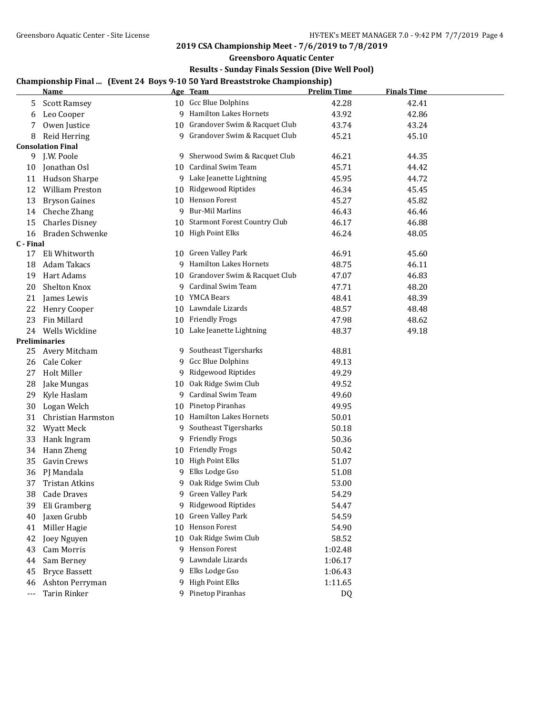**Greensboro Aquatic Center**

## **Results - Sunday Finals Session (Dive Well Pool)**

# **Championship Final ... (Event 24 Boys 9-10 50 Yard Breaststroke Championship)**

|           | <u>Name</u>              |    | Age Team                                         | <b>Prelim Time</b> | <b>Finals Time</b> |
|-----------|--------------------------|----|--------------------------------------------------|--------------------|--------------------|
| 5         | <b>Scott Ramsey</b>      |    | 10 Gcc Blue Dolphins                             | 42.28              | 42.41              |
| 6         | Leo Cooper               |    | 9 Hamilton Lakes Hornets                         | 43.92              | 42.86              |
| 7         | Owen Justice             |    | 10 Grandover Swim & Racquet Club                 | 43.74              | 43.24              |
| 8         | Reid Herring             |    | 9 Grandover Swim & Racquet Club                  | 45.21              | 45.10              |
|           | <b>Consolation Final</b> |    |                                                  |                    |                    |
| 9         | J.W. Poole               |    | 9 Sherwood Swim & Racquet Club                   | 46.21              | 44.35              |
| 10        | Jonathan Osl             | 10 | Cardinal Swim Team                               | 45.71              | 44.42              |
| 11        | Hudson Sharpe            |    | 9 Lake Jeanette Lightning                        | 45.95              | 44.72              |
| 12        | <b>William Preston</b>   | 10 | Ridgewood Riptides                               | 46.34              | 45.45              |
| 13        | <b>Bryson Gaines</b>     |    | 10 Henson Forest                                 | 45.27              | 45.82              |
| 14        | Cheche Zhang             | 9  | <b>Bur-Mil Marlins</b>                           | 46.43              | 46.46              |
| 15        | <b>Charles Disney</b>    | 10 | <b>Starmont Forest Country Club</b>              | 46.17              | 46.88              |
| 16        | <b>Braden Schwenke</b>   |    | 10 High Point Elks                               | 46.24              | 48.05              |
| C - Final |                          |    |                                                  |                    |                    |
| 17        | Eli Whitworth            |    | 10 Green Valley Park                             | 46.91              | 45.60              |
| 18        | <b>Adam Takacs</b>       | 9  | <b>Hamilton Lakes Hornets</b>                    | 48.75              | 46.11              |
| 19        | Hart Adams               |    | 10 Grandover Swim & Racquet Club                 | 47.07              | 46.83              |
| 20        | Shelton Knox             |    | 9 Cardinal Swim Team                             | 47.71              | 48.20              |
| 21        | James Lewis              |    | 10 YMCA Bears                                    | 48.41              | 48.39              |
| 22        | Henry Cooper             |    | 10 Lawndale Lizards                              | 48.57              | 48.48              |
| 23        | Fin Millard              |    | 10 Friendly Frogs                                | 47.98              | 48.62              |
| 24        | Wells Wickline           | 10 | Lake Jeanette Lightning                          | 48.37              | 49.18              |
|           | <b>Preliminaries</b>     |    |                                                  |                    |                    |
| 25        | Avery Mitcham            | 9. | Southeast Tigersharks<br>Gcc Blue Dolphins       | 48.81              |                    |
| 26        | Cale Coker               | 9  |                                                  | 49.13              |                    |
| 27        | Holt Miller              | 9  | Ridgewood Riptides                               | 49.29              |                    |
| 28        | Jake Mungas              | 10 | Oak Ridge Swim Club<br><b>Cardinal Swim Team</b> | 49.52              |                    |
| 29        | Kyle Haslam              | 9  |                                                  | 49.60              |                    |
| 30        | Logan Welch              | 10 | Pinetop Piranhas                                 | 49.95              |                    |
| 31        | Christian Harmston       |    | 10 Hamilton Lakes Hornets                        | 50.01              |                    |
| 32        | Wyatt Meck               | 9  | Southeast Tigersharks                            | 50.18              |                    |
| 33        | Hank Ingram              | 9  | <b>Friendly Frogs</b>                            | 50.36              |                    |
| 34        | Hann Zheng               | 10 | <b>Friendly Frogs</b>                            | 50.42              |                    |
| 35        | Gavin Crews              | 10 | High Point Elks                                  | 51.07              |                    |
| 36        | PJ Mandala               | 9  | Elks Lodge Gso                                   | 51.08              |                    |
| 37        | <b>Tristan Atkins</b>    | 9  | Oak Ridge Swim Club                              | 53.00              |                    |
| 38        | Cade Draves              | 9  | Green Valley Park                                | 54.29              |                    |
| 39        | Eli Gramberg             | 9  | Ridgewood Riptides                               | 54.47              |                    |
| 40        | Jaxen Grubb              | 10 | Green Valley Park                                | 54.59              |                    |
| 41        | Miller Hagie             | 10 | Henson Forest                                    | 54.90              |                    |
| 42        | Joey Nguyen              | 10 | Oak Ridge Swim Club                              | 58.52              |                    |
| 43        | Cam Morris               | 9  | Henson Forest                                    | 1:02.48            |                    |
| 44        | Sam Berney               | 9  | Lawndale Lizards                                 | 1:06.17            |                    |
| 45        | <b>Bryce Bassett</b>     | 9  | Elks Lodge Gso                                   | 1:06.43            |                    |
| 46        | Ashton Perryman          | 9  | <b>High Point Elks</b>                           | 1:11.65            |                    |
| $---$     | <b>Tarin Rinker</b>      |    | 9 Pinetop Piranhas                               | DQ                 |                    |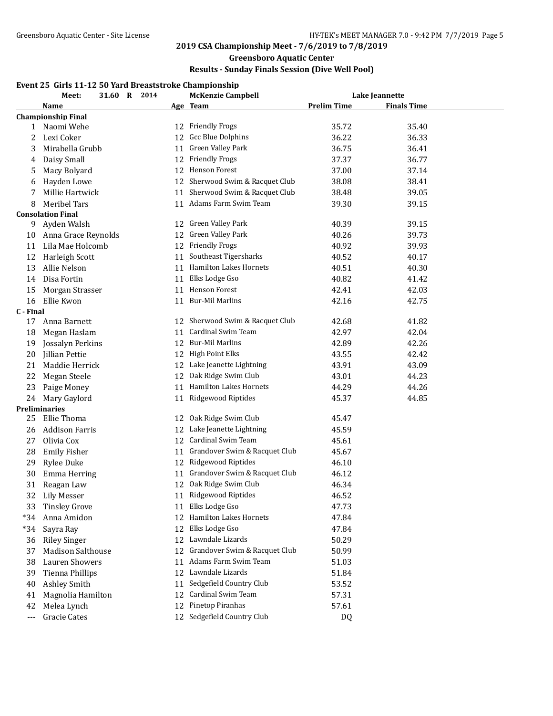## **Greensboro Aquatic Center**

## **Results - Sunday Finals Session (Dive Well Pool)**

## **Event 25 Girls 11-12 50 Yard Breaststroke Championship**

|           | 31.60 R 2014<br>Meet:     |    | <b>McKenzie Campbell</b>        |                    | Lake Jeannette     |  |
|-----------|---------------------------|----|---------------------------------|--------------------|--------------------|--|
|           | <u>Name</u>               |    | <u>Age Team</u>                 | <b>Prelim Time</b> | <b>Finals Time</b> |  |
|           | <b>Championship Final</b> |    |                                 |                    |                    |  |
| 1         | Naomi Wehe                |    | 12 Friendly Frogs               | 35.72              | 35.40              |  |
| 2         | Lexi Coker                | 12 | Gcc Blue Dolphins               | 36.22              | 36.33              |  |
| 3         | Mirabella Grubb           | 11 | Green Valley Park               | 36.75              | 36.41              |  |
| 4         | Daisy Small               | 12 | <b>Friendly Frogs</b>           | 37.37              | 36.77              |  |
| 5         | Macy Bolyard              | 12 | <b>Henson Forest</b>            | 37.00              | 37.14              |  |
| 6         | Hayden Lowe               | 12 | Sherwood Swim & Racquet Club    | 38.08              | 38.41              |  |
| 7         | Millie Hartwick           |    | 11 Sherwood Swim & Racquet Club | 38.48              | 39.05              |  |
| 8         | Meribel Tars              |    | 11 Adams Farm Swim Team         | 39.30              | 39.15              |  |
|           | <b>Consolation Final</b>  |    |                                 |                    |                    |  |
| 9         | Ayden Walsh               | 12 | Green Valley Park               | 40.39              | 39.15              |  |
| 10        | Anna Grace Reynolds       | 12 | Green Valley Park               | 40.26              | 39.73              |  |
| 11        | Lila Mae Holcomb          | 12 | <b>Friendly Frogs</b>           | 40.92              | 39.93              |  |
| 12        | Harleigh Scott            | 11 | Southeast Tigersharks           | 40.52              | 40.17              |  |
| 13        | Allie Nelson              |    | 11 Hamilton Lakes Hornets       | 40.51              | 40.30              |  |
| 14        | Disa Fortin               | 11 | Elks Lodge Gso                  | 40.82              | 41.42              |  |
| 15        | Morgan Strasser           | 11 | Henson Forest                   | 42.41              | 42.03              |  |
| 16        | Ellie Kwon                | 11 | <b>Bur-Mil Marlins</b>          | 42.16              | 42.75              |  |
| C - Final |                           |    |                                 |                    |                    |  |
| 17        | Anna Barnett              |    | 12 Sherwood Swim & Racquet Club | 42.68              | 41.82              |  |
| 18        | Megan Haslam              | 11 | Cardinal Swim Team              | 42.97              | 42.04              |  |
| 19        | Jossalyn Perkins          | 12 | <b>Bur-Mil Marlins</b>          | 42.89              | 42.26              |  |
| 20        | Jillian Pettie            | 12 | <b>High Point Elks</b>          | 43.55              | 42.42              |  |
| 21        | Maddie Herrick            | 12 | Lake Jeanette Lightning         | 43.91              | 43.09              |  |
| 22        | Megan Steele              | 12 | Oak Ridge Swim Club             | 43.01              | 44.23              |  |
| 23        | Paige Money               | 11 | <b>Hamilton Lakes Hornets</b>   | 44.29              | 44.26              |  |
| 24        | Mary Gaylord              | 11 | Ridgewood Riptides              | 45.37              | 44.85              |  |
|           | <b>Preliminaries</b>      |    |                                 |                    |                    |  |
| 25        | Ellie Thoma               | 12 | Oak Ridge Swim Club             | 45.47              |                    |  |
| 26        | <b>Addison Farris</b>     | 12 | Lake Jeanette Lightning         | 45.59              |                    |  |
| 27        | Olivia Cox                | 12 | Cardinal Swim Team              | 45.61              |                    |  |
| 28        | <b>Emily Fisher</b>       | 11 | Grandover Swim & Racquet Club   | 45.67              |                    |  |
| 29        | <b>Rylee Duke</b>         | 12 | Ridgewood Riptides              | 46.10              |                    |  |
| 30        | Emma Herring              | 11 | Grandover Swim & Racquet Club   | 46.12              |                    |  |
| 31        | Reagan Law                |    | 12 Oak Ridge Swim Club          | 46.34              |                    |  |
| 32        | Lily Messer               |    | Ridgewood Riptides              | 46.52              |                    |  |
| 33        | <b>Tinsley Grove</b>      | 11 | Elks Lodge Gso                  | 47.73              |                    |  |
| $*34$     | Anna Amidon               | 12 | <b>Hamilton Lakes Hornets</b>   | 47.84              |                    |  |
| $*34$     | Sayra Ray                 | 12 | Elks Lodge Gso                  | 47.84              |                    |  |
| 36        | <b>Riley Singer</b>       | 12 | Lawndale Lizards                | 50.29              |                    |  |
| 37        | <b>Madison Salthouse</b>  | 12 | Grandover Swim & Racquet Club   | 50.99              |                    |  |
| 38        | Lauren Showers            | 11 | Adams Farm Swim Team            | 51.03              |                    |  |
| 39        | Tienna Phillips           | 12 | Lawndale Lizards                | 51.84              |                    |  |
| 40        | Ashley Smith              | 11 | Sedgefield Country Club         | 53.52              |                    |  |
| 41        | Magnolia Hamilton         | 12 | Cardinal Swim Team              | 57.31              |                    |  |
| 42        | Melea Lynch               | 12 | Pinetop Piranhas                | 57.61              |                    |  |
| $---$     | <b>Gracie Cates</b>       | 12 | Sedgefield Country Club         | DQ                 |                    |  |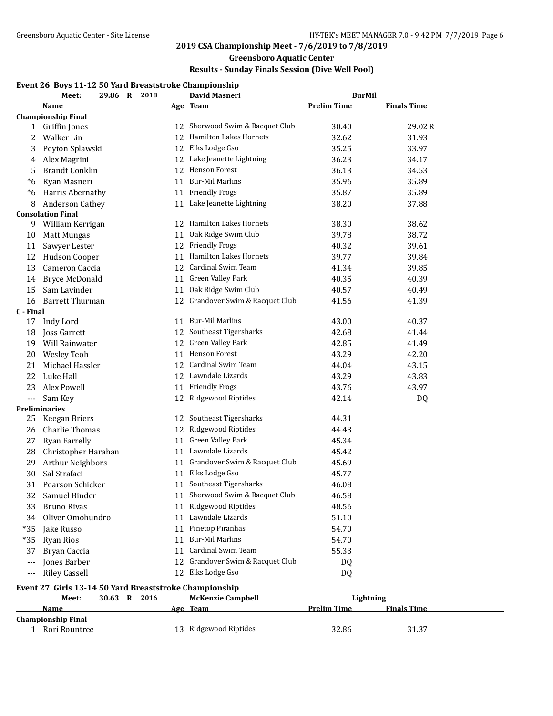# **Greensboro Aquatic Center**

# **Results - Sunday Finals Session (Dive Well Pool)**

## **Event 26 Boys 11-12 50 Yard Breaststroke Championship**

| <b>Prelim Time</b><br>Name<br>Age Team<br><b>Finals Time</b><br><b>Championship Final</b><br>12 Sherwood Swim & Racquet Club<br>30.40<br>29.02R<br>1 Griffin Jones<br>12 Hamilton Lakes Hornets<br>Walker Lin<br>32.62<br>31.93<br>2<br>12 Elks Lodge Gso<br>Peyton Splawski<br>35.25<br>33.97<br>3<br>12 Lake Jeanette Lightning<br>36.23<br>34.17<br>Alex Magrini<br>4<br>12 Henson Forest<br><b>Brandt Conklin</b><br>36.13<br>34.53<br>5<br>11 Bur-Mil Marlins<br>35.96<br>35.89<br>*6<br>Ryan Masneri<br>Harris Abernathy<br>11 Friendly Frogs<br>35.87<br>35.89<br>$*6$<br>11 Lake Jeanette Lightning<br>Anderson Cathey<br>38.20<br>8<br>37.88<br><b>Consolation Final</b><br>12 Hamilton Lakes Hornets<br>38.62<br>William Kerrigan<br>38.30<br>9<br>Oak Ridge Swim Club<br>39.78<br>38.72<br>10<br>Matt Mungas<br>11<br>12 Friendly Frogs<br>40.32<br>39.61<br>11<br>Sawyer Lester<br>Hamilton Lakes Hornets<br>Hudson Cooper<br>39.77<br>39.84<br>12<br>11<br>12 Cardinal Swim Team<br>13<br>Cameron Caccia<br>41.34<br>39.85<br>11 Green Valley Park<br>40.35<br>40.39<br>14<br><b>Bryce McDonald</b><br>Oak Ridge Swim Club<br>15<br>Sam Lavinder<br>40.57<br>40.49<br>11<br>12 Grandover Swim & Racquet Club<br><b>Barrett Thurman</b><br>41.56<br>16<br>41.39<br>C - Final<br>11 Bur-Mil Marlins<br>17<br>Indy Lord<br>43.00<br>40.37<br>12 Southeast Tigersharks<br>Joss Garrett<br>42.68<br>41.44<br>18<br>Will Rainwater<br>12 Green Valley Park<br>42.85<br>19<br>41.49<br>11 Henson Forest<br>20<br>Wesley Teoh<br>43.29<br>42.20<br>12 Cardinal Swim Team<br>21<br>Michael Hassler<br>44.04<br>43.15<br>12 Lawndale Lizards<br>43.29<br>22<br>Luke Hall<br>43.83<br><b>Friendly Frogs</b><br>23<br>Alex Powell<br>43.76<br>43.97<br>11<br>12 Ridgewood Riptides<br>42.14<br>Sam Key<br>DQ<br>$---$<br><b>Preliminaries</b><br>12 Southeast Tigersharks<br>Keegan Briers<br>44.31<br>25<br>12 Ridgewood Riptides<br>Charlie Thomas<br>44.43<br>26<br>Ryan Farrelly<br>11 Green Valley Park<br>45.34<br>27<br>11 Lawndale Lizards<br>Christopher Harahan<br>45.42<br>28<br>11 Grandover Swim & Racquet Club<br>Arthur Neighbors<br>45.69<br>29<br>Sal Strafaci<br>11 Elks Lodge Gso<br>30<br>45.77<br>11 Southeast Tigersharks<br>31<br>Pearson Schicker<br>46.08<br>11 Sherwood Swim & Racquet Club<br>32<br>Samuel Binder<br>46.58<br>11 Ridgewood Riptides<br>Bruno Rivas<br>48.56<br>33<br>11 Lawndale Lizards<br>51.10<br>Oliver Omohundro<br>34<br>11 Pinetop Piranhas<br>54.70<br>$*35$<br>Jake Russo<br>$*35$<br>11 Bur-Mil Marlins<br>54.70<br><b>Ryan Rios</b><br>11 Cardinal Swim Team<br>55.33<br>37<br>Bryan Caccia<br>Jones Barber<br>12 Grandover Swim & Racquet Club<br>DQ<br>$\scriptstyle\cdots$<br>12 Elks Lodge Gso<br><b>Riley Cassell</b><br><b>DQ</b><br>$\scriptstyle\cdots$<br>Event 27 Girls 13-14 50 Yard Breaststroke Championship<br>30.63 R 2016<br><b>McKenzie Campbell</b><br>Meet:<br>Lightning<br><b>Prelim Time</b><br>Age Team<br><b>Finals Time</b><br>Name<br><b>Championship Final</b><br>13 Ridgewood Riptides<br>1 Rori Rountree | Meet: | 2018<br>29.86 R | <b>David Masneri</b> | <b>BurMil</b> |       |  |
|---------------------------------------------------------------------------------------------------------------------------------------------------------------------------------------------------------------------------------------------------------------------------------------------------------------------------------------------------------------------------------------------------------------------------------------------------------------------------------------------------------------------------------------------------------------------------------------------------------------------------------------------------------------------------------------------------------------------------------------------------------------------------------------------------------------------------------------------------------------------------------------------------------------------------------------------------------------------------------------------------------------------------------------------------------------------------------------------------------------------------------------------------------------------------------------------------------------------------------------------------------------------------------------------------------------------------------------------------------------------------------------------------------------------------------------------------------------------------------------------------------------------------------------------------------------------------------------------------------------------------------------------------------------------------------------------------------------------------------------------------------------------------------------------------------------------------------------------------------------------------------------------------------------------------------------------------------------------------------------------------------------------------------------------------------------------------------------------------------------------------------------------------------------------------------------------------------------------------------------------------------------------------------------------------------------------------------------------------------------------------------------------------------------------------------------------------------------------------------------------------------------------------------------------------------------------------------------------------------------------------------------------------------------------------------------------------------------------------------------------------------------------------------------------------------------------------------------------------------------------------------------------------------------------------------------------------------------------------------------------------------------------------------------------------------------------------------------------|-------|-----------------|----------------------|---------------|-------|--|
|                                                                                                                                                                                                                                                                                                                                                                                                                                                                                                                                                                                                                                                                                                                                                                                                                                                                                                                                                                                                                                                                                                                                                                                                                                                                                                                                                                                                                                                                                                                                                                                                                                                                                                                                                                                                                                                                                                                                                                                                                                                                                                                                                                                                                                                                                                                                                                                                                                                                                                                                                                                                                                                                                                                                                                                                                                                                                                                                                                                                                                                                                             |       |                 |                      |               |       |  |
|                                                                                                                                                                                                                                                                                                                                                                                                                                                                                                                                                                                                                                                                                                                                                                                                                                                                                                                                                                                                                                                                                                                                                                                                                                                                                                                                                                                                                                                                                                                                                                                                                                                                                                                                                                                                                                                                                                                                                                                                                                                                                                                                                                                                                                                                                                                                                                                                                                                                                                                                                                                                                                                                                                                                                                                                                                                                                                                                                                                                                                                                                             |       |                 |                      |               |       |  |
|                                                                                                                                                                                                                                                                                                                                                                                                                                                                                                                                                                                                                                                                                                                                                                                                                                                                                                                                                                                                                                                                                                                                                                                                                                                                                                                                                                                                                                                                                                                                                                                                                                                                                                                                                                                                                                                                                                                                                                                                                                                                                                                                                                                                                                                                                                                                                                                                                                                                                                                                                                                                                                                                                                                                                                                                                                                                                                                                                                                                                                                                                             |       |                 |                      |               |       |  |
|                                                                                                                                                                                                                                                                                                                                                                                                                                                                                                                                                                                                                                                                                                                                                                                                                                                                                                                                                                                                                                                                                                                                                                                                                                                                                                                                                                                                                                                                                                                                                                                                                                                                                                                                                                                                                                                                                                                                                                                                                                                                                                                                                                                                                                                                                                                                                                                                                                                                                                                                                                                                                                                                                                                                                                                                                                                                                                                                                                                                                                                                                             |       |                 |                      |               |       |  |
|                                                                                                                                                                                                                                                                                                                                                                                                                                                                                                                                                                                                                                                                                                                                                                                                                                                                                                                                                                                                                                                                                                                                                                                                                                                                                                                                                                                                                                                                                                                                                                                                                                                                                                                                                                                                                                                                                                                                                                                                                                                                                                                                                                                                                                                                                                                                                                                                                                                                                                                                                                                                                                                                                                                                                                                                                                                                                                                                                                                                                                                                                             |       |                 |                      |               |       |  |
|                                                                                                                                                                                                                                                                                                                                                                                                                                                                                                                                                                                                                                                                                                                                                                                                                                                                                                                                                                                                                                                                                                                                                                                                                                                                                                                                                                                                                                                                                                                                                                                                                                                                                                                                                                                                                                                                                                                                                                                                                                                                                                                                                                                                                                                                                                                                                                                                                                                                                                                                                                                                                                                                                                                                                                                                                                                                                                                                                                                                                                                                                             |       |                 |                      |               |       |  |
|                                                                                                                                                                                                                                                                                                                                                                                                                                                                                                                                                                                                                                                                                                                                                                                                                                                                                                                                                                                                                                                                                                                                                                                                                                                                                                                                                                                                                                                                                                                                                                                                                                                                                                                                                                                                                                                                                                                                                                                                                                                                                                                                                                                                                                                                                                                                                                                                                                                                                                                                                                                                                                                                                                                                                                                                                                                                                                                                                                                                                                                                                             |       |                 |                      |               |       |  |
|                                                                                                                                                                                                                                                                                                                                                                                                                                                                                                                                                                                                                                                                                                                                                                                                                                                                                                                                                                                                                                                                                                                                                                                                                                                                                                                                                                                                                                                                                                                                                                                                                                                                                                                                                                                                                                                                                                                                                                                                                                                                                                                                                                                                                                                                                                                                                                                                                                                                                                                                                                                                                                                                                                                                                                                                                                                                                                                                                                                                                                                                                             |       |                 |                      |               |       |  |
|                                                                                                                                                                                                                                                                                                                                                                                                                                                                                                                                                                                                                                                                                                                                                                                                                                                                                                                                                                                                                                                                                                                                                                                                                                                                                                                                                                                                                                                                                                                                                                                                                                                                                                                                                                                                                                                                                                                                                                                                                                                                                                                                                                                                                                                                                                                                                                                                                                                                                                                                                                                                                                                                                                                                                                                                                                                                                                                                                                                                                                                                                             |       |                 |                      |               |       |  |
|                                                                                                                                                                                                                                                                                                                                                                                                                                                                                                                                                                                                                                                                                                                                                                                                                                                                                                                                                                                                                                                                                                                                                                                                                                                                                                                                                                                                                                                                                                                                                                                                                                                                                                                                                                                                                                                                                                                                                                                                                                                                                                                                                                                                                                                                                                                                                                                                                                                                                                                                                                                                                                                                                                                                                                                                                                                                                                                                                                                                                                                                                             |       |                 |                      |               |       |  |
|                                                                                                                                                                                                                                                                                                                                                                                                                                                                                                                                                                                                                                                                                                                                                                                                                                                                                                                                                                                                                                                                                                                                                                                                                                                                                                                                                                                                                                                                                                                                                                                                                                                                                                                                                                                                                                                                                                                                                                                                                                                                                                                                                                                                                                                                                                                                                                                                                                                                                                                                                                                                                                                                                                                                                                                                                                                                                                                                                                                                                                                                                             |       |                 |                      |               |       |  |
|                                                                                                                                                                                                                                                                                                                                                                                                                                                                                                                                                                                                                                                                                                                                                                                                                                                                                                                                                                                                                                                                                                                                                                                                                                                                                                                                                                                                                                                                                                                                                                                                                                                                                                                                                                                                                                                                                                                                                                                                                                                                                                                                                                                                                                                                                                                                                                                                                                                                                                                                                                                                                                                                                                                                                                                                                                                                                                                                                                                                                                                                                             |       |                 |                      |               |       |  |
|                                                                                                                                                                                                                                                                                                                                                                                                                                                                                                                                                                                                                                                                                                                                                                                                                                                                                                                                                                                                                                                                                                                                                                                                                                                                                                                                                                                                                                                                                                                                                                                                                                                                                                                                                                                                                                                                                                                                                                                                                                                                                                                                                                                                                                                                                                                                                                                                                                                                                                                                                                                                                                                                                                                                                                                                                                                                                                                                                                                                                                                                                             |       |                 |                      |               |       |  |
|                                                                                                                                                                                                                                                                                                                                                                                                                                                                                                                                                                                                                                                                                                                                                                                                                                                                                                                                                                                                                                                                                                                                                                                                                                                                                                                                                                                                                                                                                                                                                                                                                                                                                                                                                                                                                                                                                                                                                                                                                                                                                                                                                                                                                                                                                                                                                                                                                                                                                                                                                                                                                                                                                                                                                                                                                                                                                                                                                                                                                                                                                             |       |                 |                      |               |       |  |
|                                                                                                                                                                                                                                                                                                                                                                                                                                                                                                                                                                                                                                                                                                                                                                                                                                                                                                                                                                                                                                                                                                                                                                                                                                                                                                                                                                                                                                                                                                                                                                                                                                                                                                                                                                                                                                                                                                                                                                                                                                                                                                                                                                                                                                                                                                                                                                                                                                                                                                                                                                                                                                                                                                                                                                                                                                                                                                                                                                                                                                                                                             |       |                 |                      |               |       |  |
|                                                                                                                                                                                                                                                                                                                                                                                                                                                                                                                                                                                                                                                                                                                                                                                                                                                                                                                                                                                                                                                                                                                                                                                                                                                                                                                                                                                                                                                                                                                                                                                                                                                                                                                                                                                                                                                                                                                                                                                                                                                                                                                                                                                                                                                                                                                                                                                                                                                                                                                                                                                                                                                                                                                                                                                                                                                                                                                                                                                                                                                                                             |       |                 |                      |               |       |  |
|                                                                                                                                                                                                                                                                                                                                                                                                                                                                                                                                                                                                                                                                                                                                                                                                                                                                                                                                                                                                                                                                                                                                                                                                                                                                                                                                                                                                                                                                                                                                                                                                                                                                                                                                                                                                                                                                                                                                                                                                                                                                                                                                                                                                                                                                                                                                                                                                                                                                                                                                                                                                                                                                                                                                                                                                                                                                                                                                                                                                                                                                                             |       |                 |                      |               |       |  |
|                                                                                                                                                                                                                                                                                                                                                                                                                                                                                                                                                                                                                                                                                                                                                                                                                                                                                                                                                                                                                                                                                                                                                                                                                                                                                                                                                                                                                                                                                                                                                                                                                                                                                                                                                                                                                                                                                                                                                                                                                                                                                                                                                                                                                                                                                                                                                                                                                                                                                                                                                                                                                                                                                                                                                                                                                                                                                                                                                                                                                                                                                             |       |                 |                      |               |       |  |
|                                                                                                                                                                                                                                                                                                                                                                                                                                                                                                                                                                                                                                                                                                                                                                                                                                                                                                                                                                                                                                                                                                                                                                                                                                                                                                                                                                                                                                                                                                                                                                                                                                                                                                                                                                                                                                                                                                                                                                                                                                                                                                                                                                                                                                                                                                                                                                                                                                                                                                                                                                                                                                                                                                                                                                                                                                                                                                                                                                                                                                                                                             |       |                 |                      |               |       |  |
|                                                                                                                                                                                                                                                                                                                                                                                                                                                                                                                                                                                                                                                                                                                                                                                                                                                                                                                                                                                                                                                                                                                                                                                                                                                                                                                                                                                                                                                                                                                                                                                                                                                                                                                                                                                                                                                                                                                                                                                                                                                                                                                                                                                                                                                                                                                                                                                                                                                                                                                                                                                                                                                                                                                                                                                                                                                                                                                                                                                                                                                                                             |       |                 |                      |               |       |  |
|                                                                                                                                                                                                                                                                                                                                                                                                                                                                                                                                                                                                                                                                                                                                                                                                                                                                                                                                                                                                                                                                                                                                                                                                                                                                                                                                                                                                                                                                                                                                                                                                                                                                                                                                                                                                                                                                                                                                                                                                                                                                                                                                                                                                                                                                                                                                                                                                                                                                                                                                                                                                                                                                                                                                                                                                                                                                                                                                                                                                                                                                                             |       |                 |                      |               |       |  |
|                                                                                                                                                                                                                                                                                                                                                                                                                                                                                                                                                                                                                                                                                                                                                                                                                                                                                                                                                                                                                                                                                                                                                                                                                                                                                                                                                                                                                                                                                                                                                                                                                                                                                                                                                                                                                                                                                                                                                                                                                                                                                                                                                                                                                                                                                                                                                                                                                                                                                                                                                                                                                                                                                                                                                                                                                                                                                                                                                                                                                                                                                             |       |                 |                      |               |       |  |
|                                                                                                                                                                                                                                                                                                                                                                                                                                                                                                                                                                                                                                                                                                                                                                                                                                                                                                                                                                                                                                                                                                                                                                                                                                                                                                                                                                                                                                                                                                                                                                                                                                                                                                                                                                                                                                                                                                                                                                                                                                                                                                                                                                                                                                                                                                                                                                                                                                                                                                                                                                                                                                                                                                                                                                                                                                                                                                                                                                                                                                                                                             |       |                 |                      |               |       |  |
|                                                                                                                                                                                                                                                                                                                                                                                                                                                                                                                                                                                                                                                                                                                                                                                                                                                                                                                                                                                                                                                                                                                                                                                                                                                                                                                                                                                                                                                                                                                                                                                                                                                                                                                                                                                                                                                                                                                                                                                                                                                                                                                                                                                                                                                                                                                                                                                                                                                                                                                                                                                                                                                                                                                                                                                                                                                                                                                                                                                                                                                                                             |       |                 |                      |               |       |  |
|                                                                                                                                                                                                                                                                                                                                                                                                                                                                                                                                                                                                                                                                                                                                                                                                                                                                                                                                                                                                                                                                                                                                                                                                                                                                                                                                                                                                                                                                                                                                                                                                                                                                                                                                                                                                                                                                                                                                                                                                                                                                                                                                                                                                                                                                                                                                                                                                                                                                                                                                                                                                                                                                                                                                                                                                                                                                                                                                                                                                                                                                                             |       |                 |                      |               |       |  |
|                                                                                                                                                                                                                                                                                                                                                                                                                                                                                                                                                                                                                                                                                                                                                                                                                                                                                                                                                                                                                                                                                                                                                                                                                                                                                                                                                                                                                                                                                                                                                                                                                                                                                                                                                                                                                                                                                                                                                                                                                                                                                                                                                                                                                                                                                                                                                                                                                                                                                                                                                                                                                                                                                                                                                                                                                                                                                                                                                                                                                                                                                             |       |                 |                      |               |       |  |
|                                                                                                                                                                                                                                                                                                                                                                                                                                                                                                                                                                                                                                                                                                                                                                                                                                                                                                                                                                                                                                                                                                                                                                                                                                                                                                                                                                                                                                                                                                                                                                                                                                                                                                                                                                                                                                                                                                                                                                                                                                                                                                                                                                                                                                                                                                                                                                                                                                                                                                                                                                                                                                                                                                                                                                                                                                                                                                                                                                                                                                                                                             |       |                 |                      |               |       |  |
|                                                                                                                                                                                                                                                                                                                                                                                                                                                                                                                                                                                                                                                                                                                                                                                                                                                                                                                                                                                                                                                                                                                                                                                                                                                                                                                                                                                                                                                                                                                                                                                                                                                                                                                                                                                                                                                                                                                                                                                                                                                                                                                                                                                                                                                                                                                                                                                                                                                                                                                                                                                                                                                                                                                                                                                                                                                                                                                                                                                                                                                                                             |       |                 |                      |               |       |  |
|                                                                                                                                                                                                                                                                                                                                                                                                                                                                                                                                                                                                                                                                                                                                                                                                                                                                                                                                                                                                                                                                                                                                                                                                                                                                                                                                                                                                                                                                                                                                                                                                                                                                                                                                                                                                                                                                                                                                                                                                                                                                                                                                                                                                                                                                                                                                                                                                                                                                                                                                                                                                                                                                                                                                                                                                                                                                                                                                                                                                                                                                                             |       |                 |                      |               |       |  |
|                                                                                                                                                                                                                                                                                                                                                                                                                                                                                                                                                                                                                                                                                                                                                                                                                                                                                                                                                                                                                                                                                                                                                                                                                                                                                                                                                                                                                                                                                                                                                                                                                                                                                                                                                                                                                                                                                                                                                                                                                                                                                                                                                                                                                                                                                                                                                                                                                                                                                                                                                                                                                                                                                                                                                                                                                                                                                                                                                                                                                                                                                             |       |                 |                      |               |       |  |
|                                                                                                                                                                                                                                                                                                                                                                                                                                                                                                                                                                                                                                                                                                                                                                                                                                                                                                                                                                                                                                                                                                                                                                                                                                                                                                                                                                                                                                                                                                                                                                                                                                                                                                                                                                                                                                                                                                                                                                                                                                                                                                                                                                                                                                                                                                                                                                                                                                                                                                                                                                                                                                                                                                                                                                                                                                                                                                                                                                                                                                                                                             |       |                 |                      |               |       |  |
|                                                                                                                                                                                                                                                                                                                                                                                                                                                                                                                                                                                                                                                                                                                                                                                                                                                                                                                                                                                                                                                                                                                                                                                                                                                                                                                                                                                                                                                                                                                                                                                                                                                                                                                                                                                                                                                                                                                                                                                                                                                                                                                                                                                                                                                                                                                                                                                                                                                                                                                                                                                                                                                                                                                                                                                                                                                                                                                                                                                                                                                                                             |       |                 |                      |               |       |  |
|                                                                                                                                                                                                                                                                                                                                                                                                                                                                                                                                                                                                                                                                                                                                                                                                                                                                                                                                                                                                                                                                                                                                                                                                                                                                                                                                                                                                                                                                                                                                                                                                                                                                                                                                                                                                                                                                                                                                                                                                                                                                                                                                                                                                                                                                                                                                                                                                                                                                                                                                                                                                                                                                                                                                                                                                                                                                                                                                                                                                                                                                                             |       |                 |                      |               |       |  |
|                                                                                                                                                                                                                                                                                                                                                                                                                                                                                                                                                                                                                                                                                                                                                                                                                                                                                                                                                                                                                                                                                                                                                                                                                                                                                                                                                                                                                                                                                                                                                                                                                                                                                                                                                                                                                                                                                                                                                                                                                                                                                                                                                                                                                                                                                                                                                                                                                                                                                                                                                                                                                                                                                                                                                                                                                                                                                                                                                                                                                                                                                             |       |                 |                      |               |       |  |
|                                                                                                                                                                                                                                                                                                                                                                                                                                                                                                                                                                                                                                                                                                                                                                                                                                                                                                                                                                                                                                                                                                                                                                                                                                                                                                                                                                                                                                                                                                                                                                                                                                                                                                                                                                                                                                                                                                                                                                                                                                                                                                                                                                                                                                                                                                                                                                                                                                                                                                                                                                                                                                                                                                                                                                                                                                                                                                                                                                                                                                                                                             |       |                 |                      |               |       |  |
|                                                                                                                                                                                                                                                                                                                                                                                                                                                                                                                                                                                                                                                                                                                                                                                                                                                                                                                                                                                                                                                                                                                                                                                                                                                                                                                                                                                                                                                                                                                                                                                                                                                                                                                                                                                                                                                                                                                                                                                                                                                                                                                                                                                                                                                                                                                                                                                                                                                                                                                                                                                                                                                                                                                                                                                                                                                                                                                                                                                                                                                                                             |       |                 |                      |               |       |  |
|                                                                                                                                                                                                                                                                                                                                                                                                                                                                                                                                                                                                                                                                                                                                                                                                                                                                                                                                                                                                                                                                                                                                                                                                                                                                                                                                                                                                                                                                                                                                                                                                                                                                                                                                                                                                                                                                                                                                                                                                                                                                                                                                                                                                                                                                                                                                                                                                                                                                                                                                                                                                                                                                                                                                                                                                                                                                                                                                                                                                                                                                                             |       |                 |                      |               |       |  |
|                                                                                                                                                                                                                                                                                                                                                                                                                                                                                                                                                                                                                                                                                                                                                                                                                                                                                                                                                                                                                                                                                                                                                                                                                                                                                                                                                                                                                                                                                                                                                                                                                                                                                                                                                                                                                                                                                                                                                                                                                                                                                                                                                                                                                                                                                                                                                                                                                                                                                                                                                                                                                                                                                                                                                                                                                                                                                                                                                                                                                                                                                             |       |                 |                      |               |       |  |
|                                                                                                                                                                                                                                                                                                                                                                                                                                                                                                                                                                                                                                                                                                                                                                                                                                                                                                                                                                                                                                                                                                                                                                                                                                                                                                                                                                                                                                                                                                                                                                                                                                                                                                                                                                                                                                                                                                                                                                                                                                                                                                                                                                                                                                                                                                                                                                                                                                                                                                                                                                                                                                                                                                                                                                                                                                                                                                                                                                                                                                                                                             |       |                 |                      |               |       |  |
|                                                                                                                                                                                                                                                                                                                                                                                                                                                                                                                                                                                                                                                                                                                                                                                                                                                                                                                                                                                                                                                                                                                                                                                                                                                                                                                                                                                                                                                                                                                                                                                                                                                                                                                                                                                                                                                                                                                                                                                                                                                                                                                                                                                                                                                                                                                                                                                                                                                                                                                                                                                                                                                                                                                                                                                                                                                                                                                                                                                                                                                                                             |       |                 |                      |               |       |  |
|                                                                                                                                                                                                                                                                                                                                                                                                                                                                                                                                                                                                                                                                                                                                                                                                                                                                                                                                                                                                                                                                                                                                                                                                                                                                                                                                                                                                                                                                                                                                                                                                                                                                                                                                                                                                                                                                                                                                                                                                                                                                                                                                                                                                                                                                                                                                                                                                                                                                                                                                                                                                                                                                                                                                                                                                                                                                                                                                                                                                                                                                                             |       |                 |                      |               |       |  |
|                                                                                                                                                                                                                                                                                                                                                                                                                                                                                                                                                                                                                                                                                                                                                                                                                                                                                                                                                                                                                                                                                                                                                                                                                                                                                                                                                                                                                                                                                                                                                                                                                                                                                                                                                                                                                                                                                                                                                                                                                                                                                                                                                                                                                                                                                                                                                                                                                                                                                                                                                                                                                                                                                                                                                                                                                                                                                                                                                                                                                                                                                             |       |                 |                      |               |       |  |
|                                                                                                                                                                                                                                                                                                                                                                                                                                                                                                                                                                                                                                                                                                                                                                                                                                                                                                                                                                                                                                                                                                                                                                                                                                                                                                                                                                                                                                                                                                                                                                                                                                                                                                                                                                                                                                                                                                                                                                                                                                                                                                                                                                                                                                                                                                                                                                                                                                                                                                                                                                                                                                                                                                                                                                                                                                                                                                                                                                                                                                                                                             |       |                 |                      |               |       |  |
|                                                                                                                                                                                                                                                                                                                                                                                                                                                                                                                                                                                                                                                                                                                                                                                                                                                                                                                                                                                                                                                                                                                                                                                                                                                                                                                                                                                                                                                                                                                                                                                                                                                                                                                                                                                                                                                                                                                                                                                                                                                                                                                                                                                                                                                                                                                                                                                                                                                                                                                                                                                                                                                                                                                                                                                                                                                                                                                                                                                                                                                                                             |       |                 |                      |               |       |  |
|                                                                                                                                                                                                                                                                                                                                                                                                                                                                                                                                                                                                                                                                                                                                                                                                                                                                                                                                                                                                                                                                                                                                                                                                                                                                                                                                                                                                                                                                                                                                                                                                                                                                                                                                                                                                                                                                                                                                                                                                                                                                                                                                                                                                                                                                                                                                                                                                                                                                                                                                                                                                                                                                                                                                                                                                                                                                                                                                                                                                                                                                                             |       |                 |                      |               |       |  |
|                                                                                                                                                                                                                                                                                                                                                                                                                                                                                                                                                                                                                                                                                                                                                                                                                                                                                                                                                                                                                                                                                                                                                                                                                                                                                                                                                                                                                                                                                                                                                                                                                                                                                                                                                                                                                                                                                                                                                                                                                                                                                                                                                                                                                                                                                                                                                                                                                                                                                                                                                                                                                                                                                                                                                                                                                                                                                                                                                                                                                                                                                             |       |                 |                      |               |       |  |
|                                                                                                                                                                                                                                                                                                                                                                                                                                                                                                                                                                                                                                                                                                                                                                                                                                                                                                                                                                                                                                                                                                                                                                                                                                                                                                                                                                                                                                                                                                                                                                                                                                                                                                                                                                                                                                                                                                                                                                                                                                                                                                                                                                                                                                                                                                                                                                                                                                                                                                                                                                                                                                                                                                                                                                                                                                                                                                                                                                                                                                                                                             |       |                 |                      |               |       |  |
|                                                                                                                                                                                                                                                                                                                                                                                                                                                                                                                                                                                                                                                                                                                                                                                                                                                                                                                                                                                                                                                                                                                                                                                                                                                                                                                                                                                                                                                                                                                                                                                                                                                                                                                                                                                                                                                                                                                                                                                                                                                                                                                                                                                                                                                                                                                                                                                                                                                                                                                                                                                                                                                                                                                                                                                                                                                                                                                                                                                                                                                                                             |       |                 |                      |               |       |  |
|                                                                                                                                                                                                                                                                                                                                                                                                                                                                                                                                                                                                                                                                                                                                                                                                                                                                                                                                                                                                                                                                                                                                                                                                                                                                                                                                                                                                                                                                                                                                                                                                                                                                                                                                                                                                                                                                                                                                                                                                                                                                                                                                                                                                                                                                                                                                                                                                                                                                                                                                                                                                                                                                                                                                                                                                                                                                                                                                                                                                                                                                                             |       |                 |                      | 32.86         | 31.37 |  |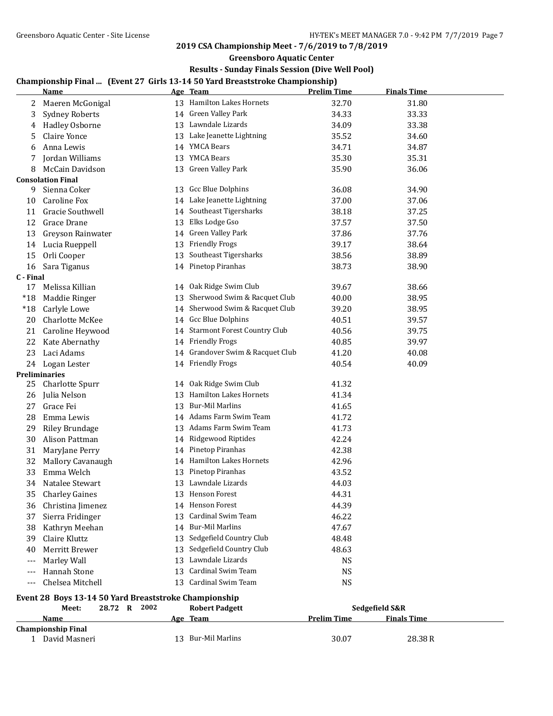**Greensboro Aquatic Center**

## **Results - Sunday Finals Session (Dive Well Pool)**

# **Championship Final ... (Event 27 Girls 13-14 50 Yard Breaststroke Championship)**

|                          | <u>Name</u>                                           |    | Championship rinai    (Event 27   un is 15-14 50  rai u breastströke Championship)<br>Age Team | <b>Prelim Time</b> | <b>Finals Time</b> |  |
|--------------------------|-------------------------------------------------------|----|------------------------------------------------------------------------------------------------|--------------------|--------------------|--|
| 2                        | Maeren McGonigal                                      |    | 13 Hamilton Lakes Hornets                                                                      | 32.70              | 31.80              |  |
| 3                        | <b>Sydney Roberts</b>                                 |    | 14 Green Valley Park                                                                           | 34.33              | 33.33              |  |
| 4                        | Hadley Osborne                                        |    | 13 Lawndale Lizards                                                                            | 34.09              | 33.38              |  |
| 5                        | Claire Yonce                                          |    | 13 Lake Jeanette Lightning                                                                     | 35.52              | 34.60              |  |
| 6                        | Anna Lewis                                            |    | 14 YMCA Bears                                                                                  | 34.71              | 34.87              |  |
| 7                        | Jordan Williams                                       |    | 13 YMCA Bears                                                                                  | 35.30              | 35.31              |  |
| 8                        | McCain Davidson                                       |    | 13 Green Valley Park                                                                           | 35.90              | 36.06              |  |
|                          | <b>Consolation Final</b>                              |    |                                                                                                |                    |                    |  |
| 9                        | Sienna Coker                                          |    | 13 Gcc Blue Dolphins                                                                           | 36.08              | 34.90              |  |
| 10                       | Caroline Fox                                          |    | 14 Lake Jeanette Lightning                                                                     | 37.00              | 37.06              |  |
| 11                       | Gracie Southwell                                      |    | 14 Southeast Tigersharks                                                                       | 38.18              | 37.25              |  |
| 12                       | Grace Drane                                           |    | 13 Elks Lodge Gso                                                                              | 37.57              | 37.50              |  |
| 13                       | Greyson Rainwater                                     |    | 14 Green Valley Park                                                                           | 37.86              | 37.76              |  |
| 14                       | Lucia Rueppell                                        |    | 13 Friendly Frogs                                                                              | 39.17              | 38.64              |  |
| 15                       | Orli Cooper                                           |    | 13 Southeast Tigersharks                                                                       | 38.56              | 38.89              |  |
| 16                       | Sara Tiganus                                          |    | 14 Pinetop Piranhas                                                                            | 38.73              | 38.90              |  |
| C - Final                |                                                       |    |                                                                                                |                    |                    |  |
| 17                       | Melissa Killian                                       |    | 14 Oak Ridge Swim Club                                                                         | 39.67              | 38.66              |  |
| $*18$                    | Maddie Ringer                                         |    | 13 Sherwood Swim & Racquet Club                                                                | 40.00              | 38.95              |  |
| $*18$                    | Carlyle Lowe                                          |    | 14 Sherwood Swim & Racquet Club                                                                | 39.20              | 38.95              |  |
| 20                       | Charlotte McKee                                       |    | 14 Gcc Blue Dolphins                                                                           | 40.51              | 39.57              |  |
| 21                       | Caroline Heywood                                      |    | 14 Starmont Forest Country Club                                                                | 40.56              | 39.75              |  |
| 22                       | Kate Abernathy                                        |    | 14 Friendly Frogs                                                                              | 40.85              | 39.97              |  |
| 23                       | Laci Adams                                            |    | 14 Grandover Swim & Racquet Club                                                               | 41.20              | 40.08              |  |
|                          | 24 Logan Lester                                       |    | 14 Friendly Frogs                                                                              | 40.54              | 40.09              |  |
|                          | Preliminaries                                         |    |                                                                                                |                    |                    |  |
| 25                       | Charlotte Spurr                                       |    | 14 Oak Ridge Swim Club                                                                         | 41.32              |                    |  |
| 26                       | Julia Nelson                                          |    | 13 Hamilton Lakes Hornets                                                                      | 41.34              |                    |  |
| 27                       | Grace Fei                                             |    | 13 Bur-Mil Marlins                                                                             | 41.65              |                    |  |
| 28                       | Emma Lewis                                            |    | 14 Adams Farm Swim Team                                                                        | 41.72              |                    |  |
| 29                       | <b>Riley Brundage</b>                                 |    | 13 Adams Farm Swim Team                                                                        | 41.73              |                    |  |
| 30                       | Alison Pattman                                        |    | 14 Ridgewood Riptides                                                                          | 42.24              |                    |  |
| 31                       | MaryJane Perry                                        |    | 14 Pinetop Piranhas                                                                            | 42.38              |                    |  |
| 32                       | Mallory Cavanaugh                                     |    | 14 Hamilton Lakes Hornets                                                                      | 42.96              |                    |  |
| 33                       | Emma Welch                                            |    | 13 Pinetop Piranhas                                                                            | 43.52              |                    |  |
| 34                       | Natalee Stewart                                       |    | 13 Lawndale Lizards                                                                            | 44.03              |                    |  |
| 35                       | <b>Charley Gaines</b>                                 |    | 13 Henson Forest                                                                               | 44.31              |                    |  |
| 36                       | Christina Jimenez                                     |    | 14 Henson Forest                                                                               | 44.39              |                    |  |
| 37                       | Sierra Fridinger                                      | 13 | <b>Cardinal Swim Team</b>                                                                      | 46.22              |                    |  |
| 38                       | Kathryn Meehan                                        |    | 14 Bur-Mil Marlins                                                                             | 47.67              |                    |  |
| 39                       | Claire Kluttz                                         | 13 | Sedgefield Country Club                                                                        | 48.48              |                    |  |
| 40                       | Merritt Brewer                                        | 13 | Sedgefield Country Club                                                                        | 48.63              |                    |  |
| $\overline{\phantom{a}}$ | Marley Wall                                           | 13 | Lawndale Lizards                                                                               | <b>NS</b>          |                    |  |
| ---                      | Hannah Stone                                          | 13 | Cardinal Swim Team                                                                             | <b>NS</b>          |                    |  |
|                          | Chelsea Mitchell                                      | 13 | Cardinal Swim Team                                                                             | <b>NS</b>          |                    |  |
|                          | Event 28 Boys 13-14 50 Yard Breaststroke Championship |    |                                                                                                |                    |                    |  |
|                          | 28.72 R 2002<br>Meet:                                 |    | <b>Robert Padgett</b>                                                                          |                    | Sedgefield S&R     |  |
|                          | Name                                                  |    | Age Team                                                                                       | <b>Prelim Time</b> | <b>Finals Time</b> |  |
|                          | <b>Championship Final</b>                             |    |                                                                                                |                    |                    |  |
|                          | 1 David Masneri                                       |    | 13 Bur-Mil Marlins                                                                             | 30.07              | 28.38R             |  |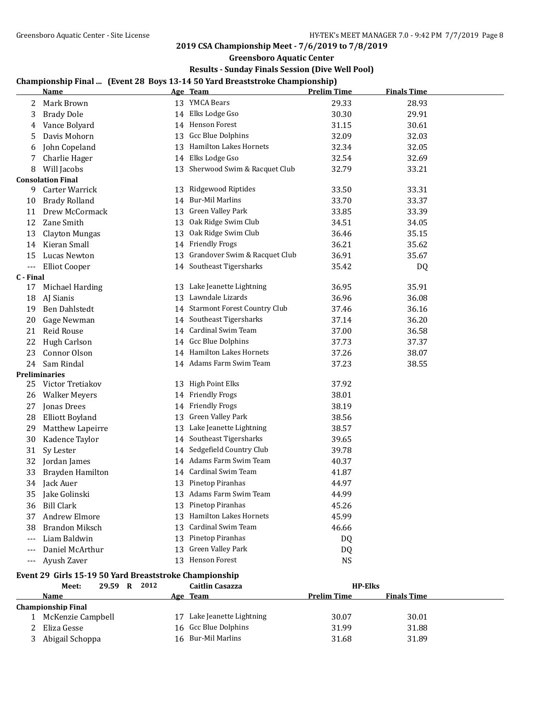**Greensboro Aquatic Center**

## **Results - Sunday Finals Session (Dive Well Pool)**

# **Championship Final ... (Event 28 Boys 13-14 50 Yard Breaststroke Championship)**

|                          | <u>Name</u>                                            |    | спатрюнэтр г таг   (Event 20-Doys 15-14 50-таги Dreastsu оке спатрюнэтр)<br>Age Team | <b>Prelim Time</b> | <b>Finals Time</b> |
|--------------------------|--------------------------------------------------------|----|--------------------------------------------------------------------------------------|--------------------|--------------------|
| 2                        | Mark Brown                                             |    | 13 YMCA Bears                                                                        | 29.33              | 28.93              |
| 3                        | <b>Brady Dole</b>                                      |    | 14 Elks Lodge Gso                                                                    | 30.30              | 29.91              |
| 4                        | Vance Bolyard                                          |    | 14 Henson Forest                                                                     | 31.15              | 30.61              |
| 5                        | Davis Mohorn                                           |    | 13 Gcc Blue Dolphins                                                                 | 32.09              | 32.03              |
| 6                        | John Copeland                                          |    | 13 Hamilton Lakes Hornets                                                            | 32.34              | 32.05              |
| 7                        | Charlie Hager                                          |    | 14 Elks Lodge Gso                                                                    | 32.54              | 32.69              |
| 8                        | Will Jacobs                                            |    | 13 Sherwood Swim & Racquet Club                                                      | 32.79              | 33.21              |
|                          | <b>Consolation Final</b>                               |    |                                                                                      |                    |                    |
| 9                        | Carter Warrick                                         | 13 | Ridgewood Riptides                                                                   | 33.50              | 33.31              |
| 10                       | <b>Brady Rolland</b>                                   |    | 14 Bur-Mil Marlins                                                                   | 33.70              | 33.37              |
| 11                       | Drew McCormack                                         |    | 13 Green Valley Park                                                                 | 33.85              | 33.39              |
| 12                       | Zane Smith                                             |    | 13 Oak Ridge Swim Club                                                               | 34.51              | 34.05              |
| 13                       | <b>Clayton Mungas</b>                                  | 13 | Oak Ridge Swim Club                                                                  | 36.46              | 35.15              |
| 14                       | Kieran Small                                           |    | 14 Friendly Frogs                                                                    | 36.21              | 35.62              |
| 15                       | Lucas Newton                                           | 13 | Grandover Swim & Racquet Club                                                        | 36.91              | 35.67              |
| $\overline{\phantom{a}}$ | <b>Elliot Cooper</b>                                   |    | 14 Southeast Tigersharks                                                             | 35.42              | DQ                 |
| C - Final                |                                                        |    |                                                                                      |                    |                    |
| 17                       | Michael Harding                                        |    | 13 Lake Jeanette Lightning                                                           | 36.95              | 35.91              |
| 18                       | AJ Sianis                                              | 13 | Lawndale Lizards                                                                     | 36.96              | 36.08              |
| 19                       | <b>Ben Dahlstedt</b>                                   |    | 14 Starmont Forest Country Club                                                      | 37.46              | 36.16              |
| 20                       | Gage Newman                                            |    | 14 Southeast Tigersharks                                                             | 37.14              | 36.20              |
| 21                       | <b>Reid Rouse</b>                                      |    | 14 Cardinal Swim Team                                                                | 37.00              | 36.58              |
| 22                       | <b>Hugh Carlson</b>                                    |    | 14 Gcc Blue Dolphins                                                                 | 37.73              | 37.37              |
| 23                       | Connor Olson                                           |    | 14 Hamilton Lakes Hornets                                                            | 37.26              | 38.07              |
| 24                       | Sam Rindal                                             |    | 14 Adams Farm Swim Team                                                              | 37.23              | 38.55              |
|                          | <b>Preliminaries</b>                                   |    |                                                                                      |                    |                    |
| 25                       | Victor Tretiakov                                       |    | 13 High Point Elks                                                                   | 37.92              |                    |
| 26                       | <b>Walker Meyers</b>                                   |    | 14 Friendly Frogs                                                                    | 38.01              |                    |
| 27                       | Jonas Drees                                            |    | 14 Friendly Frogs                                                                    | 38.19              |                    |
| 28                       | <b>Elliott Boyland</b>                                 | 13 | Green Valley Park                                                                    | 38.56              |                    |
| 29                       | Matthew Lapeirre                                       | 13 | Lake Jeanette Lightning                                                              | 38.57              |                    |
| 30                       | Kadence Taylor                                         |    | 14 Southeast Tigersharks                                                             | 39.65              |                    |
| 31                       | Sy Lester                                              |    | 14 Sedgefield Country Club                                                           | 39.78              |                    |
| 32                       | Jordan James                                           |    | 14 Adams Farm Swim Team                                                              | 40.37              |                    |
| 33                       | Brayden Hamilton                                       |    | 14 Cardinal Swim Team                                                                | 41.87              |                    |
| 34                       | Jack Auer                                              |    | 13 Pinetop Piranhas                                                                  | 44.97              |                    |
| 35                       | Jake Golinski                                          |    | 13 Adams Farm Swim Team                                                              | 44.99              |                    |
| 36                       | <b>Bill Clark</b>                                      |    | 13 Pinetop Piranhas                                                                  | 45.26              |                    |
| 37                       | Andrew Elmore                                          |    | 13 Hamilton Lakes Hornets                                                            | 45.99              |                    |
| 38                       | <b>Brandon Miksch</b>                                  | 13 | Cardinal Swim Team                                                                   | 46.66              |                    |
| ---                      | Liam Baldwin                                           |    | 13 Pinetop Piranhas                                                                  | DQ                 |                    |
|                          | Daniel McArthur                                        | 13 | Green Valley Park                                                                    | DQ                 |                    |
| ---                      | Ayush Zaver                                            |    | 13 Henson Forest                                                                     | <b>NS</b>          |                    |
|                          | Event 29 Girls 15-19 50 Yard Breaststroke Championship |    |                                                                                      |                    |                    |
|                          | 29.59 R 2012<br>Meet:                                  |    | <b>Caitlin Casazza</b>                                                               | <b>HP-Elks</b>     |                    |
|                          | <b>Name</b>                                            |    | Age Team                                                                             | <b>Prelim Time</b> | <b>Finals Time</b> |
|                          | <b>Championship Final</b>                              |    |                                                                                      |                    |                    |

 McKenzie Campbell 17 Lake Jeanette Lightning 30.07 30.01 2 Eliza Gesse 21.6 Gcc Blue Dolphins 31.99 31.88 3 Abigail Schoppa 16 Bur-Mil Marlins 31.68 31.69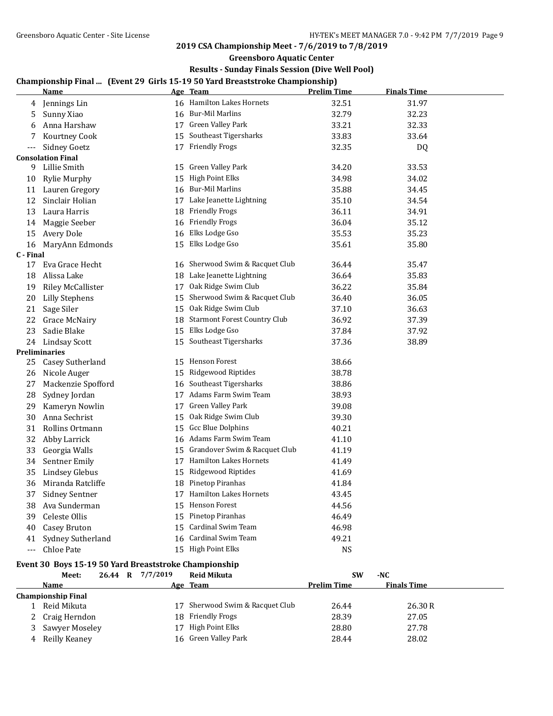**Greensboro Aquatic Center**

## **Results - Sunday Finals Session (Dive Well Pool)**

# **Championship Final ... (Event 29 Girls 15-19 50 Yard Breaststroke Championship)**

|           | <u>Name</u>              |    | спатрюнэтр гипат. (Livence) читэ 19-19 облага Di caststrone спатрюнэтр)<br>Age Team | <b>Prelim Time</b> | <b>Finals Time</b> |  |
|-----------|--------------------------|----|-------------------------------------------------------------------------------------|--------------------|--------------------|--|
| 4         | Jennings Lin             |    | 16 Hamilton Lakes Hornets                                                           | 32.51              | 31.97              |  |
| 5         | Sunny Xiao               |    | 16 Bur-Mil Marlins                                                                  | 32.79              | 32.23              |  |
| 6         | Anna Harshaw             |    | 17 Green Valley Park                                                                | 33.21              | 32.33              |  |
| 7         | Kourtney Cook            |    | 15 Southeast Tigersharks                                                            | 33.83              | 33.64              |  |
| $---$     | Sidney Goetz             |    | 17 Friendly Frogs                                                                   | 32.35              | DQ                 |  |
|           | <b>Consolation Final</b> |    |                                                                                     |                    |                    |  |
| 9         | Lillie Smith             |    | 15 Green Valley Park                                                                | 34.20              | 33.53              |  |
| 10        | Rylie Murphy             | 15 | High Point Elks                                                                     | 34.98              | 34.02              |  |
|           | 11 Lauren Gregory        |    | 16 Bur-Mil Marlins                                                                  | 35.88              | 34.45              |  |
| 12        | Sinclair Holian          |    | 17 Lake Jeanette Lightning                                                          | 35.10              | 34.54              |  |
| 13        | Laura Harris             |    | 18 Friendly Frogs                                                                   | 36.11              | 34.91              |  |
| 14        | Maggie Seeber            |    | 16 Friendly Frogs                                                                   | 36.04              | 35.12              |  |
| 15        | Avery Dole               |    | 16 Elks Lodge Gso                                                                   | 35.53              | 35.23              |  |
| 16        | MaryAnn Edmonds          | 15 | Elks Lodge Gso                                                                      | 35.61              | 35.80              |  |
| C - Final |                          |    |                                                                                     |                    |                    |  |
| 17        | Eva Grace Hecht          | 16 | Sherwood Swim & Racquet Club                                                        | 36.44              | 35.47              |  |
| 18        | Alissa Lake              |    | 18 Lake Jeanette Lightning                                                          | 36.64              | 35.83              |  |
| 19        | <b>Riley McCallister</b> |    | 17 Oak Ridge Swim Club                                                              | 36.22              | 35.84              |  |
| 20        | <b>Lilly Stephens</b>    |    | 15 Sherwood Swim & Racquet Club                                                     | 36.40              | 36.05              |  |
| 21        | Sage Siler               |    | 15 Oak Ridge Swim Club                                                              | 37.10              | 36.63              |  |
| 22        | Grace McNairy            |    | 18 Starmont Forest Country Club                                                     | 36.92              | 37.39              |  |
| 23        | Sadie Blake              |    | 15 Elks Lodge Gso                                                                   | 37.84              | 37.92              |  |
| 24        | Lindsay Scott            |    | 15 Southeast Tigersharks                                                            | 37.36              | 38.89              |  |
|           | <b>Preliminaries</b>     |    |                                                                                     |                    |                    |  |
| 25        | Casey Sutherland         |    | 15 Henson Forest                                                                    | 38.66              |                    |  |
| 26        | Nicole Auger             | 15 | Ridgewood Riptides                                                                  | 38.78              |                    |  |
| 27        | Mackenzie Spofford       | 16 | Southeast Tigersharks                                                               | 38.86              |                    |  |
| 28        | Sydney Jordan            |    | 17 Adams Farm Swim Team                                                             | 38.93              |                    |  |
| 29        | Kameryn Nowlin           |    | 17 Green Valley Park                                                                | 39.08              |                    |  |
| 30        | Anna Sechrist            | 15 | Oak Ridge Swim Club                                                                 | 39.30              |                    |  |
| 31        | Rollins Ortmann          | 15 | <b>Gcc Blue Dolphins</b>                                                            | 40.21              |                    |  |
| 32        | Abby Larrick             |    | 16 Adams Farm Swim Team                                                             | 41.10              |                    |  |
| 33        | Georgia Walls            |    | 15 Grandover Swim & Racquet Club                                                    | 41.19              |                    |  |
| 34        | Sentner Emily            |    | 17 Hamilton Lakes Hornets                                                           | 41.49              |                    |  |
| 35        | Lindsey Glebus           |    | 15 Ridgewood Riptides                                                               | 41.69              |                    |  |
| 36        | Miranda Ratcliffe        |    | 18 Pinetop Piranhas                                                                 | 41.84              |                    |  |
| 37        | <b>Sidney Sentner</b>    |    | 17 Hamilton Lakes Hornets                                                           | 43.45              |                    |  |
| 38        | Ava Sunderman            |    | 15 Henson Forest                                                                    | 44.56              |                    |  |
| 39        | Celeste Ollis            |    | 15 Pinetop Piranhas                                                                 | 46.49              |                    |  |
| 40        | Casey Bruton             |    | 15 Cardinal Swim Team                                                               | 46.98              |                    |  |
| 41        | Sydney Sutherland        |    | 16 Cardinal Swim Team                                                               | 49.21              |                    |  |
| $---$     | Chloe Pate               |    | 15 High Point Elks                                                                  | NS                 |                    |  |

# **Event 30 Boys 15-19 50 Yard Breaststroke Championship**<br>Meet 26.44 B 7/7/2019 Boid Mikuta

|   | Meet:              | 26.44 R | 7/7/2019 | <b>Reid Mikuta</b>           | <b>SW</b>          | -NC                |  |
|---|--------------------|---------|----------|------------------------------|--------------------|--------------------|--|
|   | Name               |         |          | Age Team                     | <b>Prelim Time</b> | <b>Finals Time</b> |  |
|   | Championship Final |         |          |                              |                    |                    |  |
|   | Reid Mikuta        |         | 17       | Sherwood Swim & Racquet Club | 26.44              | 26.30R             |  |
| 2 | Craig Herndon      |         |          | 18 Friendly Frogs            | 28.39              | 27.05              |  |
|   | Sawyer Moseley     |         | 17       | High Point Elks              | 28.80              | 27.78              |  |
| 4 | Reilly Keaney      |         |          | 16 Green Valley Park         | 28.44              | 28.02              |  |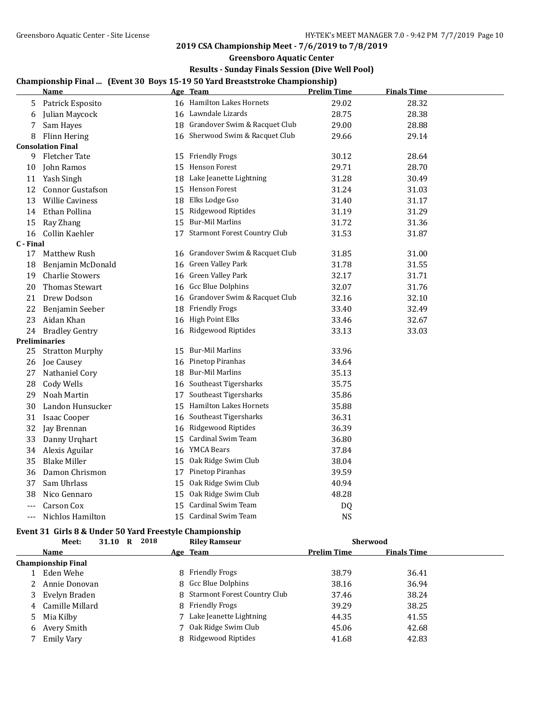**Greensboro Aquatic Center**

## **Results - Sunday Finals Session (Dive Well Pool)**

## **Championship Final ... (Event 30 Boys 15-19 50 Yard Breaststroke Championship)**

|           | <u>Name</u>              |    | <u>Age Team</u>                  | <b>Prelim Time</b> | <b>Finals Time</b> |
|-----------|--------------------------|----|----------------------------------|--------------------|--------------------|
| 5         | Patrick Esposito         |    | 16 Hamilton Lakes Hornets        | 29.02              | 28.32              |
| 6         | Julian Maycock           |    | 16 Lawndale Lizards              | 28.75              | 28.38              |
| 7         | Sam Hayes                |    | 18 Grandover Swim & Racquet Club | 29.00              | 28.88              |
| 8         | Flinn Hering             |    | 16 Sherwood Swim & Racquet Club  | 29.66              | 29.14              |
|           | <b>Consolation Final</b> |    |                                  |                    |                    |
| 9         | <b>Fletcher Tate</b>     |    | 15 Friendly Frogs                | 30.12              | 28.64              |
| 10        | John Ramos               |    | 15 Henson Forest                 | 29.71              | 28.70              |
| 11        | Yash Singh               |    | 18 Lake Jeanette Lightning       | 31.28              | 30.49              |
| 12        | <b>Connor Gustafson</b>  |    | 15 Henson Forest                 | 31.24              | 31.03              |
| 13        | <b>Willie Caviness</b>   |    | 18 Elks Lodge Gso                | 31.40              | 31.17              |
| 14        | Ethan Pollina            | 15 | Ridgewood Riptides               | 31.19              | 31.29              |
| 15        | Ray Zhang                |    | 15 Bur-Mil Marlins               | 31.72              | 31.36              |
| 16        | Collin Kaehler           |    | 17 Starmont Forest Country Club  | 31.53              | 31.87              |
| C - Final |                          |    |                                  |                    |                    |
| 17        | Matthew Rush             |    | 16 Grandover Swim & Racquet Club | 31.85              | 31.00              |
| 18        | Benjamin McDonald        | 16 | Green Valley Park                | 31.78              | 31.55              |
| 19        | <b>Charlie Stowers</b>   | 16 | Green Valley Park                | 32.17              | 31.71              |
| 20        | <b>Thomas Stewart</b>    | 16 | <b>Gcc Blue Dolphins</b>         | 32.07              | 31.76              |
| 21        | Drew Dodson              |    | 16 Grandover Swim & Racquet Club | 32.16              | 32.10              |
| 22        | Benjamin Seeber          |    | 18 Friendly Frogs                | 33.40              | 32.49              |
| 23        | Aidan Khan               |    | 16 High Point Elks               | 33.46              | 32.67              |
| 24        | <b>Bradley Gentry</b>    | 16 | Ridgewood Riptides               | 33.13              | 33.03              |
|           | Preliminaries            |    |                                  |                    |                    |
| 25        | <b>Stratton Murphy</b>   | 15 | <b>Bur-Mil Marlins</b>           | 33.96              |                    |
| 26        | Joe Causey               |    | 16 Pinetop Piranhas              | 34.64              |                    |
| 27        | Nathaniel Cory           |    | 18 Bur-Mil Marlins               | 35.13              |                    |
| 28        | Cody Wells               |    | 16 Southeast Tigersharks         | 35.75              |                    |
| 29        | Noah Martin              | 17 | Southeast Tigersharks            | 35.86              |                    |
| 30        | Landon Hunsucker         | 15 | Hamilton Lakes Hornets           | 35.88              |                    |
| 31        | <b>Isaac Cooper</b>      | 16 | Southeast Tigersharks            | 36.31              |                    |
| 32        | Jay Brennan              | 16 | Ridgewood Riptides               | 36.39              |                    |
| 33        | Danny Urghart            | 15 | Cardinal Swim Team               | 36.80              |                    |
| 34        | Alexis Aguilar           |    | 16 YMCA Bears                    | 37.84              |                    |
| 35        | <b>Blake Miller</b>      | 15 | Oak Ridge Swim Club              | 38.04              |                    |
| 36        | Damon Chrismon           |    | 17 Pinetop Piranhas              | 39.59              |                    |
| 37        | Sam Uhrlass              | 15 | Oak Ridge Swim Club              | 40.94              |                    |
| 38        | Nico Gennaro             | 15 | Oak Ridge Swim Club              | 48.28              |                    |
| ---       | Carson Cox               | 15 | Cardinal Swim Team               | DQ                 |                    |
| ---       | Nichlos Hamilton         | 15 | Cardinal Swim Team               | <b>NS</b>          |                    |

### **Event 31 Girls 8 & Under 50 Yard Freestyle Championship**

|                           | Meet:             | 31.10 | R | 2018 |  | <b>Riley Ramseur</b>           | <b>Sherwood</b>    |                    |  |
|---------------------------|-------------------|-------|---|------|--|--------------------------------|--------------------|--------------------|--|
|                           | Name              |       |   |      |  | Age Team                       | <b>Prelim Time</b> | <b>Finals Time</b> |  |
| <b>Championship Final</b> |                   |       |   |      |  |                                |                    |                    |  |
|                           | 1 Eden Wehe       |       |   |      |  | 8 Friendly Frogs               | 38.79              | 36.41              |  |
|                           | 2 Annie Donovan   |       |   |      |  | 8 Gcc Blue Dolphins            | 38.16              | 36.94              |  |
| 3                         | Evelyn Braden     |       |   |      |  | 8 Starmont Forest Country Club | 37.46              | 38.24              |  |
|                           | 4 Camille Millard |       |   |      |  | 8 Friendly Frogs               | 39.29              | 38.25              |  |
|                           | 5 Mia Kilby       |       |   |      |  | 7 Lake Jeanette Lightning      | 44.35              | 41.55              |  |
| 6                         | Avery Smith       |       |   |      |  | 7 Oak Ridge Swim Club          | 45.06              | 42.68              |  |
|                           | Emily Vary        |       |   |      |  | 8 Ridgewood Riptides           | 41.68              | 42.83              |  |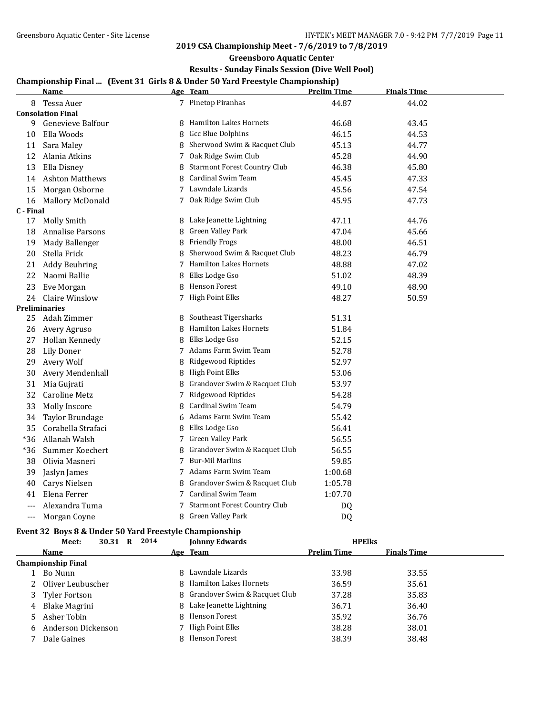**Greensboro Aquatic Center**

## **Results - Sunday Finals Session (Dive Well Pool)**

# **Championship Final ... (Event 31 Girls 8 & Under 50 Yard Freestyle Championship)**

|           | <b>Name</b>              |   | Age Team                            | <b>Prelim Time</b> | <b>Finals Time</b> |  |
|-----------|--------------------------|---|-------------------------------------|--------------------|--------------------|--|
|           | 8 Tessa Auer             |   | 7 Pinetop Piranhas                  | 44.87              | 44.02              |  |
|           | <b>Consolation Final</b> |   |                                     |                    |                    |  |
| 9         | Genevieve Balfour        |   | 8 Hamilton Lakes Hornets            | 46.68              | 43.45              |  |
| 10        | Ella Woods               | 8 | Gcc Blue Dolphins                   | 46.15              | 44.53              |  |
| 11        | Sara Maley               | 8 | Sherwood Swim & Racquet Club        | 45.13              | 44.77              |  |
| 12        | Alania Atkins            | 7 | Oak Ridge Swim Club                 | 45.28              | 44.90              |  |
| 13        | Ella Disney              | 8 | <b>Starmont Forest Country Club</b> | 46.38              | 45.80              |  |
| 14        | <b>Ashton Matthews</b>   |   | 8 Cardinal Swim Team                | 45.45              | 47.33              |  |
| 15        | Morgan Osborne           |   | 7 Lawndale Lizards                  | 45.56              | 47.54              |  |
| 16        | Mallory McDonald         |   | 7 Oak Ridge Swim Club               | 45.95              | 47.73              |  |
| C - Final |                          |   |                                     |                    |                    |  |
| 17        | Molly Smith              |   | 8 Lake Jeanette Lightning           | 47.11              | 44.76              |  |
| 18        | Annalise Parsons         | 8 | Green Valley Park                   | 47.04              | 45.66              |  |
| 19        | Mady Ballenger           | 8 | <b>Friendly Frogs</b>               | 48.00              | 46.51              |  |
| 20        | Stella Frick             | 8 | Sherwood Swim & Racquet Club        | 48.23              | 46.79              |  |
| 21        | <b>Addy Beuhring</b>     |   | 7 Hamilton Lakes Hornets            | 48.88              | 47.02              |  |
| 22        | Naomi Ballie             | 8 | Elks Lodge Gso                      | 51.02              | 48.39              |  |
| 23        | Eve Morgan               | 8 | Henson Forest                       | 49.10              | 48.90              |  |
| 24        | Claire Winslow           |   | 7 High Point Elks                   | 48.27              | 50.59              |  |
|           | Preliminaries            |   |                                     |                    |                    |  |
| 25        | Adah Zimmer              |   | 8 Southeast Tigersharks             | 51.31              |                    |  |
| 26        | Avery Agruso             | 8 | <b>Hamilton Lakes Hornets</b>       | 51.84              |                    |  |
| 27        | Hollan Kennedy           | 8 | Elks Lodge Gso                      | 52.15              |                    |  |
| 28        | <b>Lily Doner</b>        |   | 7 Adams Farm Swim Team              | 52.78              |                    |  |
| 29        | Avery Wolf               | 8 | Ridgewood Riptides                  | 52.97              |                    |  |
| 30        | Avery Mendenhall         |   | 8 High Point Elks                   | 53.06              |                    |  |
| 31        | Mia Gujrati              | 8 | Grandover Swim & Racquet Club       | 53.97              |                    |  |
| 32        | Caroline Metz            | 7 | Ridgewood Riptides                  | 54.28              |                    |  |
| 33        | Molly Inscore            | 8 | <b>Cardinal Swim Team</b>           | 54.79              |                    |  |
| 34        | Taylor Brundage          | 6 | Adams Farm Swim Team                | 55.42              |                    |  |
| 35        | Corabella Strafaci       | 8 | Elks Lodge Gso                      | 56.41              |                    |  |
| *36       | Allanah Walsh            | 7 | Green Valley Park                   | 56.55              |                    |  |
| *36       | Summer Koechert          | 8 | Grandover Swim & Racquet Club       | 56.55              |                    |  |
| 38        | Olivia Masneri           | 7 | <b>Bur-Mil Marlins</b>              | 59.85              |                    |  |
| 39        | Jaslyn James             |   | 7 Adams Farm Swim Team              | 1:00.68            |                    |  |
| 40        | Carys Nielsen            | 8 | Grandover Swim & Racquet Club       | 1:05.78            |                    |  |
| 41        | Elena Ferrer             |   | 7 Cardinal Swim Team                | 1:07.70            |                    |  |
| ---       | Alexandra Tuma           |   | 7 Starmont Forest Country Club      | DQ                 |                    |  |
| ---       | Morgan Coyne             | 8 | Green Valley Park                   | D <sub>0</sub>     |                    |  |

# **Event 32 Boys 8 & Under 50 Yard Freestyle Championship**

|   | Meet:                     | 30.31 | R | 2014 |  | <b>Johnny Edwards</b>           | <b>HPEIKS</b>      |                    |  |
|---|---------------------------|-------|---|------|--|---------------------------------|--------------------|--------------------|--|
|   | Name                      |       |   |      |  | Age Team                        | <b>Prelim Time</b> | <b>Finals Time</b> |  |
|   | <b>Championship Final</b> |       |   |      |  |                                 |                    |                    |  |
|   | 1 Bo Nunn                 |       |   |      |  | 8 Lawndale Lizards              | 33.98              | 33.55              |  |
|   | 2 Oliver Leubuscher       |       |   |      |  | 8 Hamilton Lakes Hornets        | 36.59              | 35.61              |  |
|   | 3 Tyler Fortson           |       |   |      |  | 8 Grandover Swim & Racquet Club | 37.28              | 35.83              |  |
| 4 | Blake Magrini             |       |   |      |  | 8 Lake Jeanette Lightning       | 36.71              | 36.40              |  |
|   | 5 Asher Tobin             |       |   |      |  | 8 Henson Forest                 | 35.92              | 36.76              |  |
|   | 6 Anderson Dickenson      |       |   |      |  | 7 High Point Elks               | 38.28              | 38.01              |  |
|   | Dale Gaines               |       |   |      |  | 8 Henson Forest                 | 38.39              | 38.48              |  |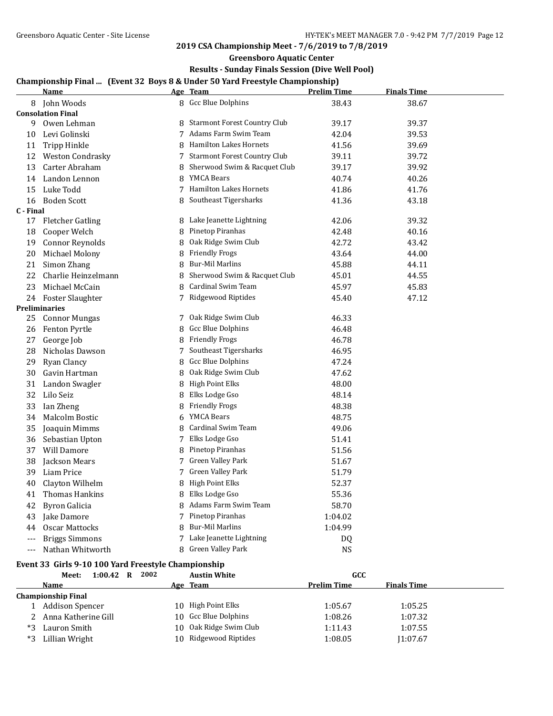**Greensboro Aquatic Center**

## **Results - Sunday Finals Session (Dive Well Pool)**

## **Championship Final ... (Event 32 Boys 8 & Under 50 Yard Freestyle Championship)**

|           | <b>Name</b>              |   | Age Team                            | <b>Prelim Time</b> | <b>Finals Time</b> |  |
|-----------|--------------------------|---|-------------------------------------|--------------------|--------------------|--|
| 8         | John Woods               |   | 8 Gcc Blue Dolphins                 | 38.43              | 38.67              |  |
|           | <b>Consolation Final</b> |   |                                     |                    |                    |  |
| 9         | Owen Lehman              | 8 | <b>Starmont Forest Country Club</b> | 39.17              | 39.37              |  |
| 10        | Levi Golinski            |   | 7 Adams Farm Swim Team              | 42.04              | 39.53              |  |
| 11        | <b>Tripp Hinkle</b>      | 8 | <b>Hamilton Lakes Hornets</b>       | 41.56              | 39.69              |  |
| 12        | Weston Condrasky         | 7 | <b>Starmont Forest Country Club</b> | 39.11              | 39.72              |  |
| 13        | Carter Abraham           | 8 | Sherwood Swim & Racquet Club        | 39.17              | 39.92              |  |
| 14        | Landon Lennon            | 8 | <b>YMCA Bears</b>                   | 40.74              | 40.26              |  |
| 15        | Luke Todd                |   | <b>Hamilton Lakes Hornets</b>       | 41.86              | 41.76              |  |
| 16        | <b>Boden Scott</b>       | 8 | Southeast Tigersharks               | 41.36              | 43.18              |  |
| C - Final |                          |   |                                     |                    |                    |  |
| 17        | <b>Fletcher Gatling</b>  |   | 8 Lake Jeanette Lightning           | 42.06              | 39.32              |  |
| 18        | Cooper Welch             | 8 | Pinetop Piranhas                    | 42.48              | 40.16              |  |
| 19        | <b>Connor Reynolds</b>   | 8 | Oak Ridge Swim Club                 | 42.72              | 43.42              |  |
| 20        | Michael Molony           | 8 | <b>Friendly Frogs</b>               | 43.64              | 44.00              |  |
| 21        | Simon Zhang              | 8 | <b>Bur-Mil Marlins</b>              | 45.88              | 44.11              |  |
| 22        | Charlie Heinzelmann      | 8 | Sherwood Swim & Racquet Club        | 45.01              | 44.55              |  |
| 23        | Michael McCain           | 8 | Cardinal Swim Team                  | 45.97              | 45.83              |  |
| 24        | Foster Slaughter         |   | 7 Ridgewood Riptides                | 45.40              | 47.12              |  |
|           | Preliminaries            |   |                                     |                    |                    |  |
| 25        | <b>Connor Mungas</b>     | 7 | Oak Ridge Swim Club                 | 46.33              |                    |  |
| 26        | Fenton Pyrtle            | 8 | <b>Gcc Blue Dolphins</b>            | 46.48              |                    |  |
| 27        | George Job               |   | 8 Friendly Frogs                    | 46.78              |                    |  |
| 28        | Nicholas Dawson          | 7 | Southeast Tigersharks               | 46.95              |                    |  |
| 29        | Ryan Clancy              | 8 | Gcc Blue Dolphins                   | 47.24              |                    |  |
| 30        | Gavin Hartman            | 8 | Oak Ridge Swim Club                 | 47.62              |                    |  |
| 31        | Landon Swagler           | 8 | <b>High Point Elks</b>              | 48.00              |                    |  |
| 32        | Lilo Seiz                | 8 | Elks Lodge Gso                      | 48.14              |                    |  |
| 33        | Ian Zheng                | 8 | <b>Friendly Frogs</b>               | 48.38              |                    |  |
| 34        | Malcolm Bostic           | 6 | <b>YMCA Bears</b>                   | 48.75              |                    |  |
| 35        | Joaquin Mimms            | 8 | Cardinal Swim Team                  | 49.06              |                    |  |
| 36        | Sebastian Upton          |   | 7 Elks Lodge Gso                    | 51.41              |                    |  |
| 37        | Will Damore              | 8 | Pinetop Piranhas                    | 51.56              |                    |  |
| 38        | Jackson Mears            | 7 | Green Valley Park                   | 51.67              |                    |  |
| 39        | Liam Price               | 7 | Green Valley Park                   | 51.79              |                    |  |
| 40        | Clayton Wilhelm          | 8 | <b>High Point Elks</b>              | 52.37              |                    |  |
| 41        | Thomas Hankins           | 8 | Elks Lodge Gso                      | 55.36              |                    |  |
| 42        | <b>Byron Galicia</b>     | 8 | Adams Farm Swim Team                | 58.70              |                    |  |
| 43        | Jake Damore              |   | 7 Pinetop Piranhas                  | 1:04.02            |                    |  |
| 44        | <b>Oscar Mattocks</b>    | 8 | <b>Bur-Mil Marlins</b>              | 1:04.99            |                    |  |
| $---$     | <b>Briggs Simmons</b>    |   | 7 Lake Jeanette Lightning           | DQ                 |                    |  |
| $---$     | Nathan Whitworth         | 8 | Green Valley Park                   | <b>NS</b>          |                    |  |

# **Event 33 Girls 9-10 100 Yard Freestyle Championship**<br>Meet: 1:00.42 R 2002 Austin White

|    | $1:00.42$ R<br>Meet:      | 2002 | <b>Austin White</b>    | GCC                |                    |
|----|---------------------------|------|------------------------|--------------------|--------------------|
|    | Name                      |      | Age Team               | <b>Prelim Time</b> | <b>Finals Time</b> |
|    | <b>Championship Final</b> |      |                        |                    |                    |
|    | Addison Spencer           |      | 10 High Point Elks     | 1:05.67            | 1:05.25            |
|    | Anna Katherine Gill       |      | 10 Gcc Blue Dolphins   | 1:08.26            | 1:07.32            |
| *3 | Lauron Smith              |      | 10 Oak Ridge Swim Club | 1:11.43            | 1:07.55            |
| *3 | Lillian Wright            |      | 10 Ridgewood Riptides  | 1:08.05            | 1:07.67            |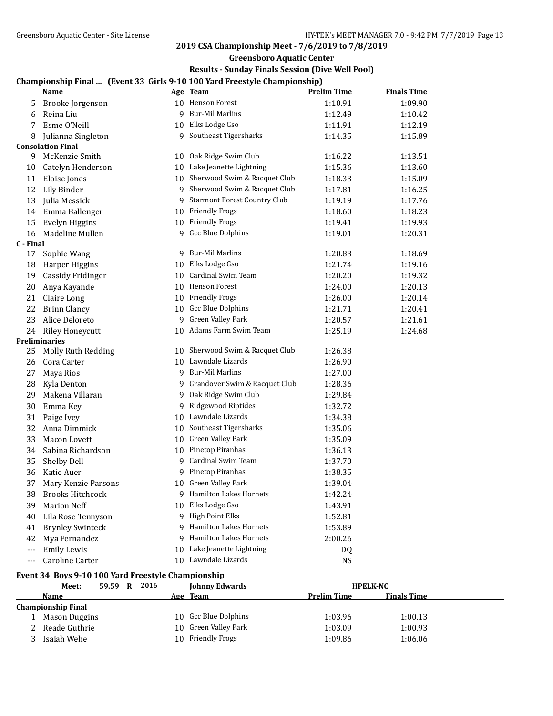**Greensboro Aquatic Center**

## **Results - Sunday Finals Session (Dive Well Pool)**

# **Championship Final ... (Event 33 Girls 9-10 100 Yard Freestyle Championship)**

|           | <u>Name</u>                                        |    | championship rinar (Event 33 Julis 7-10 100 Taru ricestyle championship)<br>Age Team | <b>Prelim Time</b> | <b>Finals Time</b> |  |
|-----------|----------------------------------------------------|----|--------------------------------------------------------------------------------------|--------------------|--------------------|--|
| 5         | Brooke Jorgenson                                   |    | 10 Henson Forest                                                                     | 1:10.91            | 1:09.90            |  |
| 6         | Reina Liu                                          |    | 9 Bur-Mil Marlins                                                                    | 1:12.49            | 1:10.42            |  |
| 7         | Esme O'Neill                                       |    | 10 Elks Lodge Gso                                                                    | 1:11.91            | 1:12.19            |  |
| 8         | Julianna Singleton                                 | 9  | Southeast Tigersharks                                                                | 1:14.35            | 1:15.89            |  |
|           | <b>Consolation Final</b>                           |    |                                                                                      |                    |                    |  |
| 9         | McKenzie Smith                                     |    | 10 Oak Ridge Swim Club                                                               | 1:16.22            | 1:13.51            |  |
| 10        | Catelyn Henderson                                  |    | 10 Lake Jeanette Lightning                                                           | 1:15.36            | 1:13.60            |  |
| 11        | Eloise Jones                                       |    | 10 Sherwood Swim & Racquet Club                                                      | 1:18.33            | 1:15.09            |  |
| 12        | <b>Lily Binder</b>                                 |    | 9 Sherwood Swim & Racquet Club                                                       | 1:17.81            | 1:16.25            |  |
| 13        | Julia Messick                                      | 9  | <b>Starmont Forest Country Club</b>                                                  | 1:19.19            | 1:17.76            |  |
| 14        | Emma Ballenger                                     |    | 10 Friendly Frogs                                                                    | 1:18.60            | 1:18.23            |  |
| 15        | Evelyn Higgins                                     |    | 10 Friendly Frogs                                                                    | 1:19.41            | 1:19.93            |  |
| 16        | Madeline Mullen                                    |    | 9 Gcc Blue Dolphins                                                                  | 1:19.01            | 1:20.31            |  |
| C - Final |                                                    |    |                                                                                      |                    |                    |  |
| 17        | Sophie Wang                                        |    | 9 Bur-Mil Marlins                                                                    | 1:20.83            | 1:18.69            |  |
| 18        | Harper Higgins                                     |    | 10 Elks Lodge Gso                                                                    | 1:21.74            | 1:19.16            |  |
| 19        | <b>Cassidy Fridinger</b>                           |    | 10 Cardinal Swim Team                                                                | 1:20.20            | 1:19.32            |  |
| 20        | Anya Kayande                                       |    | 10 Henson Forest                                                                     | 1:24.00            | 1:20.13            |  |
| 21        | Claire Long                                        |    | 10 Friendly Frogs                                                                    | 1:26.00            | 1:20.14            |  |
| 22        | <b>Brinn Clancy</b>                                |    | 10 Gcc Blue Dolphins                                                                 | 1:21.71            | 1:20.41            |  |
| 23        | Alice Deloreto                                     | 9  | Green Valley Park                                                                    | 1:20.57            | 1:21.61            |  |
| 24        | <b>Riley Honeycutt</b>                             |    | 10 Adams Farm Swim Team                                                              | 1:25.19            | 1:24.68            |  |
|           | <b>Preliminaries</b>                               |    |                                                                                      |                    |                    |  |
| 25        | Molly Ruth Redding                                 |    | 10 Sherwood Swim & Racquet Club                                                      | 1:26.38            |                    |  |
| 26        | Cora Carter                                        |    | 10 Lawndale Lizards                                                                  | 1:26.90            |                    |  |
| 27        | Maya Rios                                          |    | 9 Bur-Mil Marlins                                                                    | 1:27.00            |                    |  |
| 28        | Kyla Denton                                        |    | 9 Grandover Swim & Racquet Club                                                      | 1:28.36            |                    |  |
| 29        | Makena Villaran                                    |    | 9 Oak Ridge Swim Club                                                                | 1:29.84            |                    |  |
| 30        | Emma Key                                           | 9  | Ridgewood Riptides                                                                   | 1:32.72            |                    |  |
| 31        | Paige Ivey                                         |    | 10 Lawndale Lizards                                                                  | 1:34.38            |                    |  |
| 32        | Anna Dimmick                                       | 10 | Southeast Tigersharks                                                                | 1:35.06            |                    |  |
| 33        | <b>Macon Lovett</b>                                |    | 10 Green Valley Park                                                                 | 1:35.09            |                    |  |
| 34        | Sabina Richardson                                  |    | 10 Pinetop Piranhas                                                                  | 1:36.13            |                    |  |
| 35        | Shelby Dell                                        | 9. | <b>Cardinal Swim Team</b>                                                            | 1:37.70            |                    |  |
| 36        | Katie Auer                                         | 9  | Pinetop Piranhas                                                                     | 1:38.35            |                    |  |
| 37        | Mary Kenzie Parsons                                |    | 10 Green Valley Park                                                                 | 1:39.04            |                    |  |
| 38        | <b>Brooks Hitchcock</b>                            |    | 9 Hamilton Lakes Hornets                                                             | 1:42.24            |                    |  |
| 39        | <b>Marion Neff</b>                                 |    | 10 Elks Lodge Gso                                                                    | 1:43.91            |                    |  |
| 40        | Lila Rose Tennyson                                 |    | 9 High Point Elks                                                                    | 1:52.81            |                    |  |
| 41        | <b>Brynley Swinteck</b>                            |    | Hamilton Lakes Hornets                                                               | 1:53.89            |                    |  |
| 42        | Mya Fernandez                                      |    | <b>Hamilton Lakes Hornets</b>                                                        | 2:00.26            |                    |  |
| ---       | <b>Emily Lewis</b>                                 | 10 | Lake Jeanette Lightning                                                              | DQ                 |                    |  |
| ---       | Caroline Carter                                    |    | 10 Lawndale Lizards                                                                  | <b>NS</b>          |                    |  |
|           | Event 34 Boys 9-10 100 Yard Freestyle Championship |    |                                                                                      |                    |                    |  |
|           | 59.59 R 2016<br>Meet:                              |    | <b>Johnny Edwards</b>                                                                |                    | <b>HPELK-NC</b>    |  |
|           | <b>Name</b>                                        |    | Age Team                                                                             | <b>Prelim Time</b> | <b>Finals Time</b> |  |
|           | <b>Championship Final</b>                          |    |                                                                                      |                    |                    |  |
| 1         | <b>Mason Duggins</b>                               |    | 10 Gcc Blue Dolphins                                                                 | 1:03.96            | 1:00.13            |  |
| 2         | Reade Guthrie                                      |    | 10 Green Valley Park                                                                 | 1:03.09            | 1:00.93            |  |
| 3         | Isaiah Wehe                                        |    | 10 Friendly Frogs                                                                    | 1:09.86            | 1:06.06            |  |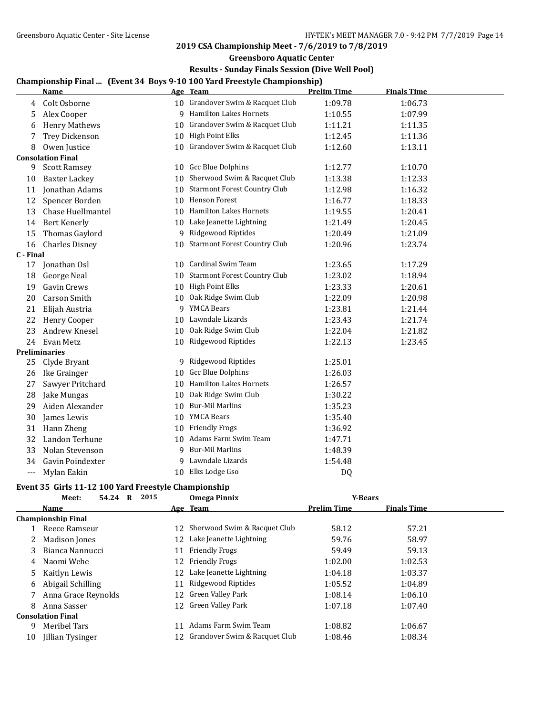### **Greensboro Aquatic Center**

## **Results - Sunday Finals Session (Dive Well Pool)**

# **Championship Final ... (Event 34 Boys 9-10 100 Yard Freestyle Championship)**

|           |                          |    | спатрюнэтр гипаг - технерт роуз э то тоо тага ггесэсун спатрюнэтр |                    |                    |  |
|-----------|--------------------------|----|-------------------------------------------------------------------|--------------------|--------------------|--|
|           | <b>Name</b>              |    | Age Team                                                          | <b>Prelim Time</b> | <b>Finals Time</b> |  |
| 4         | Colt Osborne             |    | 10 Grandover Swim & Racquet Club                                  | 1:09.78            | 1:06.73            |  |
| 5         | Alex Cooper              |    | 9 Hamilton Lakes Hornets                                          | 1:10.55            | 1:07.99            |  |
| 6         | <b>Henry Mathews</b>     |    | 10 Grandover Swim & Racquet Club                                  | 1:11.21            | 1:11.35            |  |
| 7         | Trey Dickenson           |    | 10 High Point Elks                                                | 1:12.45            | 1:11.36            |  |
| 8         | Owen Justice             |    | 10 Grandover Swim & Racquet Club                                  | 1:12.60            | 1:13.11            |  |
|           | <b>Consolation Final</b> |    |                                                                   |                    |                    |  |
| 9         | <b>Scott Ramsey</b>      |    | 10 Gcc Blue Dolphins                                              | 1:12.77            | 1:10.70            |  |
| 10        | <b>Baxter Lackey</b>     |    | 10 Sherwood Swim & Racquet Club                                   | 1:13.38            | 1:12.33            |  |
| 11        | Jonathan Adams           |    | 10 Starmont Forest Country Club                                   | 1:12.98            | 1:16.32            |  |
| 12        | Spencer Borden           |    | 10 Henson Forest                                                  | 1:16.77            | 1:18.33            |  |
| 13        | Chase Huellmantel        |    | 10 Hamilton Lakes Hornets                                         | 1:19.55            | 1:20.41            |  |
| 14        | <b>Bert Kenerly</b>      |    | 10 Lake Jeanette Lightning                                        | 1:21.49            | 1:20.45            |  |
| 15        | Thomas Gaylord           |    | 9 Ridgewood Riptides                                              | 1:20.49            | 1:21.09            |  |
| 16        | <b>Charles Disney</b>    |    | 10 Starmont Forest Country Club                                   | 1:20.96            | 1:23.74            |  |
| C - Final |                          |    |                                                                   |                    |                    |  |
| 17        | Jonathan Osl             |    | 10 Cardinal Swim Team                                             | 1:23.65            | 1:17.29            |  |
| 18        | <b>George Neal</b>       |    | 10 Starmont Forest Country Club                                   | 1:23.02            | 1:18.94            |  |
| 19        | Gavin Crews              |    | 10 High Point Elks                                                | 1:23.33            | 1:20.61            |  |
| 20        | <b>Carson Smith</b>      |    | 10 Oak Ridge Swim Club                                            | 1:22.09            | 1:20.98            |  |
| 21        | Elijah Austria           |    | 9 YMCA Bears                                                      | 1:23.81            | 1:21.44            |  |
| 22        | Henry Cooper             |    | 10 Lawndale Lizards                                               | 1:23.43            | 1:21.74            |  |
| 23        | Andrew Knesel            |    | 10 Oak Ridge Swim Club                                            | 1:22.04            | 1:21.82            |  |
| 24        | Evan Metz                |    | 10 Ridgewood Riptides                                             | 1:22.13            | 1:23.45            |  |
|           | <b>Preliminaries</b>     |    |                                                                   |                    |                    |  |
| 25        | Clyde Bryant             |    | 9 Ridgewood Riptides                                              | 1:25.01            |                    |  |
| 26        | Ike Grainger             | 10 | Gcc Blue Dolphins                                                 | 1:26.03            |                    |  |
| 27        | Sawyer Pritchard         | 10 | <b>Hamilton Lakes Hornets</b>                                     | 1:26.57            |                    |  |
| 28        | Jake Mungas              | 10 | Oak Ridge Swim Club                                               | 1:30.22            |                    |  |
| 29        | Aiden Alexander          |    | 10 Bur-Mil Marlins                                                | 1:35.23            |                    |  |
| 30        | James Lewis              |    | 10 YMCA Bears                                                     | 1:35.40            |                    |  |
| 31        | Hann Zheng               |    | 10 Friendly Frogs                                                 | 1:36.92            |                    |  |
| 32        | Landon Terhune           |    | 10 Adams Farm Swim Team                                           | 1:47.71            |                    |  |
| 33        | Nolan Stevenson          |    | 9 Bur-Mil Marlins                                                 | 1:48.39            |                    |  |
| 34        | Gavin Poindexter         |    | 9 Lawndale Lizards                                                | 1:54.48            |                    |  |
| ---       | Mylan Eakin              |    | 10 Elks Lodge Gso                                                 | DQ                 |                    |  |

#### **Event 35 Girls 11-12 100 Yard Freestyle Championship**

|    | 2015<br>54.24<br>$\bf{R}$<br>Meet: |    | <b>Omega Pinnix</b>           | <b>Y-Bears</b>     |                    |  |
|----|------------------------------------|----|-------------------------------|--------------------|--------------------|--|
|    | <b>Name</b>                        |    | Age Team                      | <b>Prelim Time</b> | <b>Finals Time</b> |  |
|    | <b>Championship Final</b>          |    |                               |                    |                    |  |
|    | Reece Ramseur                      | 12 | Sherwood Swim & Racquet Club  | 58.12              | 57.21              |  |
|    | Madison Jones                      |    | 12 Lake Jeanette Lightning    | 59.76              | 58.97              |  |
| 3  | Bianca Nannucci                    | 11 | <b>Friendly Frogs</b>         | 59.49              | 59.13              |  |
| 4  | Naomi Wehe                         | 12 | <b>Friendly Frogs</b>         | 1:02.00            | 1:02.53            |  |
| 5. | Kaitlyn Lewis                      | 12 | Lake Jeanette Lightning       | 1:04.18            | 1:03.37            |  |
| 6  | Abigail Schilling                  | 11 | Ridgewood Riptides            | 1:05.52            | 1:04.89            |  |
|    | Anna Grace Reynolds                | 12 | Green Valley Park             | 1:08.14            | 1:06.10            |  |
| 8  | Anna Sasser                        | 12 | Green Valley Park             | 1:07.18            | 1:07.40            |  |
|    | <b>Consolation Final</b>           |    |                               |                    |                    |  |
| 9  | Meribel Tars                       | 11 | Adams Farm Swim Team          | 1:08.82            | 1:06.67            |  |
| 10 | Jillian Tysinger                   | 12 | Grandover Swim & Racquet Club | 1:08.46            | 1:08.34            |  |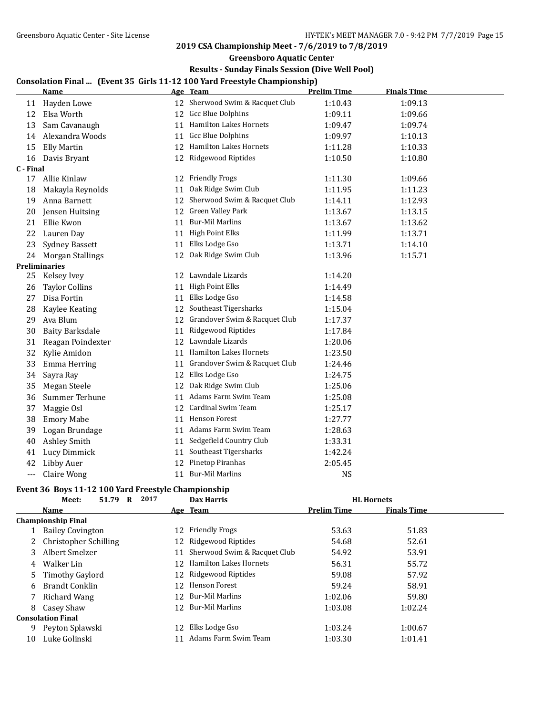**Greensboro Aquatic Center**

## **Results - Sunday Finals Session (Dive Well Pool)**

## **Consolation Final ... (Event 35 Girls 11-12 100 Yard Freestyle Championship)**

|           | <u>Name</u>             |    | Age Team                         | <b>Prelim Time</b> | <b>Finals Time</b> |
|-----------|-------------------------|----|----------------------------------|--------------------|--------------------|
| 11        | Hayden Lowe             |    | 12 Sherwood Swim & Racquet Club  | 1:10.43            | 1:09.13            |
| 12        | Elsa Worth              |    | 12 Gcc Blue Dolphins             | 1:09.11            | 1:09.66            |
| 13        | Sam Cavanaugh           |    | 11 Hamilton Lakes Hornets        | 1:09.47            | 1:09.74            |
| 14        | Alexandra Woods         |    | 11 Gcc Blue Dolphins             | 1:09.97            | 1:10.13            |
| 15        | <b>Elly Martin</b>      |    | 12 Hamilton Lakes Hornets        | 1:11.28            | 1:10.33            |
| 16        | Davis Bryant            |    | 12 Ridgewood Riptides            | 1:10.50            | 1:10.80            |
| C - Final |                         |    |                                  |                    |                    |
| 17        | Allie Kinlaw            |    | 12 Friendly Frogs                | 1:11.30            | 1:09.66            |
| 18        | Makayla Reynolds        | 11 | Oak Ridge Swim Club              | 1:11.95            | 1:11.23            |
| 19        | Anna Barnett            |    | 12 Sherwood Swim & Racquet Club  | 1:14.11            | 1:12.93            |
| 20        | Jensen Huitsing         |    | 12 Green Valley Park             | 1:13.67            | 1:13.15            |
| 21        | Ellie Kwon              | 11 | <b>Bur-Mil Marlins</b>           | 1:13.67            | 1:13.62            |
| 22        | Lauren Day              | 11 | <b>High Point Elks</b>           | 1:11.99            | 1:13.71            |
| 23        | <b>Sydney Bassett</b>   | 11 | Elks Lodge Gso                   | 1:13.71            | 1:14.10            |
| 24        | <b>Morgan Stallings</b> | 12 | Oak Ridge Swim Club              | 1:13.96            | 1:15.71            |
|           | <b>Preliminaries</b>    |    |                                  |                    |                    |
| 25        | Kelsey Ivey             |    | 12 Lawndale Lizards              | 1:14.20            |                    |
| 26        | <b>Taylor Collins</b>   | 11 | <b>High Point Elks</b>           | 1:14.49            |                    |
| 27        | Disa Fortin             |    | 11 Elks Lodge Gso                | 1:14.58            |                    |
| 28        | Kaylee Keating          |    | 12 Southeast Tigersharks         | 1:15.04            |                    |
| 29        | Ava Blum                |    | 12 Grandover Swim & Racquet Club | 1:17.37            |                    |
| 30        | <b>Baity Barksdale</b>  | 11 | Ridgewood Riptides               | 1:17.84            |                    |
| 31        | Reagan Poindexter       | 12 | Lawndale Lizards                 | 1:20.06            |                    |
| 32        | Kylie Amidon            | 11 | Hamilton Lakes Hornets           | 1:23.50            |                    |
| 33        | Emma Herring            |    | 11 Grandover Swim & Racquet Club | 1:24.46            |                    |
| 34        | Sayra Ray               | 12 | Elks Lodge Gso                   | 1:24.75            |                    |
| 35        | Megan Steele            | 12 | Oak Ridge Swim Club              | 1:25.06            |                    |
| 36        | Summer Terhune          | 11 | Adams Farm Swim Team             | 1:25.08            |                    |
| 37        | Maggie Osl              | 12 | Cardinal Swim Team               | 1:25.17            |                    |
| 38        | <b>Emory Mabe</b>       | 11 | Henson Forest                    | 1:27.77            |                    |
| 39        | Logan Brundage          |    | 11 Adams Farm Swim Team          | 1:28.63            |                    |
| 40        | Ashley Smith            |    | 11 Sedgefield Country Club       | 1:33.31            |                    |
| 41        | Lucy Dimmick            | 11 | Southeast Tigersharks            | 1:42.24            |                    |
| 42        | <b>Libby Auer</b>       | 12 | Pinetop Piranhas                 | 2:05.45            |                    |
| $---$     | Claire Wong             | 11 | <b>Bur-Mil Marlins</b>           | <b>NS</b>          |                    |

# **Event 36 Boys 11-12 100 Yard Freestyle Championship**<br>Meeting 51.70 B 2017

|    | 2017<br>51.79<br>Meet:<br>R |                 | <b>Dax Harris</b>            |                    | <b>HL</b> Hornets  |  |
|----|-----------------------------|-----------------|------------------------------|--------------------|--------------------|--|
|    | <b>Name</b>                 |                 | Age Team                     | <b>Prelim Time</b> | <b>Finals Time</b> |  |
|    | <b>Championship Final</b>   |                 |                              |                    |                    |  |
|    | <b>Bailey Covington</b>     | 12              | <b>Friendly Frogs</b>        | 53.63              | 51.83              |  |
|    | 2 Christopher Schilling     |                 | 12 Ridgewood Riptides        | 54.68              | 52.61              |  |
| 3  | Albert Smelzer              | 11              | Sherwood Swim & Racquet Club | 54.92              | 53.91              |  |
| 4  | Walker Lin                  | 12.             | Hamilton Lakes Hornets       | 56.31              | 55.72              |  |
| 5. | <b>Timothy Gaylord</b>      |                 | 12 Ridgewood Riptides        | 59.08              | 57.92              |  |
| 6  | Brandt Conklin              | 12.             | Henson Forest                | 59.24              | 58.91              |  |
|    | 7 Richard Wang              | 12 <sup>1</sup> | Bur-Mil Marlins              | 1:02.06            | 59.80              |  |
| 8  | Casey Shaw                  | 12              | Bur-Mil Marlins              | 1:03.08            | 1:02.24            |  |
|    | <b>Consolation Final</b>    |                 |                              |                    |                    |  |
| 9. | Peyton Splawski             | 12              | Elks Lodge Gso               | 1:03.24            | 1:00.67            |  |
| 10 | Luke Golinski               |                 | Adams Farm Swim Team         | 1:03.30            | 1:01.41            |  |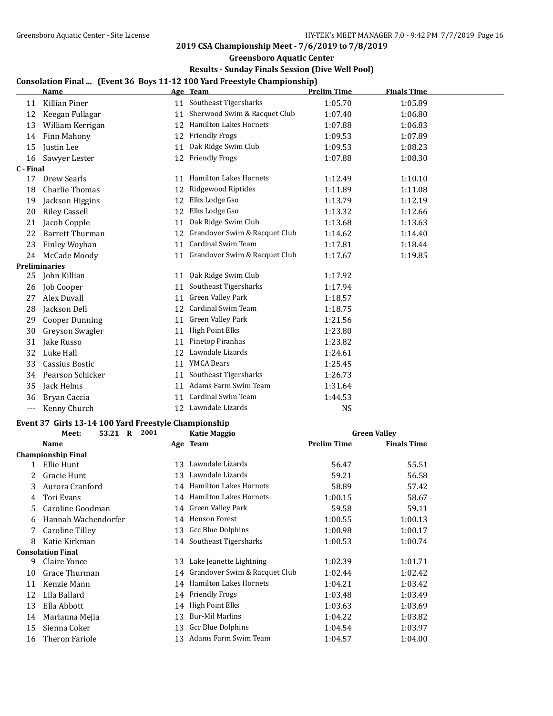## **Greensboro Aquatic Center**

## **Results - Sunday Finals Session (Dive Well Pool)**

## **Consolation Final ... (Event 36 Boys 11-12 100 Yard Freestyle Championship)**

|           | <b>Name</b>            |    | Age Team                      | <b>Prelim Time</b> | <b>Finals Time</b> |
|-----------|------------------------|----|-------------------------------|--------------------|--------------------|
| 11        | Killian Piner          |    | 11 Southeast Tigersharks      | 1:05.70            | 1:05.89            |
| 12        | Keegan Fullagar        | 11 | Sherwood Swim & Racquet Club  | 1:07.40            | 1:06.80            |
| 13        | William Kerrigan       | 12 | <b>Hamilton Lakes Hornets</b> | 1:07.88            | 1:06.83            |
| 14        | Finn Mahony            | 12 | <b>Friendly Frogs</b>         | 1:09.53            | 1:07.89            |
| 15        | Justin Lee             | 11 | Oak Ridge Swim Club           | 1:09.53            | 1:08.23            |
| 16        | Sawyer Lester          | 12 | <b>Friendly Frogs</b>         | 1:07.88            | 1:08.30            |
| C - Final |                        |    |                               |                    |                    |
| 17        | Drew Searls            | 11 | <b>Hamilton Lakes Hornets</b> | 1:12.49            | 1:10.10            |
| 18        | <b>Charlie Thomas</b>  | 12 | Ridgewood Riptides            | 1:11.89            | 1:11.08            |
| 19        | Jackson Higgins        | 12 | Elks Lodge Gso                | 1:13.79            | 1:12.19            |
| 20        | <b>Riley Cassell</b>   | 12 | Elks Lodge Gso                | 1:13.32            | 1:12.66            |
| 21        | Jacob Copple           | 11 | Oak Ridge Swim Club           | 1:13.68            | 1:13.63            |
| 22        | <b>Barrett Thurman</b> | 12 | Grandover Swim & Racquet Club | 1:14.62            | 1:14.40            |
| 23        | Finley Woyhan          | 11 | Cardinal Swim Team            | 1:17.81            | 1:18.44            |
| 24        | McCade Moody           | 11 | Grandover Swim & Racquet Club | 1:17.67            | 1:19.85            |
|           | Preliminaries          |    |                               |                    |                    |
| 25        | John Killian           | 11 | Oak Ridge Swim Club           | 1:17.92            |                    |
| 26        | Job Cooper             | 11 | Southeast Tigersharks         | 1:17.94            |                    |
| 27        | Alex Duvall            | 11 | Green Valley Park             | 1:18.57            |                    |
| 28        | Jackson Dell           | 12 | Cardinal Swim Team            | 1:18.75            |                    |
| 29        | <b>Cooper Dunning</b>  | 11 | Green Valley Park             | 1:21.56            |                    |
| 30        | Greyson Swagler        | 11 | High Point Elks               | 1:23.80            |                    |
| 31        | Jake Russo             | 11 | Pinetop Piranhas              | 1:23.82            |                    |
| 32        | Luke Hall              | 12 | Lawndale Lizards              | 1:24.61            |                    |
| 33        | Cassius Bostic         | 11 | <b>YMCA Bears</b>             | 1:25.45            |                    |
| 34        | Pearson Schicker       | 11 | Southeast Tigersharks         | 1:26.73            |                    |
| 35        | Jack Helms             | 11 | Adams Farm Swim Team          | 1:31.64            |                    |
| 36        | Bryan Caccia           | 11 | Cardinal Swim Team            | 1:44.53            |                    |
| $---$     | Kenny Church           | 12 | Lawndale Lizards              | <b>NS</b>          |                    |

## **Event 37 Girls 13-14 100 Yard Freestyle Championship**

| 2001<br>53.21 R<br><b>Katie Maggio</b><br>Meet: |    |                         | <b>Green Valley</b>                                                                                                                                                                                                                                                       |                    |  |
|-------------------------------------------------|----|-------------------------|---------------------------------------------------------------------------------------------------------------------------------------------------------------------------------------------------------------------------------------------------------------------------|--------------------|--|
| Name                                            |    |                         | <b>Prelim Time</b>                                                                                                                                                                                                                                                        | <b>Finals Time</b> |  |
| <b>Championship Final</b>                       |    |                         |                                                                                                                                                                                                                                                                           |                    |  |
| Ellie Hunt                                      | 13 | Lawndale Lizards        | 56.47                                                                                                                                                                                                                                                                     | 55.51              |  |
| Gracie Hunt                                     | 13 | Lawndale Lizards        | 59.21                                                                                                                                                                                                                                                                     | 56.58              |  |
| Aurora Cranford                                 |    | Hamilton Lakes Hornets  | 58.89                                                                                                                                                                                                                                                                     | 57.42              |  |
| Tori Evans                                      |    |                         | 1:00.15                                                                                                                                                                                                                                                                   | 58.67              |  |
| Caroline Goodman                                |    |                         | 59.58                                                                                                                                                                                                                                                                     | 59.11              |  |
| Hannah Wachendorfer                             |    |                         | 1:00.55                                                                                                                                                                                                                                                                   | 1:00.13            |  |
| Caroline Tilley                                 |    |                         | 1:00.98                                                                                                                                                                                                                                                                   | 1:00.17            |  |
| Katie Kirkman                                   |    |                         | 1:00.53                                                                                                                                                                                                                                                                   | 1:00.74            |  |
| <b>Consolation Final</b>                        |    |                         |                                                                                                                                                                                                                                                                           |                    |  |
| Claire Yonce                                    |    | Lake Jeanette Lightning | 1:02.39                                                                                                                                                                                                                                                                   | 1:01.71            |  |
| Grace Thurman                                   |    |                         | 1:02.44                                                                                                                                                                                                                                                                   | 1:02.42            |  |
| Kenzie Mann                                     |    |                         | 1:04.21                                                                                                                                                                                                                                                                   | 1:03.42            |  |
| Lila Ballard                                    |    |                         | 1:03.48                                                                                                                                                                                                                                                                   | 1:03.49            |  |
| Ella Abbott                                     |    |                         | 1:03.63                                                                                                                                                                                                                                                                   | 1:03.69            |  |
| Marianna Mejia                                  | 13 | <b>Bur-Mil Marlins</b>  | 1:04.22                                                                                                                                                                                                                                                                   | 1:03.82            |  |
| Sienna Coker                                    | 13 | Gcc Blue Dolphins       | 1:04.54                                                                                                                                                                                                                                                                   | 1:03.97            |  |
| Theron Fariole                                  | 13 | Adams Farm Swim Team    | 1:04.57                                                                                                                                                                                                                                                                   | 1:04.00            |  |
|                                                 |    |                         | Age Team<br>14<br>14 Hamilton Lakes Hornets<br>14 Green Valley Park<br>Henson Forest<br>14<br>Gcc Blue Dolphins<br>13<br>14 Southeast Tigersharks<br>13<br>Grandover Swim & Racquet Club<br>14<br>14 Hamilton Lakes Hornets<br>14 Friendly Frogs<br>High Point Elks<br>14 |                    |  |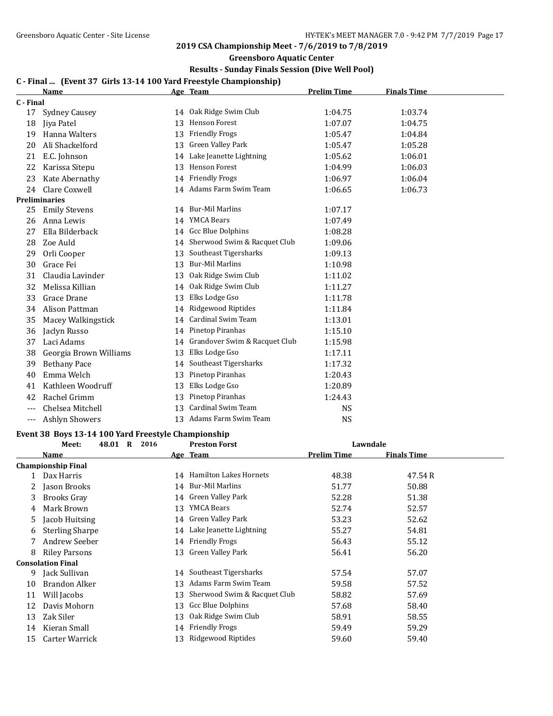**Greensboro Aquatic Center**

## **Results - Sunday Finals Session (Dive Well Pool)**

## **C - Final ... (Event 37 Girls 13-14 100 Yard Freestyle Championship)**

|           | <b>Name</b>            |    | Age Team                      | <b>Prelim Time</b> | <b>Finals Time</b> |  |
|-----------|------------------------|----|-------------------------------|--------------------|--------------------|--|
| C - Final |                        |    |                               |                    |                    |  |
| 17        | Sydney Causey          |    | 14 Oak Ridge Swim Club        | 1:04.75            | 1:03.74            |  |
| 18        | Jiya Patel             | 13 | <b>Henson Forest</b>          | 1:07.07            | 1:04.75            |  |
| 19        | Hanna Walters          | 13 | <b>Friendly Frogs</b>         | 1:05.47            | 1:04.84            |  |
| 20        | Ali Shackelford        | 13 | <b>Green Valley Park</b>      | 1:05.47            | 1:05.28            |  |
| 21        | E.C. Johnson           | 14 | Lake Jeanette Lightning       | 1:05.62            | 1:06.01            |  |
| 22        | Karissa Sitepu         | 13 | <b>Henson Forest</b>          | 1:04.99            | 1:06.03            |  |
| 23        | Kate Abernathy         | 14 | <b>Friendly Frogs</b>         | 1:06.97            | 1:06.04            |  |
| 24        | Clare Coxwell          | 14 | Adams Farm Swim Team          | 1:06.65            | 1:06.73            |  |
|           | <b>Preliminaries</b>   |    |                               |                    |                    |  |
| 25        | <b>Emily Stevens</b>   |    | 14 Bur-Mil Marlins            | 1:07.17            |                    |  |
| 26        | Anna Lewis             | 14 | <b>YMCA Bears</b>             | 1:07.49            |                    |  |
| 27        | Ella Bilderback        | 14 | Gcc Blue Dolphins             | 1:08.28            |                    |  |
| 28        | Zoe Auld               | 14 | Sherwood Swim & Racquet Club  | 1:09.06            |                    |  |
| 29        | Orli Cooper            | 13 | Southeast Tigersharks         | 1:09.13            |                    |  |
| 30        | Grace Fei              | 13 | <b>Bur-Mil Marlins</b>        | 1:10.98            |                    |  |
| 31        | Claudia Lavinder       | 13 | Oak Ridge Swim Club           | 1:11.02            |                    |  |
| 32        | Melissa Killian        | 14 | Oak Ridge Swim Club           | 1:11.27            |                    |  |
| 33        | Grace Drane            | 13 | Elks Lodge Gso                | 1:11.78            |                    |  |
| 34        | Alison Pattman         | 14 | Ridgewood Riptides            | 1:11.84            |                    |  |
| 35        | Macey Walkingstick     | 14 | <b>Cardinal Swim Team</b>     | 1:13.01            |                    |  |
| 36        | Jaclyn Russo           | 14 | Pinetop Piranhas              | 1:15.10            |                    |  |
| 37        | Laci Adams             | 14 | Grandover Swim & Racquet Club | 1:15.98            |                    |  |
| 38        | Georgia Brown Williams | 13 | Elks Lodge Gso                | 1:17.11            |                    |  |
| 39        | <b>Bethany Pace</b>    | 14 | Southeast Tigersharks         | 1:17.32            |                    |  |
| 40        | Emma Welch             | 13 | Pinetop Piranhas              | 1:20.43            |                    |  |
| 41        | Kathleen Woodruff      | 13 | Elks Lodge Gso                | 1:20.89            |                    |  |
| 42        | Rachel Grimm           | 13 | Pinetop Piranhas              | 1:24.43            |                    |  |
|           | Chelsea Mitchell       | 13 | <b>Cardinal Swim Team</b>     | <b>NS</b>          |                    |  |
| ---       | <b>Ashlyn Showers</b>  | 13 | Adams Farm Swim Team          | <b>NS</b>          |                    |  |

## **Event 38 Boys 13-14 100 Yard Freestyle Championship**

|    | Meet:                     | 48.01 R | 2016 |    | <b>Preston Forst</b>         | Lawndale           |                    |  |
|----|---------------------------|---------|------|----|------------------------------|--------------------|--------------------|--|
|    | <b>Name</b>               |         |      |    | Age Team                     | <b>Prelim Time</b> | <b>Finals Time</b> |  |
|    | <b>Championship Final</b> |         |      |    |                              |                    |                    |  |
|    | Dax Harris                |         |      | 14 | Hamilton Lakes Hornets       | 48.38              | 47.54 R            |  |
|    | Jason Brooks              |         |      | 14 | Bur-Mil Marlins              | 51.77              | 50.88              |  |
| 3  | Brooks Gray               |         |      | 14 | Green Valley Park            | 52.28              | 51.38              |  |
| 4  | Mark Brown                |         |      | 13 | YMCA Bears                   | 52.74              | 52.57              |  |
| 5  | Jacob Huitsing            |         |      | 14 | Green Valley Park            | 53.23              | 52.62              |  |
| 6  | <b>Sterling Sharpe</b>    |         |      | 14 | Lake Jeanette Lightning      | 55.27              | 54.81              |  |
|    | Andrew Seeber             |         |      | 14 | <b>Friendly Frogs</b>        | 56.43              | 55.12              |  |
| 8  | <b>Riley Parsons</b>      |         |      | 13 | Green Valley Park            | 56.41              | 56.20              |  |
|    | <b>Consolation Final</b>  |         |      |    |                              |                    |                    |  |
| 9  | Jack Sullivan             |         |      | 14 | Southeast Tigersharks        | 57.54              | 57.07              |  |
| 10 | Brandon Alker             |         |      | 13 | Adams Farm Swim Team         | 59.58              | 57.52              |  |
| 11 | Will Jacobs               |         |      | 13 | Sherwood Swim & Racquet Club | 58.82              | 57.69              |  |
| 12 | Davis Mohorn              |         |      | 13 | Gcc Blue Dolphins            | 57.68              | 58.40              |  |
| 13 | Zak Siler                 |         |      | 13 | Oak Ridge Swim Club          | 58.91              | 58.55              |  |
| 14 | Kieran Small              |         |      | 14 | <b>Friendly Frogs</b>        | 59.49              | 59.29              |  |
| 15 | Carter Warrick            |         |      | 13 | Ridgewood Riptides           | 59.60              | 59.40              |  |
|    |                           |         |      |    |                              |                    |                    |  |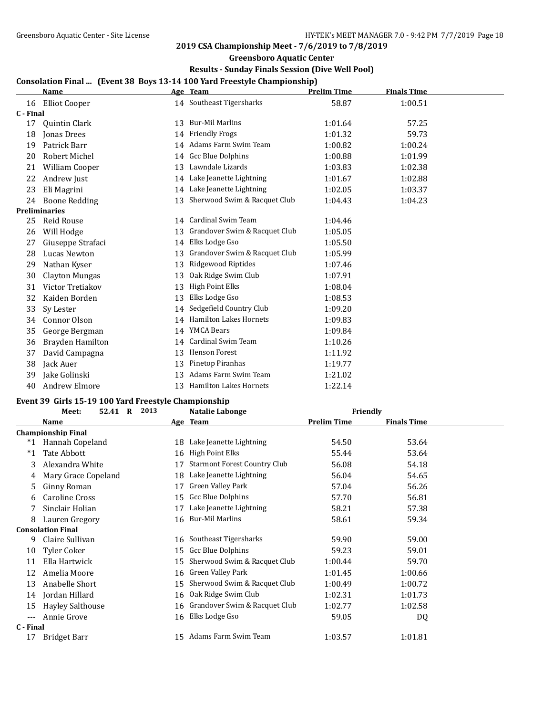### **Greensboro Aquatic Center**

## **Results - Sunday Finals Session (Dive Well Pool)**

## **Consolation Final ... (Event 38 Boys 13-14 100 Yard Freestyle Championship)**

|           | <b>Name</b>          |    | Age Team                      | Prelim Time | <b>Finals Time</b> |  |
|-----------|----------------------|----|-------------------------------|-------------|--------------------|--|
| 16        | <b>Elliot Cooper</b> |    | 14 Southeast Tigersharks      | 58.87       | 1:00.51            |  |
| C - Final |                      |    |                               |             |                    |  |
| 17        | <b>Quintin Clark</b> | 13 | <b>Bur-Mil Marlins</b>        | 1:01.64     | 57.25              |  |
| 18        | <b>Jonas Drees</b>   | 14 | <b>Friendly Frogs</b>         | 1:01.32     | 59.73              |  |
| 19        | Patrick Barr         |    | 14 Adams Farm Swim Team       | 1:00.82     | 1:00.24            |  |
| 20        | Robert Michel        |    | 14 Gcc Blue Dolphins          | 1:00.88     | 1:01.99            |  |
| 21        | William Cooper       | 13 | Lawndale Lizards              | 1:03.83     | 1:02.38            |  |
| 22        | Andrew Just          | 14 | Lake Jeanette Lightning       | 1:01.67     | 1:02.88            |  |
| 23        | Eli Magrini          | 14 | Lake Jeanette Lightning       | 1:02.05     | 1:03.37            |  |
| 24        | <b>Boone Redding</b> | 13 | Sherwood Swim & Racquet Club  | 1:04.43     | 1:04.23            |  |
|           | <b>Preliminaries</b> |    |                               |             |                    |  |
| 25        | Reid Rouse           |    | 14 Cardinal Swim Team         | 1:04.46     |                    |  |
| 26        | Will Hodge           | 13 | Grandover Swim & Racquet Club | 1:05.05     |                    |  |
| 27        | Giuseppe Strafaci    | 14 | Elks Lodge Gso                | 1:05.50     |                    |  |
| 28        | Lucas Newton         | 13 | Grandover Swim & Racquet Club | 1:05.99     |                    |  |
| 29        | Nathan Kyser         | 13 | Ridgewood Riptides            | 1:07.46     |                    |  |
| 30        | Clayton Mungas       | 13 | Oak Ridge Swim Club           | 1:07.91     |                    |  |
| 31        | Victor Tretiakov     | 13 | <b>High Point Elks</b>        | 1:08.04     |                    |  |
| 32        | Kaiden Borden        | 13 | Elks Lodge Gso                | 1:08.53     |                    |  |
| 33        | Sy Lester            | 14 | Sedgefield Country Club       | 1:09.20     |                    |  |
| 34        | Connor Olson         | 14 | Hamilton Lakes Hornets        | 1:09.83     |                    |  |
| 35        | George Bergman       | 14 | YMCA Bears                    | 1:09.84     |                    |  |
| 36        | Brayden Hamilton     | 14 | <b>Cardinal Swim Team</b>     | 1:10.26     |                    |  |
| 37        | David Campagna       | 13 | Henson Forest                 | 1:11.92     |                    |  |
| 38        | Jack Auer            | 13 | Pinetop Piranhas              | 1:19.77     |                    |  |
| 39        | Jake Golinski        | 13 | Adams Farm Swim Team          | 1:21.02     |                    |  |
| 40        | Andrew Elmore        | 13 | <b>Hamilton Lakes Hornets</b> | 1:22.14     |                    |  |

## **Event 39 Girls 15-19 100 Yard Freestyle Championship**

|           | 2013<br>Meet:<br>52.41 R  |    | Natalie Labonge                     | Friendly           |                    |  |
|-----------|---------------------------|----|-------------------------------------|--------------------|--------------------|--|
|           | Name                      |    | Age Team                            | <b>Prelim Time</b> | <b>Finals Time</b> |  |
|           | <b>Championship Final</b> |    |                                     |                    |                    |  |
| $*1$      | Hannah Copeland           | 18 | Lake Jeanette Lightning             | 54.50              | 53.64              |  |
| $^*1$     | Tate Abbott               | 16 | <b>High Point Elks</b>              | 55.44              | 53.64              |  |
| 3         | Alexandra White           | 17 | <b>Starmont Forest Country Club</b> | 56.08              | 54.18              |  |
| 4         | Mary Grace Copeland       | 18 | Lake Jeanette Lightning             | 56.04              | 54.65              |  |
| 5.        | Ginny Roman               | 17 | Green Valley Park                   | 57.04              | 56.26              |  |
| 6         | Caroline Cross            | 15 | <b>Gcc Blue Dolphins</b>            | 57.70              | 56.81              |  |
|           | Sinclair Holian           | 17 | Lake Jeanette Lightning             | 58.21              | 57.38              |  |
| 8         | Lauren Gregory            | 16 | Bur-Mil Marlins                     | 58.61              | 59.34              |  |
|           | <b>Consolation Final</b>  |    |                                     |                    |                    |  |
| 9         | Claire Sullivan           | 16 | Southeast Tigersharks               | 59.90              | 59.00              |  |
| 10        | Tyler Coker               | 15 | Gcc Blue Dolphins                   | 59.23              | 59.01              |  |
| 11        | Ella Hartwick             | 15 | Sherwood Swim & Racquet Club        | 1:00.44            | 59.70              |  |
| 12        | Amelia Moore              | 16 | Green Valley Park                   | 1:01.45            | 1:00.66            |  |
| 13        | Anabelle Short            | 15 | Sherwood Swim & Racquet Club        | 1:00.49            | 1:00.72            |  |
| 14        | Jordan Hillard            | 16 | Oak Ridge Swim Club                 | 1:02.31            | 1:01.73            |  |
| 15        | <b>Hayley Salthouse</b>   | 16 | Grandover Swim & Racquet Club       | 1:02.77            | 1:02.58            |  |
| $---$     | Annie Grove               | 16 | Elks Lodge Gso                      | 59.05              | DQ                 |  |
| C - Final |                           |    |                                     |                    |                    |  |
| 17        | Bridget Barr              | 15 | Adams Farm Swim Team                | 1:03.57            | 1:01.81            |  |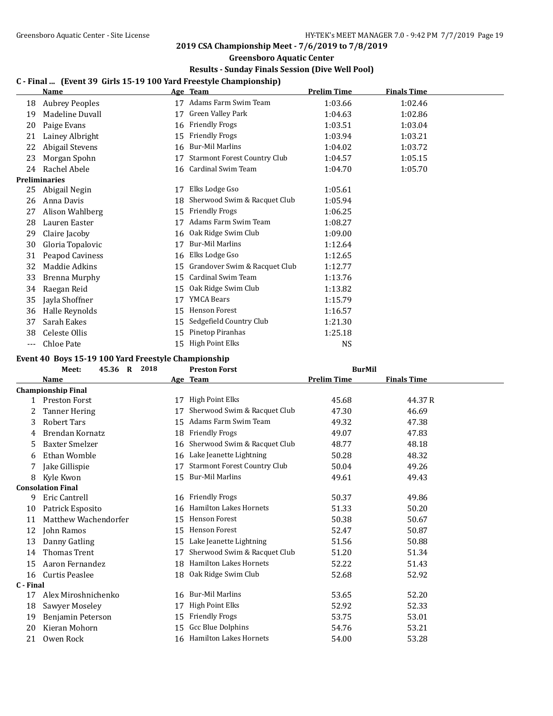**Greensboro Aquatic Center**

## **Results - Sunday Finals Session (Dive Well Pool)**

## **C - Final ... (Event 39 Girls 15-19 100 Yard Freestyle Championship)**

|     | Name                  |    | Age Team                            | <b>Prelim Time</b> | <b>Finals Time</b> |
|-----|-----------------------|----|-------------------------------------|--------------------|--------------------|
| 18  | <b>Aubrey Peoples</b> | 17 | Adams Farm Swim Team                | 1:03.66            | 1:02.46            |
| 19  | Madeline Duvall       | 17 | Green Valley Park                   | 1:04.63            | 1:02.86            |
| 20  | Paige Evans           | 16 | <b>Friendly Frogs</b>               | 1:03.51            | 1:03.04            |
| 21  | Lainey Albright       | 15 | <b>Friendly Frogs</b>               | 1:03.94            | 1:03.21            |
| 22  | Abigail Stevens       | 16 | Bur-Mil Marlins                     | 1:04.02            | 1:03.72            |
| 23  | Morgan Spohn          | 17 | <b>Starmont Forest Country Club</b> | 1:04.57            | 1:05.15            |
| 24  | Rachel Abele          | 16 | Cardinal Swim Team                  | 1:04.70            | 1:05.70            |
|     | <b>Preliminaries</b>  |    |                                     |                    |                    |
| 25  | Abigail Negin         | 17 | Elks Lodge Gso                      | 1:05.61            |                    |
| 26  | Anna Davis            | 18 | Sherwood Swim & Racquet Club        | 1:05.94            |                    |
| 27  | Alison Wahlberg       | 15 | <b>Friendly Frogs</b>               | 1:06.25            |                    |
| 28  | Lauren Easter         | 17 | Adams Farm Swim Team                | 1:08.27            |                    |
| 29  | Claire Jacoby         | 16 | Oak Ridge Swim Club                 | 1:09.00            |                    |
| 30  | Gloria Topalovic      | 17 | <b>Bur-Mil Marlins</b>              | 1:12.64            |                    |
| 31  | Peapod Caviness       | 16 | Elks Lodge Gso                      | 1:12.65            |                    |
| 32  | Maddie Adkins         | 15 | Grandover Swim & Racquet Club       | 1:12.77            |                    |
| 33  | Brenna Murphy         | 15 | Cardinal Swim Team                  | 1:13.76            |                    |
| 34  | Raegan Reid           | 15 | Oak Ridge Swim Club                 | 1:13.82            |                    |
| 35  | Jayla Shoffner        | 17 | <b>YMCA Bears</b>                   | 1:15.79            |                    |
| 36  | Halle Reynolds        | 15 | <b>Henson Forest</b>                | 1:16.57            |                    |
| 37  | Sarah Eakes           | 15 | Sedgefield Country Club             | 1:21.30            |                    |
| 38  | Celeste Ollis         | 15 | Pinetop Piranhas                    | 1:25.18            |                    |
| --- | Chloe Pate            | 15 | <b>High Point Elks</b>              | <b>NS</b>          |                    |

#### **Event 40 Boys 15-19 100 Yard Freestyle Championship**

|           | 45.36 R<br>2018<br>Meet:  |    | <b>Preston Forst</b>                | <b>BurMil</b>      |                    |  |
|-----------|---------------------------|----|-------------------------------------|--------------------|--------------------|--|
|           | <b>Name</b>               |    | Age Team                            | <b>Prelim Time</b> | <b>Finals Time</b> |  |
|           | <b>Championship Final</b> |    |                                     |                    |                    |  |
|           | <b>Preston Forst</b>      | 17 | High Point Elks                     | 45.68              | 44.37R             |  |
| 2         | <b>Tanner Hering</b>      | 17 | Sherwood Swim & Racquet Club        | 47.30              | 46.69              |  |
| 3         | Robert Tars               | 15 | Adams Farm Swim Team                | 49.32              | 47.38              |  |
| 4         | Brendan Kornatz           | 18 | <b>Friendly Frogs</b>               | 49.07              | 47.83              |  |
| 5         | <b>Baxter Smelzer</b>     | 16 | Sherwood Swim & Racquet Club        | 48.77              | 48.18              |  |
| 6         | Ethan Womble              | 16 | Lake Jeanette Lightning             | 50.28              | 48.32              |  |
| 7         | Jake Gillispie            | 17 | <b>Starmont Forest Country Club</b> | 50.04              | 49.26              |  |
| 8         | Kyle Kwon                 | 15 | <b>Bur-Mil Marlins</b>              | 49.61              | 49.43              |  |
|           | <b>Consolation Final</b>  |    |                                     |                    |                    |  |
| 9         | Eric Cantrell             |    | 16 Friendly Frogs                   | 50.37              | 49.86              |  |
| 10        | Patrick Esposito          | 16 | <b>Hamilton Lakes Hornets</b>       | 51.33              | 50.20              |  |
| 11        | Matthew Wachendorfer      | 15 | <b>Henson Forest</b>                | 50.38              | 50.67              |  |
| 12        | John Ramos                | 15 | Henson Forest                       | 52.47              | 50.87              |  |
| 13        | Danny Gatling             | 15 | Lake Jeanette Lightning             | 51.56              | 50.88              |  |
| 14        | <b>Thomas Trent</b>       | 17 | Sherwood Swim & Racquet Club        | 51.20              | 51.34              |  |
| 15        | Aaron Fernandez           | 18 | <b>Hamilton Lakes Hornets</b>       | 52.22              | 51.43              |  |
| 16        | Curtis Peaslee            | 18 | Oak Ridge Swim Club                 | 52.68              | 52.92              |  |
| C - Final |                           |    |                                     |                    |                    |  |
| 17        | Alex Miroshnichenko       | 16 | Bur-Mil Marlins                     | 53.65              | 52.20              |  |
| 18        | Sawyer Moseley            | 17 | High Point Elks                     | 52.92              | 52.33              |  |
| 19        | Benjamin Peterson         | 15 | <b>Friendly Frogs</b>               | 53.75              | 53.01              |  |
| 20        | Kieran Mohorn             | 15 | Gcc Blue Dolphins                   | 54.76              | 53.21              |  |
| 21        | Owen Rock                 | 16 | <b>Hamilton Lakes Hornets</b>       | 54.00              | 53.28              |  |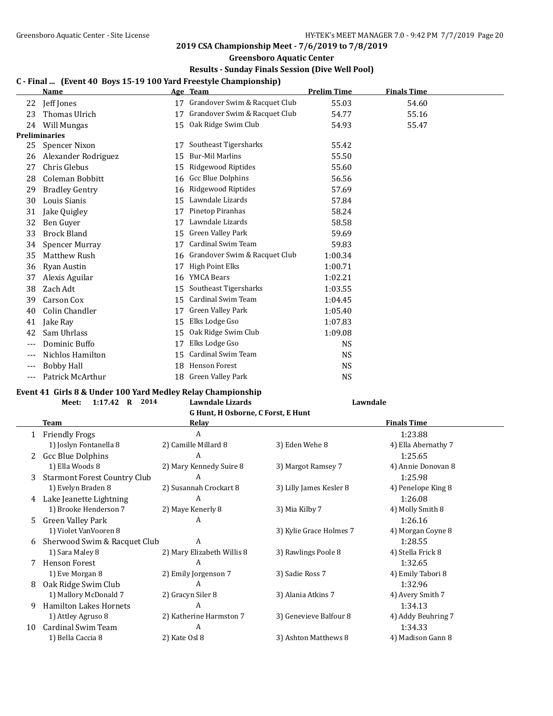#### **Greensboro Aquatic Center**

### **Results - Sunday Finals Session (Dive Well Pool)**

#### **C - Final ... (Event 40 Boys 15-19 100 Yard Freestyle Championship)**

|     | <b>Name</b>           |    | Age Team                      | <b>Prelim Time</b> | <b>Finals Time</b> |  |
|-----|-----------------------|----|-------------------------------|--------------------|--------------------|--|
| 22  | Jeff Jones            | 17 | Grandover Swim & Racquet Club | 55.03              | 54.60              |  |
| 23  | Thomas Ulrich         | 17 | Grandover Swim & Racquet Club | 54.77              | 55.16              |  |
| 24  | Will Mungas           | 15 | Oak Ridge Swim Club           | 54.93              | 55.47              |  |
|     | Preliminaries         |    |                               |                    |                    |  |
| 25  | Spencer Nixon         | 17 | Southeast Tigersharks         | 55.42              |                    |  |
| 26  | Alexander Rodriguez   | 15 | <b>Bur-Mil Marlins</b>        | 55.50              |                    |  |
| 27  | Chris Glebus          | 15 | Ridgewood Riptides            | 55.60              |                    |  |
| 28  | Coleman Bobbitt       | 16 | <b>Gcc Blue Dolphins</b>      | 56.56              |                    |  |
| 29  | <b>Bradley Gentry</b> | 16 | Ridgewood Riptides            | 57.69              |                    |  |
| 30  | Louis Sianis          | 15 | Lawndale Lizards              | 57.84              |                    |  |
| 31  | Jake Quigley          | 17 | Pinetop Piranhas              | 58.24              |                    |  |
| 32  | Ben Guyer             | 17 | Lawndale Lizards              | 58.58              |                    |  |
| 33  | <b>Brock Bland</b>    | 15 | Green Valley Park             | 59.69              |                    |  |
| 34  | Spencer Murray        | 17 | Cardinal Swim Team            | 59.83              |                    |  |
| 35  | <b>Matthew Rush</b>   | 16 | Grandover Swim & Racquet Club | 1:00.34            |                    |  |
| 36  | Ryan Austin           | 17 | <b>High Point Elks</b>        | 1:00.71            |                    |  |
| 37  | Alexis Aguilar        | 16 | <b>YMCA Bears</b>             | 1:02.21            |                    |  |
| 38  | Zach Adt              | 15 | Southeast Tigersharks         | 1:03.55            |                    |  |
| 39  | Carson Cox            | 15 | Cardinal Swim Team            | 1:04.45            |                    |  |
| 40  | Colin Chandler        | 17 | Green Valley Park             | 1:05.40            |                    |  |
| 41  | Jake Ray              | 15 | Elks Lodge Gso                | 1:07.83            |                    |  |
| 42  | Sam Uhrlass           | 15 | Oak Ridge Swim Club           | 1:09.08            |                    |  |
| --- | Dominic Buffo         | 17 | Elks Lodge Gso                | <b>NS</b>          |                    |  |
|     | Nichlos Hamilton      | 15 | Cardinal Swim Team            | <b>NS</b>          |                    |  |
| --- | <b>Bobby Hall</b>     | 18 | <b>Henson Forest</b>          | NS                 |                    |  |
| --- | Patrick McArthur      | 18 | Green Valley Park             | <b>NS</b>          |                    |  |

#### **Event 41 Girls 8 & Under 100 Yard Medley Relay Championship**

## **Meet: 1:17.42 R 2014 Lawndale Lizards Lawndale G Hunt, H Osborne, C Forst, E Hunt Team Relay Relay Relay Relay Relay Finals Time** 1.23.88 1:23.88 1) Joslyn Fontanella 8 2) Camille Millard 8 3) Eden Wehe 8 4) Ella Abernathy 7 2 Gcc Blue Dolphins **A** 1:25.65 1) Ella Woods 8 2) Mary Kennedy Suire 8 3) Margot Ramsey 7 4) Annie Donovan 8 3 Starmont Forest Country Club A 1:25.98 1) Evelyn Braden 8 2) Susannah Crockart 8 3) Lilly James Kesler 8 4) Penelope King 8 4 Lake Jeanette Lightning  $A$  and  $A$  1:26.08 1) Brooke Henderson 7 2) Maye Kenerly 8 3) Mia Kilby 7 4) Molly Smith 8 5 Green Valley Park A 1:26.16 1) Violet VanVooren 8 3) Kylie Grace Holmes 7 4) Morgan Coyne 8 6 Sherwood Swim & Racquet Club A 1:28.55 1) Sara Maley 8 2) Mary Elizabeth Willis 8 3) Rawlings Poole 8 4) Stella Frick 8 7 Henson Forest A 1:32.65 1) Eve Morgan 8 2) Emily Jorgenson 7 3) Sadie Ross 7 4) Emily Tabori 8 8 Oak Ridge Swim Club A 1:32.96 1) Mallory McDonald 7 2) Gracyn Siler 8 3) Alania Atkins 7 4) Avery Smith 7 9 Hamilton Lakes Hornets A 1:34.13 1) Attley Agruso 8 2) Katherine Harmston 7 3) Genevieve Balfour 8 4) Addy Beuhring 7

10 Cardinal Swim Team A 1:34.33 1) Bella Caccia 8 2) Kate Osl 8 3) Ashton Matthews 8 4) Madison Gann 8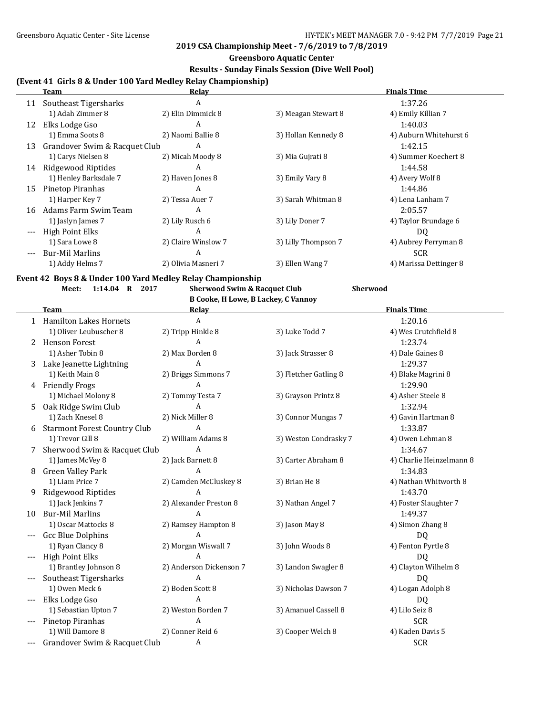### **2019 CSA Championship Meet - 7/6/2019 to 7/8/2019**

## **Greensboro Aquatic Center**

## **Results - Sunday Finals Session (Dive Well Pool)**

# **(Event 41 Girls 8 & Under 100 Yard Medley Relay Championship)**

|       | <b>Team</b>                   | <b>Relav</b>        |                     | <b>Finals Time</b>     |
|-------|-------------------------------|---------------------|---------------------|------------------------|
| 11    | Southeast Tigersharks         | A                   |                     | 1:37.26                |
|       | 1) Adah Zimmer 8              | 2) Elin Dimmick 8   | 3) Meagan Stewart 8 | 4) Emily Killian 7     |
| 12    | Elks Lodge Gso                | A                   |                     | 1:40.03                |
|       | 1) Emma Soots 8               | 2) Naomi Ballie 8   | 3) Hollan Kennedy 8 | 4) Auburn Whitehurst 6 |
| 13    | Grandover Swim & Racquet Club | A                   |                     | 1:42.15                |
|       | 1) Carys Nielsen 8            | 2) Micah Moody 8    | 3) Mia Gujrati 8    | 4) Summer Koechert 8   |
| 14    | Ridgewood Riptides            | A                   |                     | 1:44.58                |
|       | 1) Henley Barksdale 7         | 2) Haven Jones 8    | 3) Emily Vary 8     | 4) Avery Wolf 8        |
| 15    | Pinetop Piranhas              | A                   |                     | 1:44.86                |
|       | 1) Harper Key 7               | 2) Tessa Auer 7     | 3) Sarah Whitman 8  | 4) Lena Lanham 7       |
| 16    | Adams Farm Swim Team          | A                   |                     | 2:05.57                |
|       | 1) Jaslyn James 7             | 2) Lily Rusch 6     | 3) Lily Doner 7     | 4) Taylor Brundage 6   |
| $---$ | High Point Elks               | A                   |                     | DQ                     |
|       | 1) Sara Lowe 8                | 2) Claire Winslow 7 | 3) Lilly Thompson 7 | 4) Aubrey Perryman 8   |
|       | <b>Bur-Mil Marlins</b>        | A                   |                     | <b>SCR</b>             |
|       | 1) Addy Helms 7               | 2) Olivia Masneri 7 | 3) Ellen Wang 7     | 4) Marissa Dettinger 8 |

## **Event 42 Boys 8 & Under 100 Yard Medley Relay Championship**

**Meet: 1:14.04 R 2017 Sherwood Swim & Racquet Club Sherwood**

**B Cooke, H Lowe, B Lackey, C Vannoy**

|       | <b>Team</b>                         | Relay                   |                       | <b>Finals Time</b>       |
|-------|-------------------------------------|-------------------------|-----------------------|--------------------------|
|       | 1 Hamilton Lakes Hornets            | A                       |                       | 1:20.16                  |
|       | 1) Oliver Leubuscher 8              | 2) Tripp Hinkle 8       | 3) Luke Todd 7        | 4) Wes Crutchfield 8     |
|       | 2 Henson Forest                     | A                       |                       | 1:23.74                  |
|       | 1) Asher Tobin 8                    | 2) Max Borden 8         | 3) Jack Strasser 8    | 4) Dale Gaines 8         |
| 3     | Lake Jeanette Lightning             | A                       |                       | 1:29.37                  |
|       | 1) Keith Main 8                     | 2) Briggs Simmons 7     | 3) Fletcher Gatling 8 | 4) Blake Magrini 8       |
|       | 4 Friendly Frogs                    | $\mathbf{A}$            |                       | 1:29.90                  |
|       | 1) Michael Molony 8                 | 2) Tommy Testa 7        | 3) Grayson Printz 8   | 4) Asher Steele 8        |
| 5.    | Oak Ridge Swim Club                 | A                       |                       | 1:32.94                  |
|       | 1) Zach Knesel 8                    | 2) Nick Miller 8        | 3) Connor Mungas 7    | 4) Gavin Hartman 8       |
| 6     | <b>Starmont Forest Country Club</b> | A                       |                       | 1:33.87                  |
|       | 1) Trevor Gill 8                    | 2) William Adams 8      | 3) Weston Condrasky 7 | 4) Owen Lehman 8         |
|       | Sherwood Swim & Racquet Club        | $\overline{A}$          |                       | 1:34.67                  |
|       | 1) James McVey 8                    | 2) Jack Barnett 8       | 3) Carter Abraham 8   | 4) Charlie Heinzelmann 8 |
| 8     | Green Valley Park                   | A                       |                       | 1:34.83                  |
|       | 1) Liam Price 7                     | 2) Camden McCluskey 8   | 3) Brian He 8         | 4) Nathan Whitworth 8    |
| 9     | Ridgewood Riptides                  |                         |                       | 1:43.70                  |
|       | 1) Jack Jenkins 7                   | 2) Alexander Preston 8  | 3) Nathan Angel 7     | 4) Foster Slaughter 7    |
| 10    | <b>Bur-Mil Marlins</b>              | $\overline{A}$          |                       | 1:49.37                  |
|       | 1) Oscar Mattocks 8                 | 2) Ramsey Hampton 8     | 3) Jason May 8        | 4) Simon Zhang 8         |
| $---$ | <b>Gcc Blue Dolphins</b>            | A                       |                       | DQ.                      |
|       | 1) Ryan Clancy 8                    | 2) Morgan Wiswall 7     | 3) John Woods 8       | 4) Fenton Pyrtle 8       |
|       | <b>High Point Elks</b>              | A                       |                       | DQ.                      |
|       | 1) Brantley Johnson 8               | 2) Anderson Dickenson 7 | 3) Landon Swagler 8   | 4) Clayton Wilhelm 8     |
|       | Southeast Tigersharks               | A                       |                       | DQ                       |
|       | 1) Owen Meck 6                      | 2) Boden Scott 8        | 3) Nicholas Dawson 7  | 4) Logan Adolph 8        |
|       | Elks Lodge Gso                      | A                       |                       | DQ                       |
|       | 1) Sebastian Upton 7                | 2) Weston Borden 7      | 3) Amanuel Cassell 8  | 4) Lilo Seiz 8           |
|       | Pinetop Piranhas                    | A                       |                       | <b>SCR</b>               |
|       | 1) Will Damore 8                    | 2) Conner Reid 6        | 3) Cooper Welch 8     | 4) Kaden Davis 5         |
|       | Grandover Swim & Racquet Club       | A                       |                       | <b>SCR</b>               |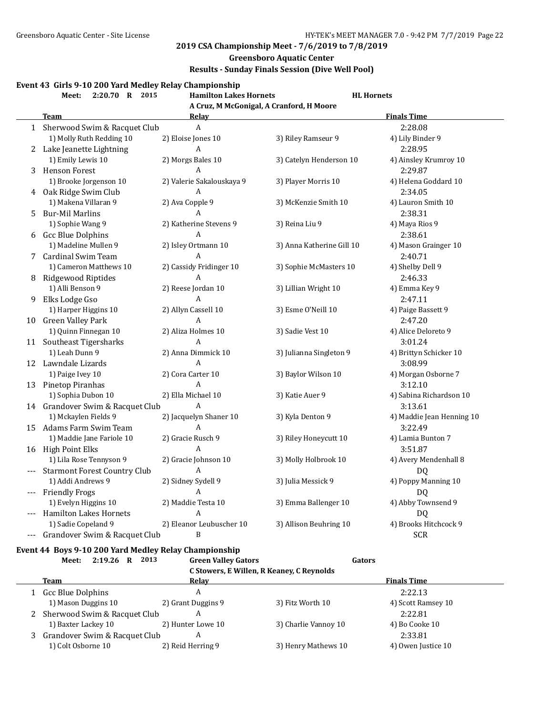### **Greensboro Aquatic Center**

## **Results - Sunday Finals Session (Dive Well Pool)**

### **Event 43 Girls 9-10 200 Yard Medley Relay Championship**

|       | 2:20.70 R 2015<br>Meet:             | <b>Hamilton Lakes Hornets</b>            | <b>HL</b> Hornets         |                           |
|-------|-------------------------------------|------------------------------------------|---------------------------|---------------------------|
|       |                                     | A Cruz, M McGonigal, A Cranford, H Moore |                           |                           |
|       | <b>Team</b>                         | <b>Relay</b>                             |                           | <b>Finals Time</b>        |
|       | 1 Sherwood Swim & Racquet Club      | $\mathbf{A}$                             |                           | 2:28.08                   |
|       | 1) Molly Ruth Redding 10            | 2) Eloise Jones 10                       | 3) Riley Ramseur 9        | 4) Lily Binder 9          |
|       | 2 Lake Jeanette Lightning           | A                                        |                           | 2:28.95                   |
|       | 1) Emily Lewis 10                   | 2) Morgs Bales 10                        | 3) Catelyn Henderson 10   | 4) Ainsley Krumroy 10     |
| 3     | <b>Henson Forest</b>                | A                                        |                           | 2:29.87                   |
|       | 1) Brooke Jorgenson 10              | 2) Valerie Sakalouskaya 9                | 3) Player Morris 10       | 4) Helena Goddard 10      |
| 4     | Oak Ridge Swim Club                 | A                                        |                           | 2:34.05                   |
|       | 1) Makena Villaran 9                | 2) Ava Copple 9                          | 3) McKenzie Smith 10      | 4) Lauron Smith 10        |
| 5     | <b>Bur-Mil Marlins</b>              | A                                        |                           | 2:38.31                   |
|       | 1) Sophie Wang 9                    | 2) Katherine Stevens 9                   | 3) Reina Liu 9            | 4) Maya Rios 9            |
| 6     | <b>Gcc Blue Dolphins</b>            | A                                        |                           | 2:38.61                   |
|       | 1) Madeline Mullen 9                | 2) Isley Ortmann 10                      | 3) Anna Katherine Gill 10 | 4) Mason Grainger 10      |
| 7     | <b>Cardinal Swim Team</b>           | A                                        |                           | 2:40.71                   |
|       | 1) Cameron Matthews 10              | 2) Cassidy Fridinger 10                  | 3) Sophie McMasters 10    | 4) Shelby Dell 9          |
| 8     | <b>Ridgewood Riptides</b>           | A                                        |                           | 2:46.33                   |
|       | 1) Alli Benson 9                    | 2) Reese Jordan 10                       | 3) Lillian Wright 10      | 4) Emma Key 9             |
| 9     | Elks Lodge Gso                      | A                                        |                           | 2:47.11                   |
|       | 1) Harper Higgins 10                | 2) Allyn Cassell 10                      | 3) Esme O'Neill 10        | 4) Paige Bassett 9        |
|       | 10 Green Valley Park                | A                                        |                           | 2:47.20                   |
|       | 1) Quinn Finnegan 10                | 2) Aliza Holmes 10                       | 3) Sadie Vest 10          | 4) Alice Deloreto 9       |
| 11    | Southeast Tigersharks               | A                                        |                           | 3:01.24                   |
|       | 1) Leah Dunn 9                      | 2) Anna Dimmick 10                       | 3) Julianna Singleton 9   | 4) Brittyn Schicker 10    |
|       | 12 Lawndale Lizards                 | A                                        |                           | 3:08.99                   |
|       | 1) Paige Ivey 10                    | 2) Cora Carter 10                        | 3) Baylor Wilson 10       | 4) Morgan Osborne 7       |
| 13    | Pinetop Piranhas                    | A                                        |                           | 3:12.10                   |
|       | 1) Sophia Dubon 10                  | 2) Ella Michael 10                       | 3) Katie Auer 9           | 4) Sabina Richardson 10   |
|       | 14 Grandover Swim & Racquet Club    | A                                        |                           | 3:13.61                   |
|       | 1) Mckaylen Fields 9                | 2) Jacquelyn Shaner 10                   | 3) Kyla Denton 9          | 4) Maddie Jean Henning 10 |
|       | 15 Adams Farm Swim Team             | A                                        |                           | 3:22.49                   |
|       | 1) Maddie Jane Fariole 10           | 2) Gracie Rusch 9                        | 3) Riley Honeycutt 10     | 4) Lamia Bunton 7         |
|       | 16 High Point Elks                  | A                                        |                           | 3:51.87                   |
|       | 1) Lila Rose Tennyson 9             | 2) Gracie Johnson 10                     | 3) Molly Holbrook 10      | 4) Avery Mendenhall 8     |
|       | <b>Starmont Forest Country Club</b> | A                                        |                           | DQ                        |
|       | 1) Addi Andrews 9                   | 2) Sidney Sydell 9                       | 3) Julia Messick 9        | 4) Poppy Manning 10       |
| $---$ | <b>Friendly Frogs</b>               | A                                        |                           | DQ                        |
|       | 1) Evelyn Higgins 10                | 2) Maddie Testa 10                       | 3) Emma Ballenger 10      | 4) Abby Townsend 9        |
|       | <b>Hamilton Lakes Hornets</b>       | A                                        |                           | DQ                        |
|       | 1) Sadie Copeland 9                 | 2) Eleanor Leubuscher 10                 | 3) Allison Beuhring 10    | 4) Brooks Hitchcock 9     |
|       | Grandover Swim & Racquet Club       | B                                        |                           | <b>SCR</b>                |

# **Event 44 Boys 9-10 200 Yard Medley Relay Championship**

|   | 2013<br>2:19.26<br>Meet:<br>R | <b>Green Valley Gators</b> | C Stowers, E Willen, R Keaney, C Reynolds | Gators             |  |
|---|-------------------------------|----------------------------|-------------------------------------------|--------------------|--|
|   | Team                          | Relav                      |                                           | <b>Finals Time</b> |  |
|   | Gcc Blue Dolphins             | A                          |                                           | 2:22.13            |  |
|   | 1) Mason Duggins 10           | 2) Grant Duggins 9         | 3) Fitz Worth 10                          | 4) Scott Ramsey 10 |  |
| 2 | Sherwood Swim & Racquet Club  | A                          |                                           | 2:22.81            |  |
|   | 1) Baxter Lackey 10           | 2) Hunter Lowe 10          | 3) Charlie Vannoy 10                      | 4) Bo Cooke 10     |  |
|   | Grandover Swim & Racquet Club | A                          |                                           | 2:33.81            |  |
|   | 1) Colt Osborne 10            | 2) Reid Herring 9          | 3) Henry Mathews 10                       | 4) Owen Justice 10 |  |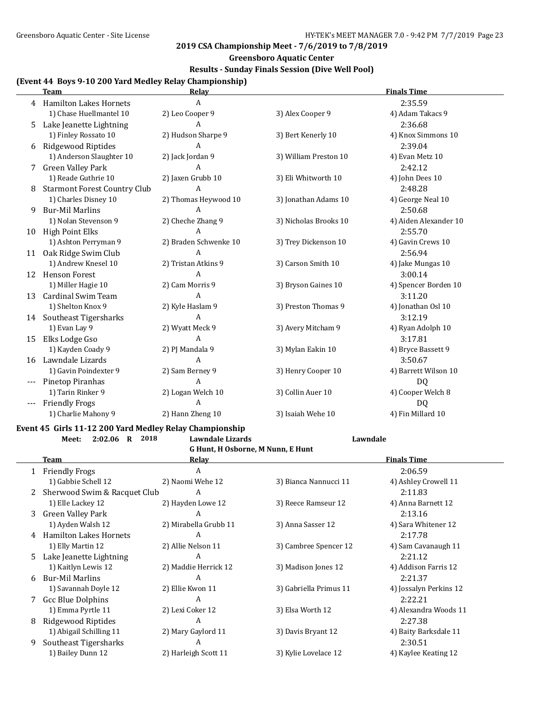#### **Greensboro Aquatic Center**

### **Results - Sunday Finals Session (Dive Well Pool)**

#### **(Event 44 Boys 9-10 200 Yard Medley Relay Championship)**

|       | <b>Team</b>                         | Relay                 |                       | <b>Finals Time</b>    |
|-------|-------------------------------------|-----------------------|-----------------------|-----------------------|
| 4     | <b>Hamilton Lakes Hornets</b>       | A                     |                       | 2:35.59               |
|       | 1) Chase Huellmantel 10             | 2) Leo Cooper 9       | 3) Alex Cooper 9      | 4) Adam Takacs 9      |
| 5.    | Lake Jeanette Lightning             | A                     |                       | 2:36.68               |
|       | 1) Finley Rossato 10                | 2) Hudson Sharpe 9    | 3) Bert Kenerly 10    | 4) Knox Simmons 10    |
| 6     | Ridgewood Riptides                  | A                     |                       | 2:39.04               |
|       | 1) Anderson Slaughter 10            | 2) Jack Jordan 9      | 3) William Preston 10 | 4) Evan Metz 10       |
|       | <b>Green Valley Park</b>            | A                     |                       | 2:42.12               |
|       | 1) Reade Guthrie 10                 | 2) Jaxen Grubb 10     | 3) Eli Whitworth 10   | 4) John Dees 10       |
| 8     | <b>Starmont Forest Country Club</b> | A                     |                       | 2:48.28               |
|       | 1) Charles Disney 10                | 2) Thomas Heywood 10  | 3) Jonathan Adams 10  | 4) George Neal 10     |
| 9     | <b>Bur-Mil Marlins</b>              | A                     |                       | 2:50.68               |
|       | 1) Nolan Stevenson 9                | 2) Cheche Zhang 9     | 3) Nicholas Brooks 10 | 4) Aiden Alexander 10 |
| 10    | <b>High Point Elks</b>              | A                     |                       | 2:55.70               |
|       | 1) Ashton Perryman 9                | 2) Braden Schwenke 10 | 3) Trey Dickenson 10  | 4) Gavin Crews 10     |
| 11    | Oak Ridge Swim Club                 | A                     |                       | 2:56.94               |
|       | 1) Andrew Knesel 10                 | 2) Tristan Atkins 9   | 3) Carson Smith 10    | 4) Jake Mungas 10     |
| 12    | <b>Henson Forest</b>                | A                     |                       | 3:00.14               |
|       | 1) Miller Hagie 10                  | 2) Cam Morris 9       | 3) Bryson Gaines 10   | 4) Spencer Borden 10  |
| 13    | Cardinal Swim Team                  | A                     |                       | 3:11.20               |
|       | 1) Shelton Knox 9                   | 2) Kyle Haslam 9      | 3) Preston Thomas 9   | 4) Jonathan Osl 10    |
| 14    | Southeast Tigersharks               | A                     |                       | 3:12.19               |
|       | 1) Evan Lay 9                       | 2) Wyatt Meck 9       | 3) Avery Mitcham 9    | 4) Ryan Adolph 10     |
| 15    | Elks Lodge Gso                      | A                     |                       | 3:17.81               |
|       | 1) Kayden Coady 9                   | 2) PJ Mandala 9       | 3) Mylan Eakin 10     | 4) Bryce Bassett 9    |
| 16    | Lawndale Lizards                    | A                     |                       | 3:50.67               |
|       | 1) Gavin Poindexter 9               | 2) Sam Berney 9       | 3) Henry Cooper 10    | 4) Barrett Wilson 10  |
| $---$ | Pinetop Piranhas                    | A                     |                       | DQ                    |
|       | 1) Tarin Rinker 9                   | 2) Logan Welch 10     | 3) Collin Auer 10     | 4) Cooper Welch 8     |
| $---$ | <b>Friendly Frogs</b>               | A                     |                       | DQ                    |
|       | 1) Charlie Mahony 9                 | 2) Hann Zheng 10      | 3) Isaiah Wehe 10     | 4) Fin Millard 10     |

#### **Event 45 Girls 11-12 200 Yard Medley Relay Championship**

**G Hunt, H Osborne, M Nunn, E Hunt Team Relay Relay Relay Finals Time** 1 Friendly Frogs 2.06.59 1) Gabbie Schell 12 2) Naomi Wehe 12 3) Bianca Nannucci 11 4) Ashley Crowell 11 2 Sherwood Swim & Racquet Club A 2:11.83 1) Elle Lackey 12 2) Hayden Lowe 12 3) Reece Ramseur 12 4) Anna Barnett 12 3 Green Valley Park A 2:13.16 1) Ayden Walsh 12 2) Mirabella Grubb 11 3) Anna Sasser 12 4) Sara Whitener 12 4 Hamilton Lakes Hornets A 2:17.78 1) Elly Martin 12 2) Allie Nelson 11 3) Cambree Spencer 12 4) Sam Cavanaugh 11 5 Lake Jeanette Lightning A 2:21.12 1) Kaitlyn Lewis 12 2) Maddie Herrick 12 3) Madison Jones 12 4) Addison Farris 12 6 Bur-Mil Marlins A 2:21.37 1) Savannah Doyle 12 2) Ellie Kwon 11 3) Gabriella Primus 11 4) Jossalyn Perkins 12 7 Gcc Blue Dolphins A 2:22.21 1) Emma Pyrtle 11 2) Lexi Coker 12 3) Elsa Worth 12 4) Alexandra Woods 11 8 Ridgewood Riptides A 2:27.38 1) Abigail Schilling 11 2) Mary Gaylord 11 3) Davis Bryant 12 4) Baity Barksdale 11 9 Southeast Tigersharks A 2:30.51 1) Bailey Dunn 12 2) Harleigh Scott 11 3) Kylie Lovelace 12 4) Kaylee Keating 12

**Meet: 2:02.06 R 2018 Lawndale Lizards Lawndale**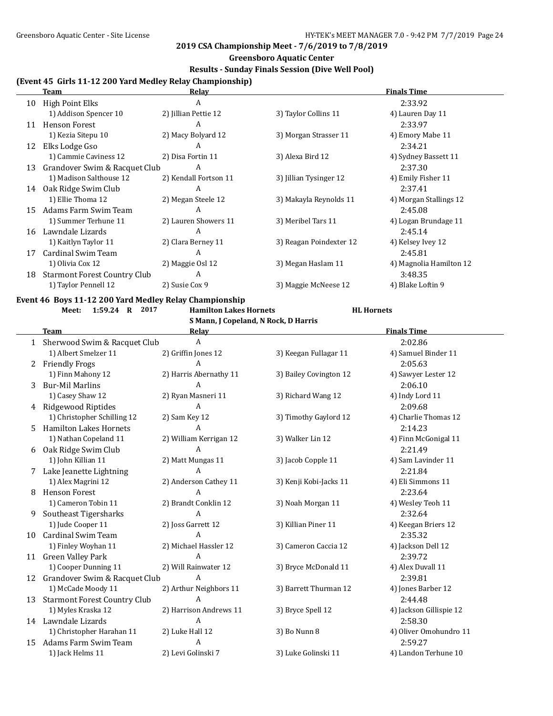## **Greensboro Aquatic Center**

## **Results - Sunday Finals Session (Dive Well Pool)**

# **(Event 45 Girls 11-12 200 Yard Medley Relay Championship)**

|    | Team                                | Relav                 |                         | <b>Finals Time</b>      |
|----|-------------------------------------|-----------------------|-------------------------|-------------------------|
| 10 | High Point Elks                     | A                     |                         | 2:33.92                 |
|    | 1) Addison Spencer 10               | 2) Jillian Pettie 12  | 3) Taylor Collins 11    | 4) Lauren Day 11        |
| 11 | <b>Henson Forest</b>                | A                     |                         | 2:33.97                 |
|    | 1) Kezia Sitepu 10                  | 2) Macy Bolyard 12    | 3) Morgan Strasser 11   | 4) Emory Mabe 11        |
| 12 | Elks Lodge Gso                      | A                     |                         | 2:34.21                 |
|    | 1) Cammie Caviness 12               | 2) Disa Fortin 11     | 3) Alexa Bird 12        | 4) Sydney Bassett 11    |
| 13 | Grandover Swim & Racquet Club       | A                     |                         | 2:37.30                 |
|    | 1) Madison Salthouse 12             | 2) Kendall Fortson 11 | 3) Jillian Tysinger 12  | 4) Emily Fisher 11      |
| 14 | Oak Ridge Swim Club                 | A                     |                         | 2:37.41                 |
|    | 1) Ellie Thoma 12                   | 2) Megan Steele 12    | 3) Makayla Reynolds 11  | 4) Morgan Stallings 12  |
| 15 | Adams Farm Swim Team                | A                     |                         | 2:45.08                 |
|    | 1) Summer Terhune 11                | 2) Lauren Showers 11  | 3) Meribel Tars 11      | 4) Logan Brundage 11    |
| 16 | Lawndale Lizards                    | A                     |                         | 2:45.14                 |
|    | 1) Kaitlyn Taylor 11                | 2) Clara Berney 11    | 3) Reagan Poindexter 12 | 4) Kelsey Ivey 12       |
| 17 | Cardinal Swim Team                  | A                     |                         | 2:45.81                 |
|    | 1) Olivia Cox 12                    | 2) Maggie Osl 12      | 3) Megan Haslam 11      | 4) Magnolia Hamilton 12 |
| 18 | <b>Starmont Forest Country Club</b> | A                     |                         | 3:48.35                 |
|    | 1) Taylor Pennell 12                | 2) Susie Cox 9        | 3) Maggie McNeese 12    | 4) Blake Loftin 9       |

## **Event 46 Boys 11-12 200 Yard Medley Relay Championship**

**Meet: 1:59.24 R 2017 Hamilton Lakes Hornets HL Hornets**

|    | S Mann, J Copeland, N Rock, D Harris |                        |                        |                         |  |  |  |
|----|--------------------------------------|------------------------|------------------------|-------------------------|--|--|--|
|    | <b>Team</b>                          | Relay                  |                        | <b>Finals Time</b>      |  |  |  |
|    | 1 Sherwood Swim & Racquet Club       | A                      |                        | 2:02.86                 |  |  |  |
|    | 1) Albert Smelzer 11                 | 2) Griffin Jones 12    | 3) Keegan Fullagar 11  | 4) Samuel Binder 11     |  |  |  |
|    | 2 Friendly Frogs                     | А                      |                        | 2:05.63                 |  |  |  |
|    | 1) Finn Mahony 12                    | 2) Harris Abernathy 11 | 3) Bailey Covington 12 | 4) Sawyer Lester 12     |  |  |  |
| 3  | <b>Bur-Mil Marlins</b>               | A                      |                        | 2:06.10                 |  |  |  |
|    | 1) Casey Shaw 12                     | 2) Ryan Masneri 11     | 3) Richard Wang 12     | 4) Indy Lord 11         |  |  |  |
| 4  | <b>Ridgewood Riptides</b>            | $\mathbf{A}$           |                        | 2:09.68                 |  |  |  |
|    | 1) Christopher Schilling 12          | 2) Sam Key 12          | 3) Timothy Gaylord 12  | 4) Charlie Thomas 12    |  |  |  |
| 5. | <b>Hamilton Lakes Hornets</b>        | A                      |                        | 2:14.23                 |  |  |  |
|    | 1) Nathan Copeland 11                | 2) William Kerrigan 12 | 3) Walker Lin 12       | 4) Finn McGonigal 11    |  |  |  |
| 6  | Oak Ridge Swim Club                  | A                      |                        | 2:21.49                 |  |  |  |
|    | 1) John Killian 11                   | 2) Matt Mungas 11      | 3) Jacob Copple 11     | 4) Sam Lavinder 11      |  |  |  |
| 7  | Lake Jeanette Lightning              | A                      |                        | 2:21.84                 |  |  |  |
|    | 1) Alex Magrini 12                   | 2) Anderson Cathey 11  | 3) Kenji Kobi-Jacks 11 | 4) Eli Simmons 11       |  |  |  |
| 8  | <b>Henson Forest</b>                 | A                      |                        | 2:23.64                 |  |  |  |
|    | 1) Cameron Tobin 11                  | 2) Brandt Conklin 12   | 3) Noah Morgan 11      | 4) Wesley Teoh 11       |  |  |  |
| 9  | Southeast Tigersharks                | A                      |                        | 2:32.64                 |  |  |  |
|    | 1) Jude Cooper 11                    | 2) Joss Garrett 12     | 3) Killian Piner 11    | 4) Keegan Briers 12     |  |  |  |
| 10 | <b>Cardinal Swim Team</b>            | A                      |                        | 2:35.32                 |  |  |  |
|    | 1) Finley Woyhan 11                  | 2) Michael Hassler 12  | 3) Cameron Caccia 12   | 4) Jackson Dell 12      |  |  |  |
| 11 | <b>Green Valley Park</b>             | A                      |                        | 2:39.72                 |  |  |  |
|    | 1) Cooper Dunning 11                 | 2) Will Rainwater 12   | 3) Bryce McDonald 11   | 4) Alex Duvall 11       |  |  |  |
| 12 | Grandover Swim & Racquet Club        | A                      |                        | 2:39.81                 |  |  |  |
|    | 1) McCade Moody 11                   | 2) Arthur Neighbors 11 | 3) Barrett Thurman 12  | 4) Jones Barber 12      |  |  |  |
| 13 | <b>Starmont Forest Country Club</b>  | A                      |                        | 2:44.48                 |  |  |  |
|    | 1) Myles Kraska 12                   | 2) Harrison Andrews 11 | 3) Bryce Spell 12      | 4) Jackson Gillispie 12 |  |  |  |
|    | 14 Lawndale Lizards                  | A                      |                        | 2:58.30                 |  |  |  |
|    | 1) Christopher Harahan 11            | 2) Luke Hall 12        | 3) Bo Nunn 8           | 4) Oliver Omohundro 11  |  |  |  |
| 15 | Adams Farm Swim Team                 | A                      |                        | 2:59.27                 |  |  |  |
|    | 1) Jack Helms 11                     | 2) Levi Golinski 7     | 3) Luke Golinski 11    | 4) Landon Terhune 10    |  |  |  |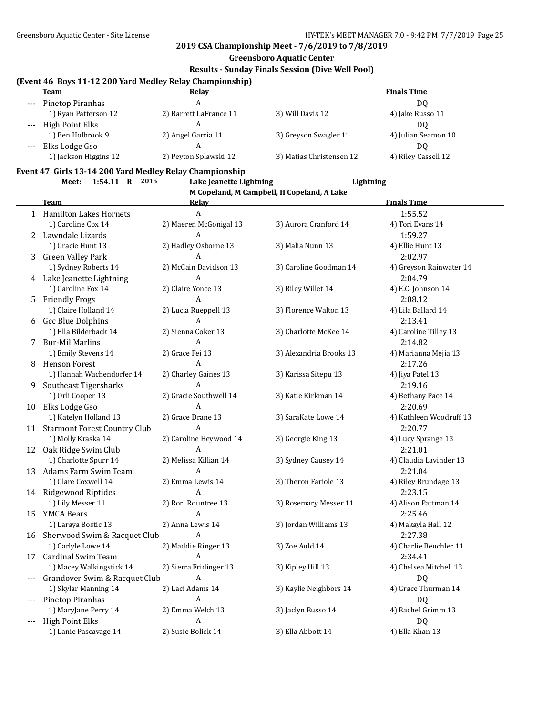**Greensboro Aquatic Center**

#### **Results - Sunday Finals Session (Dive Well Pool)**

#### **(Event 46 Boys 11-12 200 Yard Medley Relay Championship)**

|         | <b>Team</b>           | <b>Relav</b>           |                          | <b>Finals Time</b>  |
|---------|-----------------------|------------------------|--------------------------|---------------------|
| $---$   | Pinetop Piranhas      |                        |                          | DO.                 |
|         | 1) Ryan Patterson 12  | 2) Barrett LaFrance 11 | 3) Will Davis 12         | 4) Jake Russo 11    |
| $---$   | High Point Elks       |                        |                          | DO.                 |
|         | 1) Ben Holbrook 9     | 2) Angel Garcia 11     | 3) Greyson Swagler 11    | 4) Julian Seamon 10 |
| $- - -$ | Elks Lodge Gso        |                        |                          | DO.                 |
|         | 1) Jackson Higgins 12 | 2) Peyton Splawski 12  | 3) Matias Christensen 12 | 4) Riley Cassell 12 |

#### **Event 47 Girls 13-14 200 Yard Medley Relay Championship**

**Meet: 1:54.11 R 2015 Lake Jeanette Lightning Lightning M Copeland, M Campbell, H Copeland, A Lake Team Relay Relay Relay Relay Relay Finals Time** 1 Hamilton Lakes Hornets A 1:55.52 1) Caroline Cox 14 2) Maeren McGonigal 13 3) Aurora Cranford 14 4) Tori Evans 14 2 Lawndale Lizards **A** 1:59.27 1) Gracie Hunt 13 2) Hadley Osborne 13 3) Malia Nunn 13 4) Ellie Hunt 13 3 Green Valley Park A 2:02.97 1) Sydney Roberts 14 2) McCain Davidson 13 3) Caroline Goodman 14 4) Greyson Rainwater 14 4 Lake Jeanette Lightning  $A$  A 2:04.79 1) Caroline Fox 14 2) Claire Yonce 13 3) Riley Willet 14 4 5.C. Johnson 14 5 Friendly Frogs A 2:08.12 1) Claire Holland 14 2) Lucia Rueppell 13 3) Florence Walton 13 4) Lila Ballard 14 6 Gcc Blue Dolphins A 2:13.41 1) Ella Bilderback 14 2) Sienna Coker 13 3) Charlotte McKee 14 4) Caroline Tilley 13 7 Bur-Mil Marlins A 2:14.82 1) Emily Stevens 14 2) Grace Fei 13 3) Alexandria Brooks 13 4) Marianna Mejia 13 8 Henson Forest A 2:17.26 1) Hannah Wachendorfer 14 2) Charley Gaines 13 3) Karissa Sitepu 13 4) Jiya Patel 13 9 Southeast Tigersharks A 2:19.16 1) Orli Cooper 13 2) Gracie Southwell 14 3) Katie Kirkman 14 4 4) Bethany Pace 14 10 Elks Lodge Gso A 2:20.69 1) Katelyn Holland 13 2) Grace Drane 13 3) SaraKate Lowe 14 4) Kathleen Woodruff 13 11 Starmont Forest Country Club A 2:20.77 1) Molly Kraska 14 2) Caroline Heywood 14 3) Georgie King 13 4) Lucy Sprange 13 12 Oak Ridge Swim Club A 2:21.01 1) Charlotte Spurr 14 2) Melissa Killian 14 3) Sydney Causey 14 4) Claudia Lavinder 13 13 Adams Farm Swim Team A 2:21.04 1) Clare Coxwell 14 2) Emma Lewis 14 3) Theron Fariole 13 4) Riley Brundage 13 14 Ridgewood Riptides **A** 2:23.15 1) Lily Messer 11 2) Rori Rountree 13 3) Rosemary Messer 11 4) Alison Pattman 14 15 YMCA Bears **A** 2:25.46 1) Laraya Bostic 13 2) Anna Lewis 14 3) Jordan Williams 13 4) Makayla Hall 12 16 Sherwood Swim & Racquet Club A 2:27.38 1) Carlyle Lowe 14 2) Maddie Ringer 13 3) Zoe Auld 14 4 4) Charlie Beuchler 11 17 Cardinal Swim Team A 2:34.41 1) Macey Walkingstick 14 2) Sierra Fridinger 13 3) Kipley Hill 13 4) Chelsea Mitchell 13 --- Grandover Swim & Racquet Club A DQ 1) Skylar Manning 14 2) Laci Adams 14 3) Kaylie Neighbors 14 4) Grace Thurman 14 --- Pinetop Piranhas A DQ 1) MaryJane Perry 14 2) Emma Welch 13 3) Jaclyn Russo 14 4) Rachel Grimm 13 --- High Point Elks **A** DO 1) Lanie Pascavage 14 2) Susie Bolick 14 3) Ella Abbott 14 4) Ella Khan 13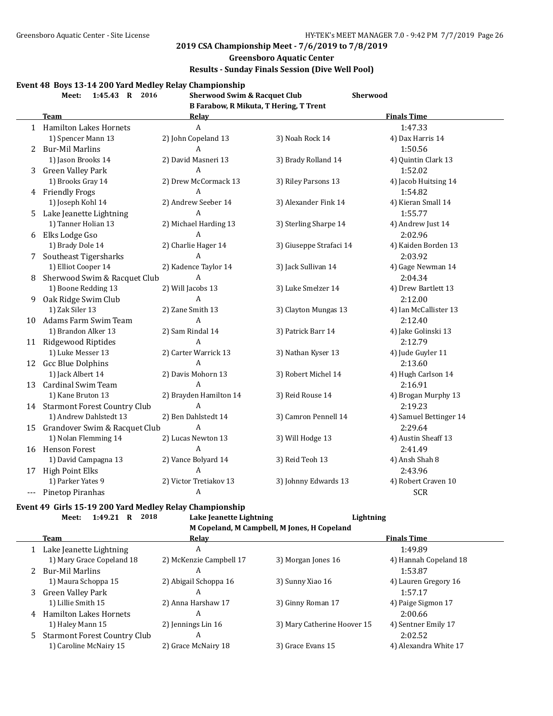## **Greensboro Aquatic Center**

## **Results - Sunday Finals Session (Dive Well Pool)**

### **Event 48 Boys 13-14 200 Yard Medley Relay Championship**

|    | 1:45.43 R 2016<br>Meet:          | <b>Sherwood Swim &amp; Racquet Club</b> |                                        | <b>Sherwood</b>        |
|----|----------------------------------|-----------------------------------------|----------------------------------------|------------------------|
|    |                                  |                                         | B Farabow, R Mikuta, T Hering, T Trent |                        |
|    | <b>Team</b>                      | <b>Relay</b>                            |                                        | <b>Finals Time</b>     |
|    | 1 Hamilton Lakes Hornets         | $\overline{A}$                          |                                        | 1:47.33                |
|    | 1) Spencer Mann 13               | 2) John Copeland 13                     | 3) Noah Rock 14                        | 4) Dax Harris 14       |
|    | 2 Bur-Mil Marlins                | A                                       |                                        | 1:50.56                |
|    | 1) Jason Brooks 14               | 2) David Masneri 13                     | 3) Brady Rolland 14                    | 4) Quintin Clark 13    |
|    | 3 Green Valley Park              | $\overline{A}$                          |                                        | 1:52.02                |
|    | 1) Brooks Gray 14                | 2) Drew McCormack 13                    | 3) Riley Parsons 13                    | 4) Jacob Huitsing 14   |
|    | 4 Friendly Frogs                 | A                                       |                                        | 1:54.82                |
|    | 1) Joseph Kohl 14                | 2) Andrew Seeber 14                     | 3) Alexander Fink 14                   | 4) Kieran Small 14     |
|    | 5 Lake Jeanette Lightning        | A                                       |                                        | 1:55.77                |
|    | 1) Tanner Holian 13              | 2) Michael Harding 13                   | 3) Sterling Sharpe 14                  | 4) Andrew Just 14      |
|    | 6 Elks Lodge Gso                 | A                                       |                                        | 2:02.96                |
|    | 1) Brady Dole 14                 | 2) Charlie Hager 14                     | 3) Giuseppe Strafaci 14                | 4) Kaiden Borden 13    |
|    | 7 Southeast Tigersharks          | A                                       |                                        | 2:03.92                |
|    | 1) Elliot Cooper 14              | 2) Kadence Taylor 14                    | 3) Jack Sullivan 14                    | 4) Gage Newman 14      |
| 8  | Sherwood Swim & Racquet Club     | A                                       |                                        | 2:04.34                |
|    | 1) Boone Redding 13              | 2) Will Jacobs 13                       | 3) Luke Smelzer 14                     | 4) Drew Bartlett 13    |
| 9  | Oak Ridge Swim Club              | A                                       |                                        | 2:12.00                |
|    | 1) Zak Siler 13                  | 2) Zane Smith 13                        | 3) Clayton Mungas 13                   | 4) Ian McCallister 13  |
| 10 | Adams Farm Swim Team             | A                                       |                                        | 2:12.40                |
|    | 1) Brandon Alker 13              | 2) Sam Rindal 14                        | 3) Patrick Barr 14                     | 4) Jake Golinski 13    |
|    | 11 Ridgewood Riptides            | $\overline{A}$                          |                                        | 2:12.79                |
|    | 1) Luke Messer 13                | 2) Carter Warrick 13                    | 3) Nathan Kyser 13                     | 4) Jude Guyler 11      |
|    | 12 Gcc Blue Dolphins             | $\overline{A}$                          |                                        | 2:13.60                |
|    | 1) Jack Albert 14                | 2) Davis Mohorn 13                      | 3) Robert Michel 14                    | 4) Hugh Carlson 14     |
| 13 | Cardinal Swim Team               | $\overline{A}$                          |                                        | 2:16.91                |
|    | 1) Kane Bruton 13                | 2) Brayden Hamilton 14                  | 3) Reid Rouse 14                       | 4) Brogan Murphy 13    |
|    | 14 Starmont Forest Country Club  | $\overline{A}$                          |                                        | 2:19.23                |
|    | 1) Andrew Dahlstedt 13           | 2) Ben Dahlstedt 14                     | 3) Camron Pennell 14                   | 4) Samuel Bettinger 14 |
|    | 15 Grandover Swim & Racquet Club | $\overline{A}$                          |                                        | 2:29.64                |
|    | 1) Nolan Flemming 14             | 2) Lucas Newton 13                      | 3) Will Hodge 13                       | 4) Austin Sheaff 13    |
|    | 16 Henson Forest                 | A                                       |                                        | 2:41.49                |
|    | 1) David Campagna 13             | 2) Vance Bolyard 14                     | 3) Reid Teoh 13                        | 4) Ansh Shah 8         |
|    | 17 High Point Elks               | A                                       |                                        | 2:43.96                |
|    | 1) Parker Yates 9                | 2) Victor Tretiakov 13                  | 3) Johnny Edwards 13                   | 4) Robert Craven 10    |
|    | Pinetop Piranhas                 | A                                       |                                        | <b>SCR</b>             |

## **Event 49 Girls 15-19 200 Yard Medley Relay Championship Meet: 1:49.21 R 2018 Lake Jeanette Lightning Lightning**

**M Copeland, M Campbell, M Jones, H Copeland**

|    | Team                         | Relay                   |                             | <b>Finals Time</b>    |
|----|------------------------------|-------------------------|-----------------------------|-----------------------|
|    | Lake Jeanette Lightning      | A                       |                             | 1:49.89               |
|    | 1) Mary Grace Copeland 18    | 2) McKenzie Campbell 17 | 3) Morgan Jones 16          | 4) Hannah Copeland 18 |
|    | 2 Bur-Mil Marlins            | A                       |                             | 1:53.87               |
|    | 1) Maura Schoppa 15          | 2) Abigail Schoppa 16   | 3) Sunny Xiao 16            | 4) Lauren Gregory 16  |
| 3  | Green Valley Park            | A                       |                             | 1:57.17               |
|    | 1) Lillie Smith 15           | 2) Anna Harshaw 17      | 3) Ginny Roman 17           | 4) Paige Sigmon 17    |
|    | 4 Hamilton Lakes Hornets     | А                       |                             | 2:00.66               |
|    | 1) Haley Mann 15             | 2) Jennings Lin 16      | 3) Mary Catherine Hoover 15 | 4) Sentner Emily 17   |
| 5. | Starmont Forest Country Club | A                       |                             | 2:02.52               |
|    | 1) Caroline McNairy 15       | 2) Grace McNairy 18     | 3) Grace Evans 15           | 4) Alexandra White 17 |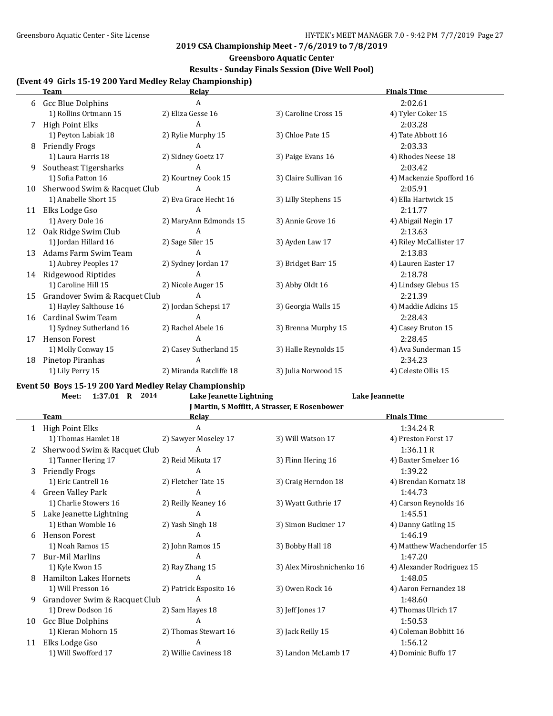## **Greensboro Aquatic Center**

## **Results - Sunday Finals Session (Dive Well Pool)**

# **(Event 49 Girls 15-19 200 Yard Medley Relay Championship)**

|    | <b>Team</b>                   | Relav                   |                       | <b>Finals Time</b>       |
|----|-------------------------------|-------------------------|-----------------------|--------------------------|
| 6  | <b>Gcc Blue Dolphins</b>      | A                       |                       | 2:02.61                  |
|    | 1) Rollins Ortmann 15         | 2) Eliza Gesse 16       | 3) Caroline Cross 15  | 4) Tyler Coker 15        |
|    | <b>High Point Elks</b>        | A                       |                       | 2:03.28                  |
|    | 1) Peyton Labiak 18           | 2) Rylie Murphy 15      | 3) Chloe Pate 15      | 4) Tate Abbott 16        |
| 8  | <b>Friendly Frogs</b>         | A                       |                       | 2:03.33                  |
|    | 1) Laura Harris 18            | 2) Sidney Goetz 17      | 3) Paige Evans 16     | 4) Rhodes Neese 18       |
| 9  | Southeast Tigersharks         | А                       |                       | 2:03.42                  |
|    | 1) Sofia Patton 16            | 2) Kourtney Cook 15     | 3) Claire Sullivan 16 | 4) Mackenzie Spofford 16 |
| 10 | Sherwood Swim & Racquet Club  | A                       |                       | 2:05.91                  |
|    | 1) Anabelle Short 15          | 2) Eva Grace Hecht 16   | 3) Lilly Stephens 15  | 4) Ella Hartwick 15      |
| 11 | Elks Lodge Gso                | A                       |                       | 2:11.77                  |
|    | 1) Avery Dole 16              | 2) MaryAnn Edmonds 15   | 3) Annie Grove 16     | 4) Abigail Negin 17      |
| 12 | Oak Ridge Swim Club           | A                       |                       | 2:13.63                  |
|    | 1) Jordan Hillard 16          | 2) Sage Siler 15        | 3) Ayden Law 17       | 4) Riley McCallister 17  |
| 13 | Adams Farm Swim Team          | А                       |                       | 2:13.83                  |
|    | 1) Aubrey Peoples 17          | 2) Sydney Jordan 17     | 3) Bridget Barr 15    | 4) Lauren Easter 17      |
| 14 | Ridgewood Riptides            | A                       |                       | 2:18.78                  |
|    | 1) Caroline Hill 15           | 2) Nicole Auger 15      | 3) Abby Oldt 16       | 4) Lindsey Glebus 15     |
| 15 | Grandover Swim & Racquet Club | A                       |                       | 2:21.39                  |
|    | 1) Hayley Salthouse 16        | 2) Jordan Schepsi 17    | 3) Georgia Walls 15   | 4) Maddie Adkins 15      |
| 16 | Cardinal Swim Team            | A                       |                       | 2:28.43                  |
|    | 1) Sydney Sutherland 16       | 2) Rachel Abele 16      | 3) Brenna Murphy 15   | 4) Casey Bruton 15       |
| 17 | <b>Henson Forest</b>          | А                       |                       | 2:28.45                  |
|    | 1) Molly Conway 15            | 2) Casey Sutherland 15  | 3) Halle Reynolds 15  | 4) Ava Sunderman 15      |
| 18 | Pinetop Piranhas              | A                       |                       | 2:34.23                  |
|    | 1) Lily Perry 15              | 2) Miranda Ratcliffe 18 | 3) Julia Norwood 15   | 4) Celeste Ollis 15      |

#### **Event 50 Boys 15-19 200 Yard Medley Relay Championship**

 $\overline{a}$ 

#### **Meet: 1:37.01 R 2014 Lake Jeanette Lightning Lake Jeannette**

| J Martin, S Moffitt, A Strasser, E Rosenbower |  |
|-----------------------------------------------|--|
|-----------------------------------------------|--|

|    | <b>Team</b>                   | <b>Relay</b>           |                           | <b>Finals Time</b>         |
|----|-------------------------------|------------------------|---------------------------|----------------------------|
|    | 1 High Point Elks             | A                      |                           | 1:34.24R                   |
|    | 1) Thomas Hamlet 18           | 2) Sawyer Moseley 17   | 3) Will Watson 17         | 4) Preston Forst 17        |
|    | Sherwood Swim & Racquet Club  | A                      |                           | 1:36.11R                   |
|    | 1) Tanner Hering 17           | 2) Reid Mikuta 17      | 3) Flinn Hering 16        | 4) Baxter Smelzer 16       |
| 3  | <b>Friendly Frogs</b>         | A                      |                           | 1:39.22                    |
|    | 1) Eric Cantrell 16           | 2) Fletcher Tate 15    | 3) Craig Herndon 18       | 4) Brendan Kornatz 18      |
| 4  | Green Valley Park             | A                      |                           | 1:44.73                    |
|    | 1) Charlie Stowers 16         | 2) Reilly Keaney 16    | 3) Wyatt Guthrie 17       | 4) Carson Reynolds 16      |
| 5. | Lake Jeanette Lightning       | A                      |                           | 1:45.51                    |
|    | 1) Ethan Womble 16            | 2) Yash Singh 18       | 3) Simon Buckner 17       | 4) Danny Gatling 15        |
| 6  | <b>Henson Forest</b>          | A                      |                           | 1:46.19                    |
|    | 1) Noah Ramos 15              | 2) John Ramos 15       | 3) Bobby Hall 18          | 4) Matthew Wachendorfer 15 |
|    | <b>Bur-Mil Marlins</b>        | A                      |                           | 1:47.20                    |
|    | 1) Kyle Kwon 15               | 2) Ray Zhang 15        | 3) Alex Miroshnichenko 16 | 4) Alexander Rodriguez 15  |
| 8  | <b>Hamilton Lakes Hornets</b> | A                      |                           | 1:48.05                    |
|    | 1) Will Presson 16            | 2) Patrick Esposito 16 | 3) Owen Rock 16           | 4) Aaron Fernandez 18      |
| 9  | Grandover Swim & Racquet Club | A                      |                           | 1:48.60                    |
|    | 1) Drew Dodson 16             | 2) Sam Hayes 18        | 3) Jeff Jones 17          | 4) Thomas Ulrich 17        |
| 10 | Gcc Blue Dolphins             | A                      |                           | 1:50.53                    |
|    | 1) Kieran Mohorn 15           | 2) Thomas Stewart 16   | 3) Jack Reilly 15         | 4) Coleman Bobbitt 16      |
| 11 | Elks Lodge Gso                | A                      |                           | 1:56.12                    |
|    | 1) Will Swofford 17           | 2) Willie Caviness 18  | 3) Landon McLamb 17       | 4) Dominic Buffo 17        |